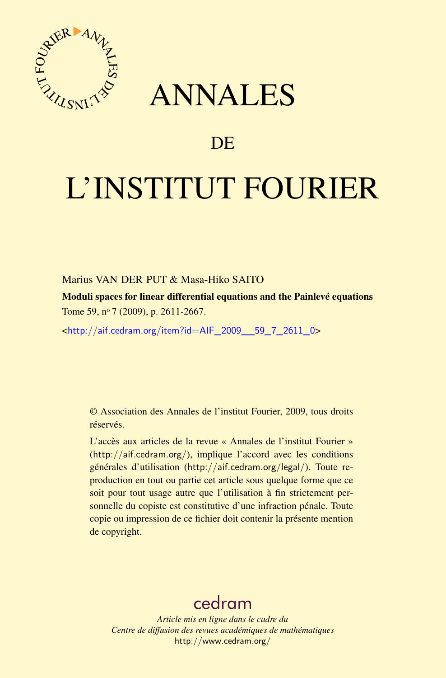

# ANNALES

## **DE**

# L'INSTITUT FOURIER

### Marius VAN DER PUT & Masa-Hiko SAITO

Moduli spaces for linear differential equations and the Painlevé equations Tome 59, nº 7 (2009), p. 2611-2667.

<[http://aif.cedram.org/item?id=AIF\\_2009\\_\\_59\\_7\\_2611\\_0](http://aif.cedram.org/item?id=AIF_2009__59_7_2611_0)>

© Association des Annales de l'institut Fourier, 2009, tous droits réservés.

L'accès aux articles de la revue « Annales de l'institut Fourier » (<http://aif.cedram.org/>), implique l'accord avec les conditions générales d'utilisation (<http://aif.cedram.org/legal/>). Toute reproduction en tout ou partie cet article sous quelque forme que ce soit pour tout usage autre que l'utilisation à fin strictement personnelle du copiste est constitutive d'une infraction pénale. Toute copie ou impression de ce fichier doit contenir la présente mention de copyright.

## [cedram](http://www.cedram.org/)

*Article mis en ligne dans le cadre du Centre de diffusion des revues académiques de mathématiques* <http://www.cedram.org/>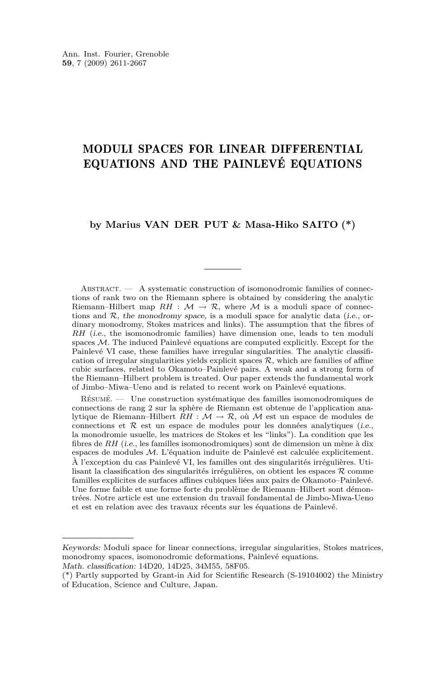## MODULI SPACES FOR LINEAR DIFFERENTIAL EQUATIONS AND THE PAINLEVÉ EQUATIONS

#### **by Marius VAN DER PUT & Masa-Hiko SAITO (\*)**

ABSTRACT. — A systematic construction of isomonodromic families of connections of rank two on the Riemann sphere is obtained by considering the analytic Riemann–Hilbert map  $RH : \mathcal{M} \to \mathcal{R}$ , where  $\mathcal M$  is a moduli space of connections and  $R$ , the monodromy space, is a moduli space for analytic data (i.e., ordinary monodromy, Stokes matrices and links). The assumption that the fibres of *RH* (*i.e.*, the isomonodromic families) have dimension one, leads to ten moduli spaces *M*. The induced Painlevé equations are computed explicitly. Except for the Painlevé VI case, these families have irregular singularities. The analytic classification of irregular singularities yields explicit spaces  $R$ , which are families of affine cubic surfaces, related to Okamoto–Painlevé pairs. A weak and a strong form of the Riemann–Hilbert problem is treated. Our paper extends the fundamental work of Jimbo–Miwa–Ueno and is related to recent work on Painlevé equations.

Résumé. — Une construction systématique des familles isomonodromiques de connections de rang 2 sur la sphère de Riemann est obtenue de l'application analytique de Riemann–Hilbert *RH* : *M → R*, où *M* est un espace de modules de connections et  $R$  est un espace de modules pour les données analytiques (*i.e.*, la monodromie usuelle, les matrices de Stokes et les "links"). La condition que les fibres de *RH* (i.e., les familles isomonodromiques) sont de dimension un mène à dix espaces de modules *M*. L'équation induite de Painlevé est calculée explicitement. À l'exception du cas Painlevé VI, les familles ont des singularités irrégulières. Utilisant la classification des singularités irrégulières, on obtient les espaces *R* comme familles explicites de surfaces affines cubiques liées aux pairs de Okamoto–Painlevé. Une forme faible et une forme forte du problème de Riemann–Hilbert sont démontrées. Notre article est une extension du travail fondamental de Jimbo-Miwa-Ueno et est en relation avec des travaux récents sur les équations de Painlevé.

Keywords: Moduli space for linear connections, irregular singularities, Stokes matrices, monodromy spaces, isomonodromic deformations, Painlevé equations.

Math. classification: 14D20, 14D25, 34M55, 58F05.

<sup>(\*)</sup> Partly supported by Grant-in Aid for Scientific Research (S-19104002) the Ministry of Education, Science and Culture, Japan.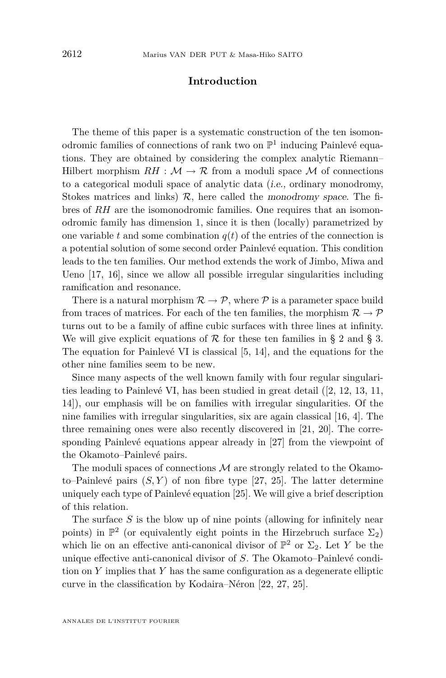#### **Introduction**

The theme of this paper is a systematic construction of the ten isomonodromic families of connections of rank two on  $\mathbb{P}^1$  inducing Painlevé equations. They are obtained by considering the complex analytic Riemann– Hilbert morphism  $RH : \mathcal{M} \to \mathcal{R}$  from a moduli space  $\mathcal M$  of connections to a categorical moduli space of analytic data (i.e., ordinary monodromy, Stokes matrices and links)  $R$ , here called the monodromy space. The fibres of *RH* are the isomonodromic families. One requires that an isomonodromic family has dimension 1, since it is then (locally) parametrized by one variable  $t$  and some combination  $q(t)$  of the entries of the connection is a potential solution of some second order Painlevé equation. This condition leads to the ten families. Our method extends the work of Jimbo, Miwa and Ueno [\[17,](#page-56-0) [16\]](#page-56-0), since we allow all possible irregular singularities including ramification and resonance.

There is a natural morphism  $\mathcal{R} \to \mathcal{P}$ , where  $\mathcal{P}$  is a parameter space build from traces of matrices. For each of the ten families, the morphism  $\mathcal{R} \to \mathcal{P}$ turns out to be a family of affine cubic surfaces with three lines at infinity. We will give explicit equations of  $R$  for these ten families in § [2](#page-19-0) and § [3.](#page-27-0) The equation for Painlevé VI is classical [\[5,](#page-55-0) [14\]](#page-56-0), and the equations for the other nine families seem to be new.

Since many aspects of the well known family with four regular singularities leading to Painlevé VI, has been studied in great detail ([\[2,](#page-55-0) [12,](#page-56-0) [13,](#page-56-0) [11,](#page-56-0) [14\]](#page-56-0)), our emphasis will be on families with irregular singularities. Of the nine families with irregular singularities, six are again classical [\[16,](#page-56-0) [4\]](#page-55-0). The three remaining ones were also recently discovered in [\[21,](#page-56-0) [20\]](#page-56-0). The corresponding Painlevé equations appear already in [\[27\]](#page-57-0) from the viewpoint of the Okamoto–Painlevé pairs.

The moduli spaces of connections *M* are strongly related to the Okamoto–Painlevé pairs  $(S, Y)$  of non fibre type [\[27,](#page-57-0) [25\]](#page-57-0). The latter determine uniquely each type of Painlevé equation [\[25\]](#page-57-0). We will give a brief description of this relation.

The surface *S* is the blow up of nine points (allowing for infinitely near points) in  $\mathbb{P}^2$  (or equivalently eight points in the Hirzebruch surface  $\Sigma_2$ ) which lie on an effective anti-canonical divisor of  $\mathbb{P}^2$  or  $\Sigma_2$ . Let *Y* be the unique effective anti-canonical divisor of *S*. The Okamoto–Painlevé condition on *Y* implies that *Y* has the same configuration as a degenerate elliptic curve in the classification by Kodaira–Néron [\[22,](#page-56-0) [27,](#page-57-0) [25\]](#page-57-0).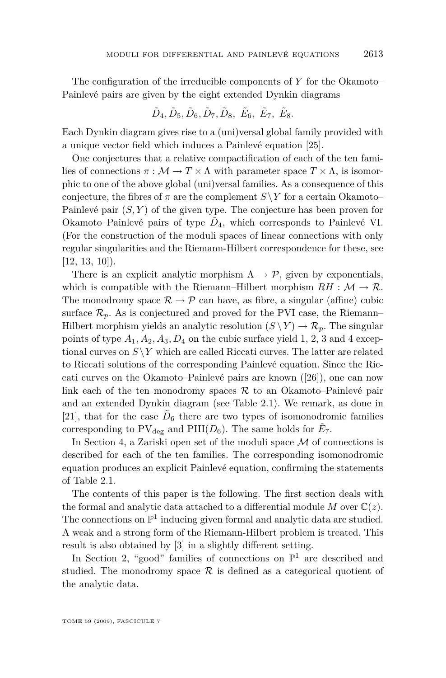The configuration of the irreducible components of *Y* for the Okamoto– Painlevé pairs are given by the eight extended Dynkin diagrams

$$
\tilde{D}_4, \tilde{D}_5, \tilde{D}_6, \tilde{D}_7, \tilde{D}_8, \ \tilde{E}_6, \ \tilde{E}_7, \ \tilde{E}_8.
$$

Each Dynkin diagram gives rise to a (uni)versal global family provided with a unique vector field which induces a Painlevé equation [\[25\]](#page-57-0).

One conjectures that a relative compactification of each of the ten families of connections  $\pi : \mathcal{M} \to T \times \Lambda$  with parameter space  $T \times \Lambda$ , is isomorphic to one of the above global (uni)versal families. As a consequence of this conjecture, the fibres of  $\pi$  are the complement  $S\ Y$  for a certain Okamoto– Painlevé pair (*S, Y* ) of the given type. The conjecture has been proven for Okamoto–Painlevé pairs of type  $\tilde{D}_4$ , which corresponds to Painlevé VI. (For the construction of the moduli spaces of linear connections with only regular singularities and the Riemann-Hilbert correspondence for these, see  $[12, 13, 10]$  $[12, 13, 10]$  $[12, 13, 10]$  $[12, 13, 10]$  $[12, 13, 10]$ .

There is an explicit analytic morphism  $\Lambda \to \mathcal{P}$ , given by exponentials, which is compatible with the Riemann–Hilbert morphism  $RH : \mathcal{M} \to \mathcal{R}$ . The monodromy space  $\mathcal{R} \to \mathcal{P}$  can have, as fibre, a singular (affine) cubic surface  $\mathcal{R}_p$ . As is conjectured and proved for the PVI case, the Riemann– Hilbert morphism yields an analytic resolution  $(S \ Y) \to \mathcal{R}_p$ . The singular points of type  $A_1, A_2, A_3, D_4$  on the cubic surface yield 1, 2, 3 and 4 exceptional curves on  $S\ Y$  which are called Riccati curves. The latter are related to Riccati solutions of the corresponding Painlevé equation. Since the Riccati curves on the Okamoto–Painlevé pairs are known ([\[26\]](#page-57-0)), one can now link each of the ten monodromy spaces *R* to an Okamoto–Painlevé pair and an extended Dynkin diagram (see Table [2.1\)](#page-25-0). We remark, as done in [\[21\]](#page-56-0), that for the case  $\tilde{D}_6$  there are two types of isomonodromic families corresponding to  $PV_{\text{deg}}$  and  $PIII(D_6)$ . The same holds for  $\tilde{E}_7$ .

In Section [4,](#page-40-0) a Zariski open set of the moduli space *M* of connections is described for each of the ten families. The corresponding isomonodromic equation produces an explicit Painlevé equation, confirming the statements of Table [2.1.](#page-25-0)

The contents of this paper is the following. The first section deals with the formal and analytic data attached to a differential module M over  $\mathbb{C}(z)$ . The connections on  $\mathbb{P}^1$  inducing given formal and analytic data are studied. A weak and a strong form of the Riemann-Hilbert problem is treated. This result is also obtained by [\[3\]](#page-55-0) in a slightly different setting.

In Section [2,](#page-19-0) "good" families of connections on  $\mathbb{P}^1$  are described and studied. The monodromy space  $R$  is defined as a categorical quotient of the analytic data.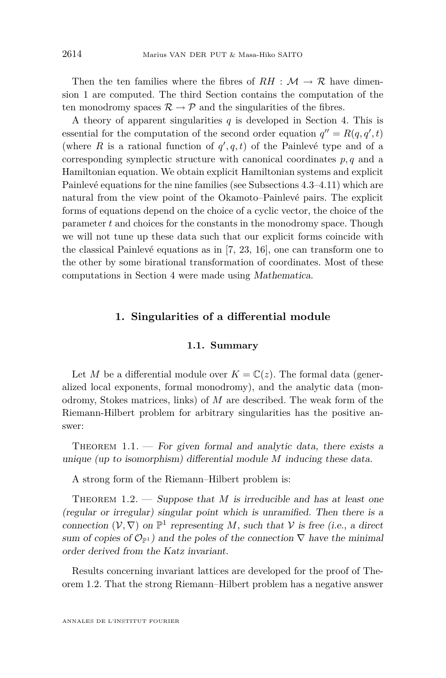<span id="page-4-0"></span>Then the ten families where the fibres of  $RH : \mathcal{M} \to \mathcal{R}$  have dimension 1 are computed. The third Section contains the computation of the ten monodromy spaces  $\mathcal{R} \to \mathcal{P}$  and the singularities of the fibres.

A theory of apparent singularities *q* is developed in Section [4.](#page-40-0) This is essential for the computation of the second order equation  $q'' = R(q, q', t)$ (where *R* is a rational function of  $q'$ ,  $q$ ,  $t$ ) of the Painlevé type and of a corresponding symplectic structure with canonical coordinates  $p, q$  and a Hamiltonian equation. We obtain explicit Hamiltonian systems and explicit Painlevé equations for the nine families (see Subsections [4.3](#page-44-0)[–4.11\)](#page-54-0) which are natural from the view point of the Okamoto–Painlevé pairs. The explicit forms of equations depend on the choice of a cyclic vector, the choice of the parameter *t* and choices for the constants in the monodromy space. Though we will not tune up these data such that our explicit forms coincide with the classical Painlevé equations as in [\[7,](#page-56-0) [23,](#page-56-0) [16\]](#page-56-0), one can transform one to the other by some birational transformation of coordinates. Most of these computations in Section [4](#page-40-0) were made using Mathematica.

#### **1. Singularities of a differential module**

#### **1.1. Summary**

Let *M* be a differential module over  $K = \mathbb{C}(z)$ . The formal data (generalized local exponents, formal monodromy), and the analytic data (monodromy, Stokes matrices, links) of *M* are described. The weak form of the Riemann-Hilbert problem for arbitrary singularities has the positive answer:

THEOREM  $1.1.$  — For given formal and analytic data, there exists a unique (up to isomorphism) differential module *M* inducing these data.

A strong form of the Riemann–Hilbert problem is:

THEOREM  $1.2.$  — Suppose that *M* is irreducible and has at least one (regular or irregular) singular point which is unramified. Then there is a connection  $(V, \nabla)$  on  $\mathbb{P}^1$  representing *M*, such that *V* is free (i.e., a direct sum of copies of  $\mathcal{O}_{\mathbb{P}^1}$  and the poles of the connection  $\nabla$  have the minimal order derived from the Katz invariant.

Results concerning invariant lattices are developed for the proof of Theorem 1.2. That the strong Riemann–Hilbert problem has a negative answer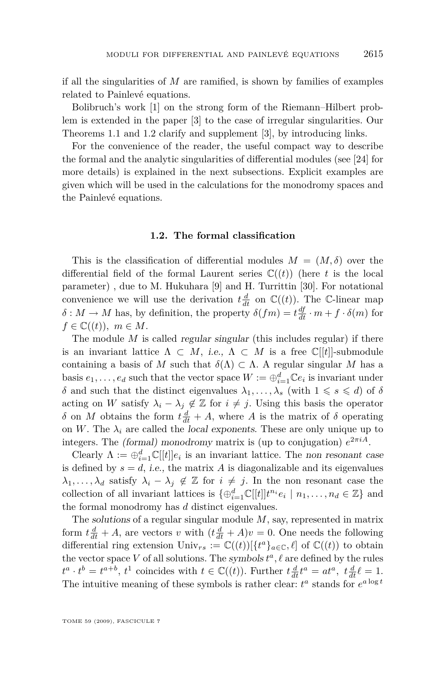<span id="page-5-0"></span>if all the singularities of *M* are ramified, is shown by families of examples related to Painlevé equations.

Bolibruch's work [\[1\]](#page-55-0) on the strong form of the Riemann–Hilbert problem is extended in the paper [\[3\]](#page-55-0) to the case of irregular singularities. Our Theorems [1.1](#page-4-0) and [1.2](#page-4-0) clarify and supplement [\[3\]](#page-55-0), by introducing links.

For the convenience of the reader, the useful compact way to describe the formal and the analytic singularities of differential modules (see [\[24\]](#page-57-0) for more details) is explained in the next subsections. Explicit examples are given which will be used in the calculations for the monodromy spaces and the Painlevé equations.

#### **1.2. The formal classification**

This is the classification of differential modules  $M = (M, \delta)$  over the differential field of the formal Laurent series  $\mathbb{C}((t))$  (here *t* is the local parameter) , due to M. Hukuhara [\[9\]](#page-56-0) and H. Turrittin [\[30\]](#page-57-0). For notational convenience we will use the derivation  $t \frac{d}{dt}$  on  $\mathbb{C}((t))$ . The C-linear map  $\delta$  :  $M \to M$  has, by definition, the property  $\delta(fm) = t \frac{df}{dt} \cdot m + f \cdot \delta(m)$  for  $f \in \mathbb{C}((t)), m \in M$ .

The module M is called regular singular (this includes regular) if there is an invariant lattice  $\Lambda \subset M$ , i.e.,  $\Lambda \subset M$  is a free  $\mathbb{C}[[t]]$ -submodule containing a basis of M such that  $\delta(\Lambda) \subset \Lambda$ . A regular singular M has a basis  $e_1, \ldots, e_d$  such that the vector space  $W := \bigoplus_{i=1}^d \mathbb{C} e_i$  is invariant under *δ* and such that the distinct eigenvalues  $\lambda_1, \ldots, \lambda_s$  (with  $1 \le s \le d$ ) of *δ* acting on *W* satisfy  $\lambda_i - \lambda_j \notin \mathbb{Z}$  for  $i \neq j$ . Using this basis the operator *δ* on *M* obtains the form  $t\frac{d}{dt} + A$ , where *A* is the matrix of *δ* operating on *W*. The  $\lambda_i$  are called the local exponents. These are only unique up to integers. The *(formal)* monodromy matrix is (up to conjugation)  $e^{2\pi i A}$ .

Clearly  $\Lambda := \bigoplus_{i=1}^d \mathbb{C}[[t]]e_i$  is an invariant lattice. The non resonant case is defined by  $s = d$ , *i.e.*, the matrix *A* is diagonalizable and its eigenvalues  $\lambda_1, \ldots, \lambda_d$  satisfy  $\lambda_i - \lambda_j \notin \mathbb{Z}$  for  $i \neq j$ . In the non resonant case the collection of all invariant lattices is  $\{\oplus_{i=1}^d \mathbb{C}[[t]] t^{n_i} e_i \mid n_1, \ldots, n_d \in \mathbb{Z}\}\$  and the formal monodromy has *d* distinct eigenvalues.

The solutions of a regular singular module *M*, say, represented in matrix form  $t\frac{d}{dt} + A$ , are vectors *v* with  $(t\frac{d}{dt} + A)v = 0$ . One needs the following differential ring extension  $\text{Univ}_{rs} := \mathbb{C}((t))[\{t^a\}_{a\in\mathbb{C}}, \ell]$  of  $\mathbb{C}((t))$  to obtain the vector space  $V$  of all solutions. The symbols  $t^a$ ,  $\ell$  are defined by the rules  $t^a \cdot t^b = t^{a+b}, t^1$  coincides with  $t \in \mathbb{C}((t))$ . Further  $t \frac{d}{dt} t^a = at^a, t \frac{d}{dt} t^a = 1$ . The intuitive meaning of these symbols is rather clear:  $t^a$  stands for  $e^{a \log t}$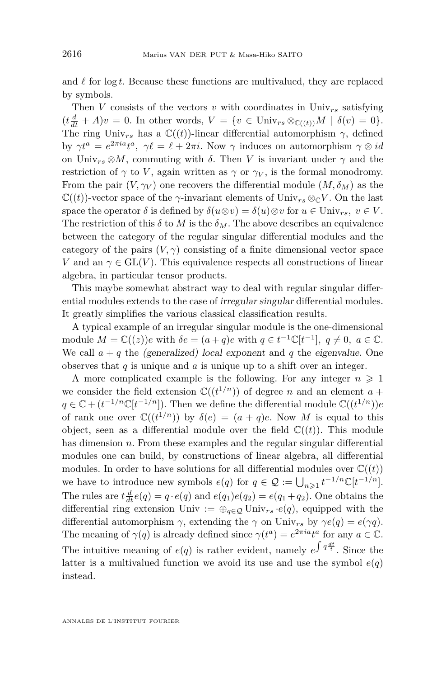and  $\ell$  for log  $t$ . Because these functions are multivalued, they are replaced by symbols.

Then *V* consists of the vectors *v* with coordinates in  $\text{Univ}_{rs}$  satisfying  $(t\frac{d}{dt} + A)v = 0$ . In other words,  $V = \{v \in \text{Univ}_{rs} \otimes_{\mathbb{C}((t))} M \mid \delta(v) = 0\}.$ The ring Univ<sub>rs</sub> has a  $\mathbb{C}((t))$ -linear differential automorphism  $\gamma$ , defined by  $\gamma t^a = e^{2\pi i a} t^a$ ,  $\gamma \ell = \ell + 2\pi i$ . Now  $\gamma$  induces on automorphism  $\gamma \otimes id$ on Univ<sub>rs</sub>  $\otimes M$ , commuting with  $\delta$ . Then *V* is invariant under  $\gamma$  and the restriction of  $\gamma$  to *V*, again written as  $\gamma$  or  $\gamma_V$ , is the formal monodromy. From the pair  $(V, \gamma_V)$  one recovers the differential module  $(M, \delta_M)$  as the  $\mathbb{C}((t))$ -vector space of the *γ*-invariant elements of Univ<sub>rs</sub>  $\otimes_{\mathbb{C}} V$ . On the last space the operator  $\delta$  is defined by  $\delta(u \otimes v) = \delta(u) \otimes v$  for  $u \in \text{Univ}_{rs}, v \in V$ . The restriction of this  $\delta$  to *M* is the  $\delta_M$ . The above describes an equivalence between the category of the regular singular differential modules and the category of the pairs  $(V, \gamma)$  consisting of a finite dimensional vector space *V* and an  $\gamma \in GL(V)$ . This equivalence respects all constructions of linear algebra, in particular tensor products.

This maybe somewhat abstract way to deal with regular singular differential modules extends to the case of irregular singular differential modules. It greatly simplifies the various classical classification results.

A typical example of an irregular singular module is the one-dimensional module  $M = \mathbb{C}((z))e$  with  $\delta e = (a + q)e$  with  $q \in t^{-1}\mathbb{C}[t^{-1}], q \neq 0, a \in \mathbb{C}.$ We call  $a + q$  the (generalized) local exponent and q the eigenvalue. One observes that *q* is unique and *a* is unique up to a shift over an integer.

A more complicated example is the following. For any integer  $n \geq 1$ we consider the field extension  $\mathbb{C}((t^{1/n}))$  of degree *n* and an element  $a +$  $q \in \mathbb{C} + (t^{-1/n} \mathbb{C}[t^{-1/n}])$ . Then we define the differential module  $\mathbb{C}((t^{1/n}))e$ of rank one over  $\mathbb{C}((t^{1/n}))$  by  $\delta(e) = (a + q)e$ . Now M is equal to this object, seen as a differential module over the field  $\mathbb{C}((t))$ . This module has dimension *n*. From these examples and the regular singular differential modules one can build, by constructions of linear algebra, all differential modules. In order to have solutions for all differential modules over  $\mathbb{C}((t))$ we have to introduce new symbols  $e(q)$  for  $q \in \mathcal{Q} := \bigcup_{n \geq 1} t^{-1/n} \mathbb{C}[t^{-1/n}]$ . The rules are  $t \frac{d}{dt} e(q) = q \cdot e(q)$  and  $e(q_1)e(q_2) = e(q_1 + q_2)$ . One obtains the differential ring extension Univ :=  $\bigoplus_{q \in \mathcal{Q}}$  Univ<sub>rs</sub>  $\cdot e(q)$ , equipped with the differential automorphism  $\gamma$ , extending the  $\gamma$  on Univ<sub>rs</sub> by  $\gamma e(q) = e(\gamma q)$ . The meaning of  $\gamma(q)$  is already defined since  $\gamma(t^a) = e^{2\pi i a} t^a$  for any  $a \in \mathbb{C}$ . The intuitive meaning of  $e(q)$  is rather evident, namely  $e^{\int q \frac{dt}{t}}$ . Since the latter is a multivalued function we avoid its use and use the symbol  $e(q)$ instead.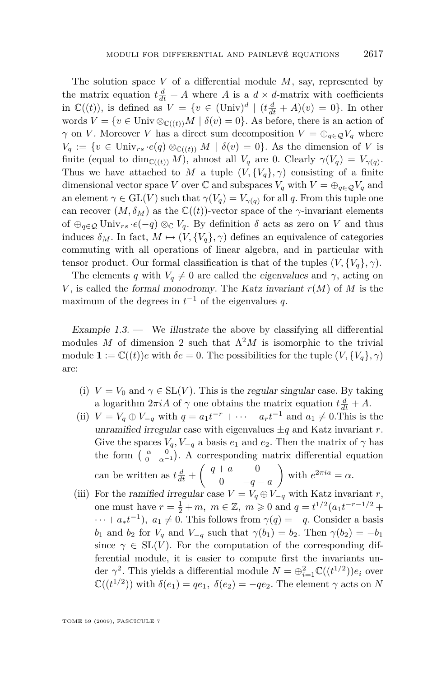<span id="page-7-0"></span>The solution space *V* of a differential module *M*, say, represented by the matrix equation  $t \frac{d}{dt} + A$  where *A* is a  $d \times d$ -matrix with coefficients in  $\mathbb{C}((t))$ , is defined as  $V = \{v \in (\text{Univ})^d \mid (t\frac{d}{dt} + A)(v) = 0\}$ . In other words  $V = \{v \in \text{Univ } \otimes_{\mathbb{C}((t))} M \mid \delta(v) = 0\}$ . As before, there is an action of *γ* on *V*. Moreover *V* has a direct sum decomposition  $V = \bigoplus_{q \in \mathcal{Q}} V_q$  where  $V_q := \{v \in \text{Univ}_{rs} \cdot e(q) \otimes_{\mathbb{C}((t))} M \mid \delta(v) = 0\}.$  As the dimension of *V* is finite (equal to dim<sub>C((t)</sub>) *M*), almost all  $V_q$  are 0. Clearly  $\gamma(V_q) = V_{\gamma(q)}$ . Thus we have attached to *M* a tuple  $(V, \{V_q\}, \gamma)$  consisting of a finite dimensional vector space *V* over  $\mathbb C$  and subspaces  $V_q$  with  $V = \bigoplus_{q \in \mathcal{Q}} V_q$  and an element  $\gamma \in \mathrm{GL}(V)$  such that  $\gamma(V_q) = V_{\gamma(q)}$  for all *q*. From this tuple one can recover  $(M, \delta_M)$  as the  $\mathbb{C}((t))$ -vector space of the *γ*-invariant elements of  $\bigoplus_{q \in \mathcal{Q}}$  Univ<sub>rs</sub>  $\cdot e(-q) \otimes_{\mathbb{C}} V_q$ . By definition  $\delta$  acts as zero on V and thus induces  $\delta_M$ . In fact,  $M \mapsto (V, \{V_q\}, \gamma)$  defines an equivalence of categories commuting with all operations of linear algebra, and in particular with tensor product. Our formal classification is that of the tuples  $(V, \{V_q\}, \gamma)$ .

The elements *q* with  $V_q \neq 0$  are called the eigenvalues and  $\gamma$ , acting on *V*, is called the formal monodromy. The Katz invariant  $r(M)$  of M is the maximum of the degrees in  $t^{-1}$  of the eigenvalues  $q$ .

Example  $1.3$  — We illustrate the above by classifying all differential modules M of dimension 2 such that  $\Lambda^2 M$  is isomorphic to the trivial module  $\mathbf{1} := \mathbb{C}((t))e$  with  $\delta e = 0$ . The possibilities for the tuple  $(V, \{V_a\}, \gamma)$ are:

- (i)  $V = V_0$  and  $\gamma \in SL(V)$ . This is the regular singular case. By taking a logarithm  $2\pi iA$  of  $\gamma$  one obtains the matrix equation  $t\frac{d}{dt} + A$ .
- (ii)  $V = V_q \oplus V_{-q}$  with  $q = a_1 t^{-r} + \cdots + a_r t^{-1}$  and  $a_1 \neq 0$ . This is the unramified irregular case with eigenvalues  $\pm q$  and Katz invariant *r*. Give the spaces  $V_q$ ,  $V_{-q}$  a basis  $e_1$  and  $e_2$ . Then the matrix of  $\gamma$  has the form  $\begin{pmatrix} \alpha & 0 \\ 0 & \alpha^{-1} \end{pmatrix}$ . A corresponding matrix differential equation can be written as  $t\frac{d}{dt} + \begin{pmatrix} q+a & 0 \\ 0 & -q \end{pmatrix}$ 0 *−q − a* with  $e^{2\pi i a} = \alpha$ .
- (iii) For the ramified irregular case  $V = V_q \oplus V_{-q}$  with Katz invariant *r*, one must have  $r = \frac{1}{2} + m$ ,  $m \in \mathbb{Z}$ ,  $m \geq 0$  and  $q = t^{1/2} (a_1 t^{-r-1/2} +$  $\dots + a_* t^{-1}$ ,  $a_1 \neq 0$ . This follows from  $\gamma(q) = -q$ . Consider a basis *b*<sub>1</sub> and *b*<sub>2</sub> for *V<sub>q</sub>* and *V<sub>−q</sub>* such that  $\gamma(b_1) = b_2$ . Then  $\gamma(b_2) = -b_1$ since  $\gamma \in SL(V)$ . For the computation of the corresponding differential module, it is easier to compute first the invariants under  $\gamma^2$ . This yields a differential module  $N = \bigoplus_{i=1}^2 \mathbb{C}((t^{1/2}))e_i$  over  $\mathbb{C}((t^{1/2}))$  with  $\delta(e_1) = qe_1, \ \delta(e_2) = -qe_2.$  The element  $\gamma$  acts on *N*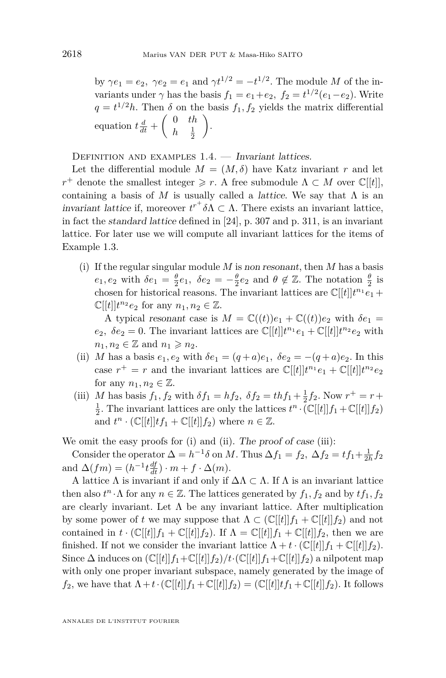<span id="page-8-0"></span>by  $\gamma e_1 = e_2$ ,  $\gamma e_2 = e_1$  and  $\gamma t^{1/2} = -t^{1/2}$ . The module *M* of the invariants under  $\gamma$  has the basis  $f_1 = e_1 + e_2$ ,  $f_2 = t^{1/2}(e_1 - e_2)$ . Write  $q = t^{1/2}h$ . Then  $\delta$  on the basis  $f_1, f_2$  yields the matrix differential equation  $t \frac{d}{dt} + \begin{pmatrix} 0 & th \\ h & \frac{1}{t} \end{pmatrix}$  $h \frac{1}{2}$ .

DEFINITION AND EXAMPLES  $1.4.$  — Invariant lattices.

Let the differential module  $M = (M, \delta)$  have Katz invariant r and let *r*<sup>+</sup> denote the smallest integer  $\geq r$ . A free submodule  $\Lambda \subset M$  over  $\mathbb{C}[[t]]$ , containing a basis of  $M$  is usually called a *lattice*. We say that  $\Lambda$  is an *invariant lattice* if, moreover  $t^{r^+} \delta \Lambda \subset \Lambda$ . There exists an invariant lattice, in fact the standard lattice defined in [\[24\]](#page-57-0), p. 307 and p. 311, is an invariant lattice. For later use we will compute all invariant lattices for the items of Example [1.3.](#page-7-0)

(i) If the regular singular module *M* is non resonant, then *M* has a basis  $e_1, e_2$  with  $\delta e_1 = \frac{\theta}{2} e_1, \ \delta e_2 = -\frac{\theta}{2} e_2$  and  $\theta \notin \mathbb{Z}$ . The notation  $\frac{\theta}{2}$  is chosen for historical reasons. The invariant lattices are  $\mathbb{C}[[t]]t^{n_1}e_1 +$  $\mathbb{C}[[t]]t^{n_2}e_2$  for any  $n_1, n_2 \in \mathbb{Z}$ .

A typical resonant case is  $M = \mathbb{C}((t))e_1 + \mathbb{C}((t))e_2$  with  $\delta e_1 =$  $e_2$ ,  $\delta e_2 = 0$ . The invariant lattices are  $\mathbb{C}[[t]]t^{n_1}e_1 + \mathbb{C}[[t]]t^{n_2}e_2$  with  $n_1, n_2 \in \mathbb{Z}$  and  $n_1 \geqslant n_2$ .

- (ii) *M* has a basis  $e_1, e_2$  with  $\delta e_1 = (q + a)e_1, \ \delta e_2 = -(q + a)e_2$ . In this case  $r^+ = r$  and the invariant lattices are  $\mathbb{C}[[t]]t^{n_1}e_1 + \mathbb{C}[[t]]t^{n_2}e_2$ for any  $n_1, n_2 \in \mathbb{Z}$ .
- (iii) *M* has basis  $f_1, f_2$  with  $\delta f_1 = h f_2, \ \delta f_2 = t h f_1 + \frac{1}{2} f_2$ . Now  $r^+ = r +$  $\frac{1}{2}$ . The invariant lattices are only the lattices  $t^n \cdot (\mathbb{C}[[t]]f_1 + \mathbb{C}[[t]]f_2)$ and  $t^n \cdot (\mathbb{C}[[t]]tf_1 + \mathbb{C}[[t]]f_2)$  where  $n \in \mathbb{Z}$ .

We omit the easy proofs for (i) and (ii). The proof of case (iii):

Consider the operator  $\Delta = h^{-1}\delta$  on *M*. Thus  $\Delta f_1 = f_2$ ,  $\Delta f_2 = tf_1 + \frac{1}{2h}f_2$ and  $\Delta(fm) = (h^{-1}t \frac{df}{dt}) \cdot m + f \cdot \Delta(m)$ .

A lattice Λ is invariant if and only if ∆Λ *⊂* Λ. If Λ is an invariant lattice then also  $t^n \cdot \Lambda$  for any  $n \in \mathbb{Z}$ . The lattices generated by  $f_1, f_2$  and by  $tf_1, f_2$ are clearly invariant. Let  $\Lambda$  be any invariant lattice. After multiplication by some power of *t* we may suppose that  $\Lambda \subset (\mathbb{C}[[t]]f_1 + \mathbb{C}[[t]]f_2)$  and not contained in  $t \cdot (\mathbb{C}[[t]]f_1 + \mathbb{C}[[t]]f_2)$ . If  $\Lambda = \mathbb{C}[[t]]f_1 + \mathbb{C}[[t]]f_2$ , then we are finished. If not we consider the invariant lattice  $\Lambda + t \cdot (\mathbb{C}[[t]] f_1 + \mathbb{C}[[t]] f_2)$ . Since  $\Delta$  induces on  $(\mathbb{C}[[t]]f_1+\mathbb{C}[[t]]f_2)/t \cdot (\mathbb{C}[[t]]f_1+\mathbb{C}[[t]]f_2)$  a nilpotent map with only one proper invariant subspace, namely generated by the image of *f*<sub>2</sub>, we have that  $\Lambda + t \cdot (\mathbb{C}[[t]]f_1 + \mathbb{C}[[t]]f_2) = (\mathbb{C}[[t]]tf_1 + \mathbb{C}[[t]]f_2)$ . It follows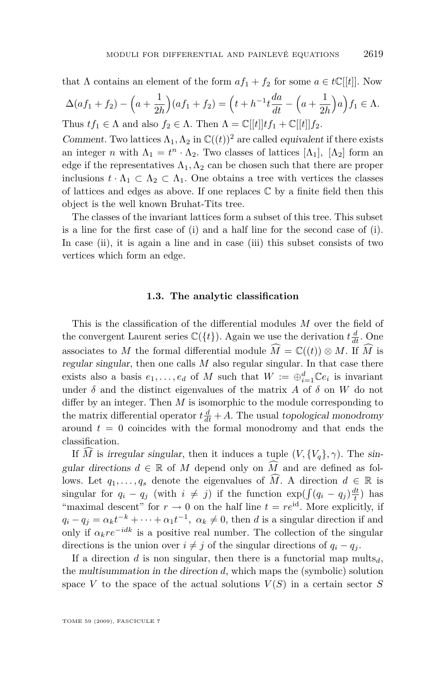<span id="page-9-0"></span>that  $\Lambda$  contains an element of the form  $af_1 + f_2$  for some  $a \in t\mathbb{C}[[t]]$ . Now

$$
\Delta(af_1 + f_2) - \left(a + \frac{1}{2h}\right)(af_1 + f_2) = \left(t + h^{-1}t\frac{da}{dt} - \left(a + \frac{1}{2h}\right)a\right)f_1 \in \Lambda.
$$
  
Thus  $tf_1 \in \Lambda$  and also  $f_2 \in \Lambda$ . Then  $\Lambda = \mathbb{C}[[t]]tf_1 + \mathbb{C}[[t]]f_2.$ 

Comment. Two lattices  $\Lambda_1, \Lambda_2$  in  $\mathbb{C}((t))^2$  are called *equivalent* if there exists an integer *n* with  $\Lambda_1 = t^n \cdot \Lambda_2$ . Two classes of lattices  $[\Lambda_1]$ ,  $[\Lambda_2]$  form an edge if the representatives  $\Lambda_1, \Lambda_2$  can be chosen such that there are proper inclusions  $t \cdot \Lambda_1 \subset \Lambda_2 \subset \Lambda_1$ . One obtains a tree with vertices the classes of lattices and edges as above. If one replaces  $\mathbb C$  by a finite field then this object is the well known Bruhat-Tits tree.

The classes of the invariant lattices form a subset of this tree. This subset is a line for the first case of (i) and a half line for the second case of (i). In case (ii), it is again a line and in case (iii) this subset consists of two vertices which form an edge.

#### **1.3. The analytic classification**

This is the classification of the differential modules *M* over the field of the convergent Laurent series  $\mathbb{C}(\{t\})$ . Again we use the derivation  $t \frac{d}{dt}$ . One associates to *M* the formal differential module  $\widehat{M} = \mathbb{C}((t)) \otimes M$ . If  $\widehat{M}$  is regular singular, then one calls *M* also regular singular. In that case there exists also a basis  $e_1, \ldots, e_d$  of *M* such that  $W := \bigoplus_{i=1}^d \mathbb{C}e_i$  is invariant under  $\delta$  and the distinct eigenvalues of the matrix *A* of  $\delta$  on *W* do not differ by an integer. Then *M* is isomorphic to the module corresponding to the matrix differential operator  $t\frac{d}{dt} + A$ . The usual topological monodromy around  $t = 0$  coincides with the formal monodromy and that ends the classification.

If *M* is irregular singular, then it induces a tuple  $(V, \{V_q\}, \gamma)$ . The singular directions  $d \in \mathbb{R}$  of M depend only on  $\widehat{M}$  and are defined as follows. Let  $q_1, \ldots, q_s$  denote the eigenvalues of  $\widehat{M}$ . A direction  $d \in \mathbb{R}$  is singular for  $q_i - q_j$  (with  $i \neq j$ ) if the function  $\exp(\int (q_i - q_j) \frac{dt}{t})$  has "maximal descent" for  $r \to 0$  on the half line  $t = re^{id}$ . More explicitly, if  $q_i - q_j = \alpha_k t^{-k} + \cdots + \alpha_1 t^{-1}, \ \alpha_k \neq 0$ , then *d* is a singular direction if and only if  $\alpha_k r e^{-i k}$  is a positive real number. The collection of the singular directions is the union over  $i \neq j$  of the singular directions of  $q_i - q_j$ .

If a direction *d* is non singular, then there is a functorial map  $\text{mults}_d$ , the multisummation in the direction *d*, which maps the (symbolic) solution space *V* to the space of the actual solutions  $V(S)$  in a certain sector *S*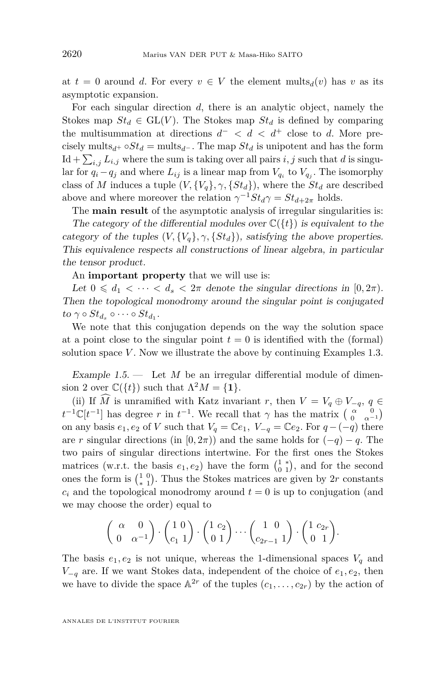at  $t = 0$  around *d*. For every  $v \in V$  the element mults<sub>*d*</sub>(*v*) has *v* as its asymptotic expansion.

For each singular direction *d*, there is an analytic object, namely the Stokes map  $St_d \in GL(V)$ . The Stokes map  $St_d$  is defined by comparing the multisummation at directions  $d^-$  <  $d$  <  $d^+$  close to  $d$ . More precisely mults<sub>*d*</sub>+  $\circ St_d$  = mults<sub>*d*</sub><sup>−</sup>. The map  $St_d$  is unipotent and has the form  $\text{Id} + \sum_{i,j} L_{i,j}$  where the sum is taking over all pairs  $i, j$  such that *d* is singular for  $q_i - q_j$  and where  $L_{ij}$  is a linear map from  $V_{q_i}$  to  $V_{q_j}$ . The isomorphy class of *M* induces a tuple  $(V, \{V_a\}, \gamma, \{St_d\})$ , where the  $St_d$  are described above and where moreover the relation  $\gamma^{-1}St_d\gamma = St_{d+2\pi}$  holds.

The **main result** of the asymptotic analysis of irregular singularities is: The category of the differential modules over  $\mathbb{C}(\{t\})$  is equivalent to the

category of the tuples  $(V, \{V_a\}, \gamma, \{St_a\})$ , satisfying the above properties. This equivalence respects all constructions of linear algebra, in particular the tensor product.

An **important property** that we will use is:

Let  $0 \leq d_1 < \cdots < d_s < 2\pi$  denote the singular directions in [0, 2 $\pi$ ]. Then the topological monodromy around the singular point is conjugated  $to \gamma \circ St_{d_s} \circ \cdots \circ St_{d_1}.$ 

We note that this conjugation depends on the way the solution space at a point close to the singular point  $t = 0$  is identified with the (formal) solution space *V* . Now we illustrate the above by continuing Examples [1.3.](#page-7-0)

Example  $1.5$  — Let M be an irregular differential module of dimension 2 over  $\mathbb{C}({t})$  such that  $\Lambda^2 M = \{1\}.$ 

(ii) If  $\widehat{M}$  is unramified with Katz invariant *r*, then  $V = V_q \oplus V_{-q}$ ,  $q \in$  $t^{-1}\mathbb{C}[t^{-1}]$  has degree *r* in  $t^{-1}$ . We recall that *γ* has the matrix  $\begin{pmatrix} \alpha & 0 \\ 0 & \alpha^{-1} \end{pmatrix}$ on any basis  $e_1, e_2$  of *V* such that  $V_q = \mathbb{C}e_1$ ,  $V_{-q} = \mathbb{C}e_2$ . For  $q - (-q)$  there are *r* singular directions (in  $[0, 2\pi)$ ) and the same holds for  $(-q) - q$ . The two pairs of singular directions intertwine. For the first ones the Stokes matrices (w.r.t. the basis  $e_1, e_2$ ) have the form  $\begin{pmatrix} 1 & * \\ 0 & 1 \end{pmatrix}$ , and for the second ones the form is  $\binom{1}{*}$ . Thus the Stokes matrices are given by 2*r* constants  $c_i$  and the topological monodromy around  $t = 0$  is up to conjugation (and we may choose the order) equal to

$$
\left(\begin{array}{cc} \alpha & 0 \\ 0 & \alpha^{-1} \end{array}\right) \cdot \left(\begin{array}{c} 1 & 0 \\ c_1 & 1 \end{array}\right) \cdot \left(\begin{array}{c} 1 & c_2 \\ 0 & 1 \end{array}\right) \cdots \left(\begin{array}{c} 1 & 0 \\ c_{2r-1} & 1 \end{array}\right) \cdot \left(\begin{array}{c} 1 & c_{2r} \\ 0 & 1 \end{array}\right).
$$

The basis  $e_1, e_2$  is not unique, whereas the 1-dimensional spaces  $V_q$  and *V*<sup>−</sup><sup>*q*</sup> are. If we want Stokes data, independent of the choice of  $e_1, e_2$ , then we have to divide the space  $\mathbb{A}^{2r}$  of the tuples  $(c_1, \ldots, c_{2r})$  by the action of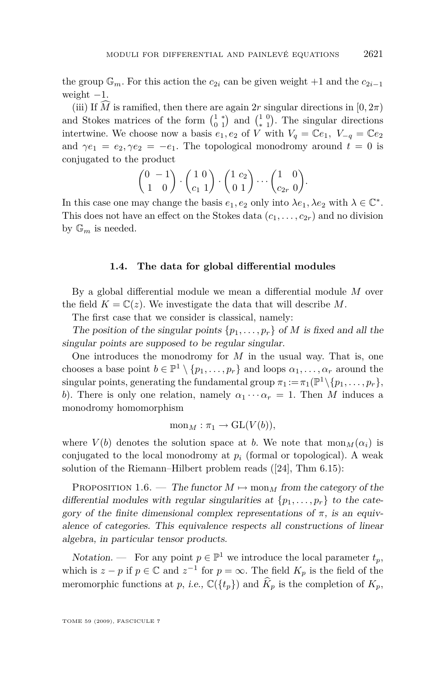<span id="page-11-0"></span>the group  $\mathbb{G}_m$ . For this action the  $c_{2i}$  can be given weight +1 and the  $c_{2i-1}$ weight *−*1.

(iii) If  $\hat{M}$  is ramified, then there are again 2*r* singular directions in [0, 2 $\pi$ ] and Stokes matrices of the form  $\begin{pmatrix} 1 & * \\ 0 & 1 \end{pmatrix}$  and  $\begin{pmatrix} 1 & 0 \\ * & 1 \end{pmatrix}$ . The singular directions intertwine. We choose now a basis  $e_1, e_2$  of *V* with  $V_q = \mathbb{C}e_1$ ,  $V_{-q} = \mathbb{C}e_2$ and  $\gamma e_1 = e_2, \gamma e_2 = -e_1$ . The topological monodromy around  $t = 0$  is conjugated to the product

$$
\begin{pmatrix} 0 & -1 \ 1 & 0 \end{pmatrix} \cdot \begin{pmatrix} 1 & 0 \ c_1 & 1 \end{pmatrix} \cdot \begin{pmatrix} 1 & c_2 \ 0 & 1 \end{pmatrix} \cdots \begin{pmatrix} 1 & 0 \ c_{2r} & 0 \end{pmatrix}.
$$

In this case one may change the basis  $e_1, e_2$  only into  $\lambda e_1, \lambda e_2$  with  $\lambda \in \mathbb{C}^*$ . This does not have an effect on the Stokes data  $(c_1, \ldots, c_{2r})$  and no division by  $\mathbb{G}_m$  is needed.

#### **1.4. The data for global differential modules**

By a global differential module we mean a differential module *M* over the field  $K = \mathbb{C}(z)$ . We investigate the data that will describe M.

The first case that we consider is classical, namely:

The position of the singular points  $\{p_1, \ldots, p_r\}$  of *M* is fixed and all the singular points are supposed to be regular singular.

One introduces the monodromy for *M* in the usual way. That is, one chooses a base point  $b \in \mathbb{P}^1 \setminus \{p_1, \ldots, p_r\}$  and loops  $\alpha_1, \ldots, \alpha_r$  around the  $\text{singular points, generating the fundamental group } \pi_1 := \pi_1(\mathbb{P}^1 \setminus \{p_1, \ldots, p_r\},\$ *b*). There is only one relation, namely  $\alpha_1 \cdots \alpha_r = 1$ . Then *M* induces a monodromy homomorphism

$$
\mathrm{mon}_M : \pi_1 \to \mathrm{GL}(V(b)),
$$

where  $V(b)$  denotes the solution space at *b*. We note that  $\text{mon}_M(\alpha_i)$  is conjugated to the local monodromy at  $p_i$  (formal or topological). A weak solution of the Riemann–Hilbert problem reads ([\[24\]](#page-57-0), Thm 6.15):

PROPOSITION 1.6. — The functor  $M \mapsto \text{mon}_M$  from the category of the differential modules with regular singularities at  $\{p_1, \ldots, p_r\}$  to the category of the finite dimensional complex representations of  $\pi$ , is an equivalence of categories. This equivalence respects all constructions of linear algebra, in particular tensor products.

Notation. — For any point  $p \in \mathbb{P}^1$  we introduce the local parameter  $t_p$ , which is  $z - p$  if  $p \in \mathbb{C}$  and  $z^{-1}$  for  $p = \infty$ . The field  $K_p$  is the field of the meromorphic functions at p, i.e.,  $\mathbb{C}(\lbrace t_p \rbrace)$  and  $\widehat{K}_p$  is the completion of  $K_p$ ,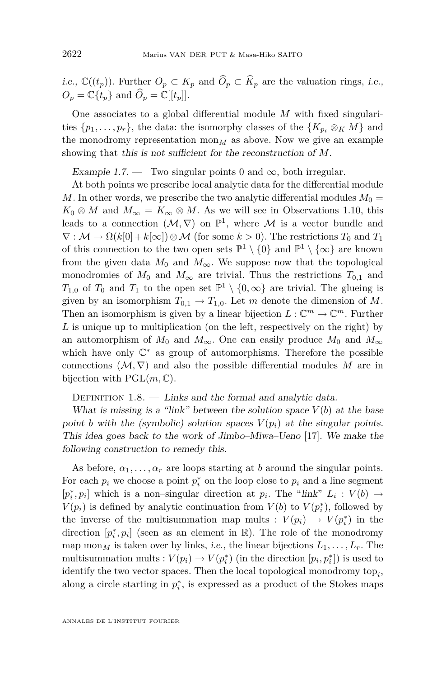<span id="page-12-0"></span>*i.e.*,  $\mathbb{C}((t_p))$ . Further  $O_p \subset K_p$  and  $\widehat{O}_p \subset \widehat{K}_p$  are the valuation rings, *i.e.*,  $O_p = \mathbb{C}\lbrace t_p \rbrace$  and  $\widehat{O}_p = \mathbb{C}[[t_p]]$ .

One associates to a global differential module *M* with fixed singularities  $\{p_1, \ldots, p_r\}$ , the data: the isomorphy classes of the  $\{K_{p_i} \otimes_K M\}$  and the monodromy representation  $\text{mon}_M$  as above. Now we give an example showing that this is not sufficient for the reconstruction of *M*.

Example 1.7. — Two singular points 0 and  $\infty$ , both irregular.

At both points we prescribe local analytic data for the differential module *M*. In other words, we prescribe the two analytic differential modules  $M_0 =$  $K_0 \otimes M$  and  $M_\infty = K_\infty \otimes M$ . As we will see in Observations [1.10,](#page-13-0) this leads to a connection  $(M, \nabla)$  on  $\mathbb{P}^1$ , where M is a vector bundle and  $\nabla : \mathcal{M} \to \Omega(k[0] + k[\infty]) \otimes \mathcal{M}$  (for some  $k > 0$ ). The restrictions  $T_0$  and  $T_1$ of this connection to the two open sets  $\mathbb{P}^1 \setminus \{0\}$  and  $\mathbb{P}^1 \setminus \{\infty\}$  are known from the given data  $M_0$  and  $M_\infty$ . We suppose now that the topological monodromies of  $M_0$  and  $M_\infty$  are trivial. Thus the restrictions  $T_{0,1}$  and *T*<sub>1</sub>,0</sub> of *T*<sub>0</sub> and *T*<sub>1</sub> to the open set  $\mathbb{P}^1 \setminus \{0, \infty\}$  are trivial. The glueing is given by an isomorphism  $T_{0,1} \to T_{1,0}$ . Let *m* denote the dimension of *M*. Then an isomorphism is given by a linear bijection  $L: \mathbb{C}^m \to \mathbb{C}^m$ . Further *L* is unique up to multiplication (on the left, respectively on the right) by an automorphism of  $M_0$  and  $M_\infty$ . One can easily produce  $M_0$  and  $M_\infty$ which have only C *<sup>∗</sup>* as group of automorphisms. Therefore the possible connections  $(\mathcal{M}, \nabla)$  and also the possible differential modules M are in bijection with  $PGL(m,\mathbb{C})$ .

DEFINITION  $1.8.$  — Links and the formal and analytic data.

What is missing is a "link" between the solution space  $V(b)$  at the base point *b* with the (symbolic) solution spaces  $V(p_i)$  at the singular points. This idea goes back to the work of Jimbo–Miwa–Ueno [\[17\]](#page-56-0). We make the following construction to remedy this.

As before,  $\alpha_1, \ldots, \alpha_r$  are loops starting at *b* around the singular points. For each  $p_i$  we choose a point  $p_i^*$  on the loop close to  $p_i$  and a line segment  $[p_i^*, p_i]$  which is a non–singular direction at  $p_i$ . The "link"  $L_i: V(b) \rightarrow$ *V*( $p_i$ ) is defined by analytic continuation from *V*( $b$ ) to *V*( $p_i^*$ ), followed by the inverse of the multisummation map mults :  $V(p_i) \rightarrow V(p_i^*)$  in the direction  $[p_i^*, p_i]$  (seen as an element in  $\mathbb{R}$ ). The role of the monodromy map mon<sub>*M*</sub> is taken over by links, *i.e.*, the linear bijections  $L_1, \ldots, L_r$ . The multisummation mults :  $V(p_i) \to V(p_i^*)$  (in the direction  $[p_i, p_i^*]$ ) is used to identify the two vector spaces. Then the local topological monodromy  $\text{top}_i$ , along a circle starting in  $p_i^*$ , is expressed as a product of the Stokes maps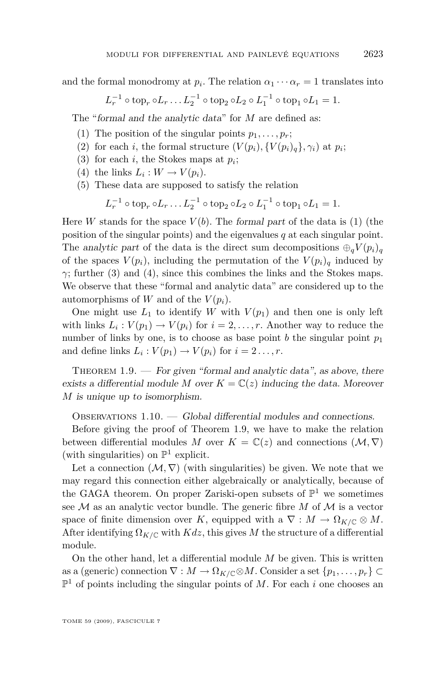<span id="page-13-0"></span>and the formal monodromy at  $p_i$ . The relation  $\alpha_1 \cdots \alpha_r = 1$  translates into

$$
L_r^{-1} \circ \text{top}_r \circ L_r \dots L_2^{-1} \circ \text{top}_2 \circ L_2 \circ L_1^{-1} \circ \text{top}_1 \circ L_1 = 1.
$$

The "formal and the analytic data" for *M* are defined as:

- (1) The position of the singular points  $p_1, \ldots, p_r$ ;
- (2) for each *i*, the formal structure  $(V(p_i), \{V(p_i)_q\}, \gamma_i)$  at  $p_i$ ;
- (3) for each *i*, the Stokes maps at  $p_i$ ;
- (4) the links  $L_i: W \to V(p_i)$ .
- (5) These data are supposed to satisfy the relation

$$
L_r^{-1} \circ \text{top}_r \circ L_r \dots L_2^{-1} \circ \text{top}_2 \circ L_2 \circ L_1^{-1} \circ \text{top}_1 \circ L_1 = 1.
$$

Here *W* stands for the space  $V(b)$ . The formal part of the data is (1) (the position of the singular points) and the eigenvalues *q* at each singular point. The analytic part of the data is the direct sum decompositions  $\bigoplus_{q} V(p_i)$ of the spaces  $V(p_i)$ , including the permutation of the  $V(p_i)$ <sub>q</sub> induced by *γ*; further (3) and (4), since this combines the links and the Stokes maps. We observe that these "formal and analytic data" are considered up to the automorphisms of *W* and of the  $V(p_i)$ .

One might use  $L_1$  to identify *W* with  $V(p_1)$  and then one is only left with links  $L_i: V(p_1) \to V(p_i)$  for  $i = 2, \ldots, r$ . Another way to reduce the number of links by one, is to choose as base point *b* the singular point  $p_1$ and define links  $L_i: V(p_1) \to V(p_i)$  for  $i = 2 \ldots, r$ .

THEOREM  $1.9.$  — For given "formal and analytic data", as above, there exists a differential module M over  $K = \mathbb{C}(z)$  inducing the data. Moreover *M* is unique up to isomorphism.

OBSERVATIONS  $1.10.$  - Global differential modules and connections.

Before giving the proof of Theorem 1.9, we have to make the relation between differential modules *M* over  $K = \mathbb{C}(z)$  and connections  $(\mathcal{M}, \nabla)$ (with singularities) on  $\mathbb{P}^1$  explicit.

Let a connection  $(M, \nabla)$  (with singularities) be given. We note that we may regard this connection either algebraically or analytically, because of the GAGA theorem. On proper Zariski-open subsets of  $\mathbb{P}^1$  we sometimes see  $M$  as an analytic vector bundle. The generic fibre  $M$  of  $M$  is a vector space of finite dimension over *K*, equipped with a  $\nabla : M \to \Omega_{K/\mathbb{C}} \otimes M$ . After identifying  $\Omega_{K/\mathbb{C}}$  with  $Kdz$ , this gives M the structure of a differential module.

On the other hand, let a differential module *M* be given. This is written as a (generic) connection  $\nabla : M \to \Omega_{K/\mathbb{C}} \otimes M$ . Consider a set  $\{p_1, \ldots, p_r\} \subset$  $\mathbb{P}^1$  of points including the singular points of M. For each *i* one chooses an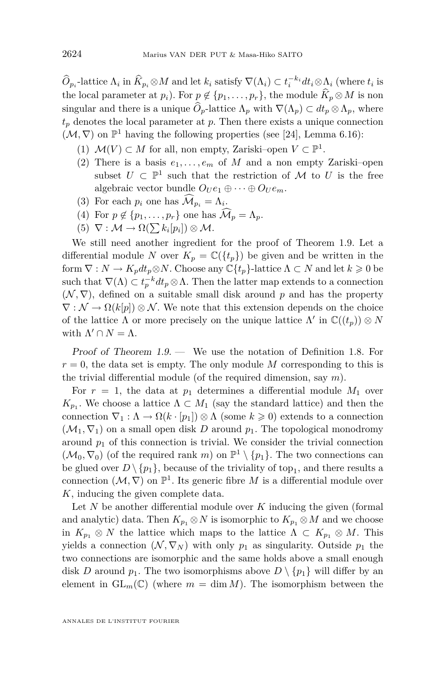$\widehat{O}_{p_i}$ -lattice  $\Lambda_i$  in  $\widehat{K}_{p_i} \otimes M$  and let  $k_i$  satisfy  $\nabla(\Lambda_i) \subset t_i^{-k_i} dt_i \otimes \Lambda_i$  (where  $t_i$  is the local parameter at  $p_i$ ). For  $p \notin \{p_1, \ldots, p_r\}$ , the module  $\widehat{K}_p \otimes M$  is non singular and there is a unique  $\widehat{O}_p$ -lattice  $\Lambda_p$  with  $\nabla(\Lambda_p) \subset dt_p \otimes \Lambda_p$ , where  $t_p$  denotes the local parameter at  $p$ . Then there exists a unique connection  $(\mathcal{M}, \nabla)$  on  $\mathbb{P}^1$  having the following properties (see [\[24\]](#page-57-0), Lemma 6.16):

- (1)  $M(V)$  ⊂ *M* for all, non empty, Zariski–open  $V \subset \mathbb{P}^1$ .
- (2) There is a basis  $e_1, \ldots, e_m$  of M and a non empty Zariski–open subset  $U \subset \mathbb{P}^1$  such that the restriction of  $\mathcal M$  to  $U$  is the free algebraic vector bundle  $O_{U}e_{1} \oplus \cdots \oplus O_{U}e_{m}$ .
- (3) For each  $p_i$  one has  $\mathcal{M}_{p_i} = \Lambda_i$ .
- (4) For  $p \notin \{p_1, \ldots, p_r\}$  one has  $\widehat{\mathcal{M}}_p = \Lambda_p$ .
- $(5)$   $\nabla : \mathcal{M} \to \Omega(\sum k_i[p_i]) \otimes \mathcal{M}.$

We still need another ingredient for the proof of Theorem [1.9.](#page-13-0) Let a differential module *N* over  $K_p = \mathbb{C}(\lbrace t_p \rbrace)$  be given and be written in the form  $\nabla : N \to K_p dt_p \otimes N$ . Choose any  $\mathbb{C}\lbrace t_p \rbrace$ -lattice  $\Lambda \subset N$  and let  $k \geqslant 0$  be such that  $\nabla(\Lambda) \subset t_p^{-k} dt_p \otimes \Lambda$ . Then the latter map extends to a connection  $(N, \nabla)$ , defined on a suitable small disk around p and has the property  $\nabla : \mathcal{N} \to \Omega(k[p]) \otimes \mathcal{N}$ . We note that this extension depends on the choice of the lattice  $\Lambda$  or more precisely on the unique lattice  $\Lambda'$  in  $\mathbb{C}((t_p)) \otimes N$ with  $\Lambda' \cap N = \Lambda$ .

Proof of Theorem [1.9.](#page-13-0) — We use the notation of Definition [1.8.](#page-12-0) For  $r = 0$ , the data set is empty. The only module M corresponding to this is the trivial differential module (of the required dimension, say *m*).

For  $r = 1$ , the data at  $p_1$  determines a differential module  $M_1$  over  $K_{p_1}$ . We choose a lattice  $\Lambda \subset M_1$  (say the standard lattice) and then the connection  $\nabla_1 : \Lambda \to \Omega(k \cdot [p_1]) \otimes \Lambda$  (some  $k \geq 0$ ) extends to a connection  $(\mathcal{M}_1, \nabla_1)$  on a small open disk *D* around  $p_1$ . The topological monodromy around  $p_1$  of this connection is trivial. We consider the trivial connection  $(\mathcal{M}_0, \nabla_0)$  (of the required rank *m*) on  $\mathbb{P}^1 \setminus \{p_1\}$ . The two connections can be glued over  $D \setminus \{p_1\}$ , because of the triviality of top<sub>1</sub>, and there results a connection  $(\mathcal{M}, \nabla)$  on  $\mathbb{P}^1$ . Its generic fibre *M* is a differential module over *K*, inducing the given complete data.

Let *N* be another differential module over *K* inducing the given (formal and analytic) data. Then  $K_{p_1} \otimes N$  is isomorphic to  $K_{p_1} \otimes M$  and we choose in  $K_{p_1} \otimes N$  the lattice which maps to the lattice  $\Lambda \subset K_{p_1} \otimes M$ . This yields a connection  $(N, \nabla_N)$  with only  $p_1$  as singularity. Outside  $p_1$  the two connections are isomorphic and the same holds above a small enough disk *D* around  $p_1$ . The two isomorphisms above  $D \setminus \{p_1\}$  will differ by an element in  $GL_m(\mathbb{C})$  (where  $m = \dim M$ ). The isomorphism between the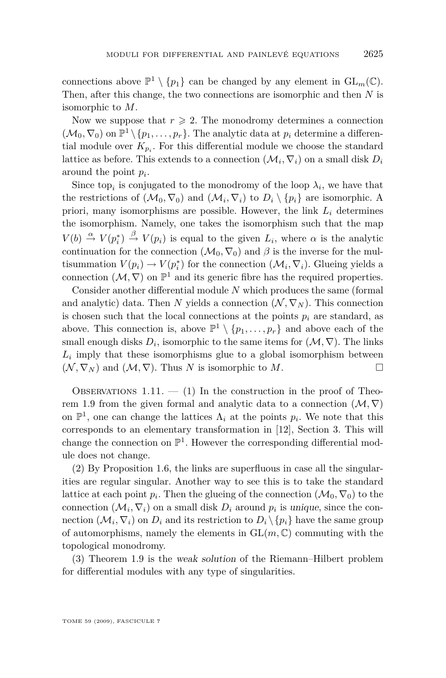<span id="page-15-0"></span>connections above  $\mathbb{P}^1 \setminus \{p_1\}$  can be changed by any element in  $GL_m(\mathbb{C})$ . Then, after this change, the two connections are isomorphic and then *N* is isomorphic to *M*.

Now we suppose that  $r \geqslant 2$ . The monodromy determines a connection  $(\mathcal{M}_0, \nabla_0)$  on  $\mathbb{P}^1 \setminus \{p_1, \ldots, p_r\}$ . The analytic data at  $p_i$  determine a differential module over  $K_{p_i}$ . For this differential module we choose the standard lattice as before. This extends to a connection  $(\mathcal{M}_i, \nabla_i)$  on a small disk  $D_i$ around the point *p<sup>i</sup>* .

Since top<sub>*i*</sub> is conjugated to the monodromy of the loop  $\lambda_i$ , we have that the restrictions of  $(\mathcal{M}_0, \nabla_0)$  and  $(\mathcal{M}_i, \nabla_i)$  to  $D_i \setminus \{p_i\}$  are isomorphic. A priori, many isomorphisms are possible. However, the link  $L_i$  determines the isomorphism. Namely, one takes the isomorphism such that the map  $V(b) \stackrel{\alpha}{\rightarrow} V(p_i^*) \stackrel{\beta}{\rightarrow} V(p_i)$  is equal to the given  $L_i$ , where  $\alpha$  is the analytic continuation for the connection  $(\mathcal{M}_0, \nabla_0)$  and  $\beta$  is the inverse for the multisummation  $V(p_i) \to V(p_i^*)$  for the connection  $(\mathcal{M}_i, \nabla_i)$ . Glueing yields a connection  $(\mathcal{M}, \nabla)$  on  $\mathbb{P}^1$  and its generic fibre has the required properties.

Consider another differential module *N* which produces the same (formal and analytic) data. Then *N* yields a connection  $(\mathcal{N}, \nabla_{\mathcal{N}})$ . This connection is chosen such that the local connections at the points  $p_i$  are standard, as above. This connection is, above  $\mathbb{P}^1 \setminus \{p_1, \ldots, p_r\}$  and above each of the small enough disks  $D_i$ , isomorphic to the same items for  $(\mathcal{M}, \nabla)$ . The links  $L_i$  imply that these isomorphisms glue to a global isomorphism between  $(N, \nabla_N)$  and  $(M, \nabla)$ . Thus *N* is isomorphic to *M*.

OBSERVATIONS 1.11.  $-$  (1) In the construction in the proof of Theo-rem [1.9](#page-13-0) from the given formal and analytic data to a connection  $(\mathcal{M}, \nabla)$ on  $\mathbb{P}^1$ , one can change the lattices  $\Lambda_i$  at the points  $p_i$ . We note that this corresponds to an elementary transformation in [\[12\]](#page-56-0), Section 3. This will change the connection on  $\mathbb{P}^1$ . However the corresponding differential module does not change.

(2) By Proposition [1.6,](#page-11-0) the links are superfluous in case all the singularities are regular singular. Another way to see this is to take the standard lattice at each point  $p_i$ . Then the glueing of the connection  $(\mathcal{M}_0, \nabla_0)$  to the connection  $(\mathcal{M}_i, \nabla_i)$  on a small disk  $D_i$  around  $p_i$  is unique, since the connection  $(\mathcal{M}_i, \nabla_i)$  on  $D_i$  and its restriction to  $D_i \setminus \{p_i\}$  have the same group of automorphisms, namely the elements in  $GL(m, \mathbb{C})$  commuting with the topological monodromy.

(3) Theorem [1.9](#page-13-0) is the weak solution of the Riemann–Hilbert problem for differential modules with any type of singularities.

TOME 59 (2009), FASCICULE 7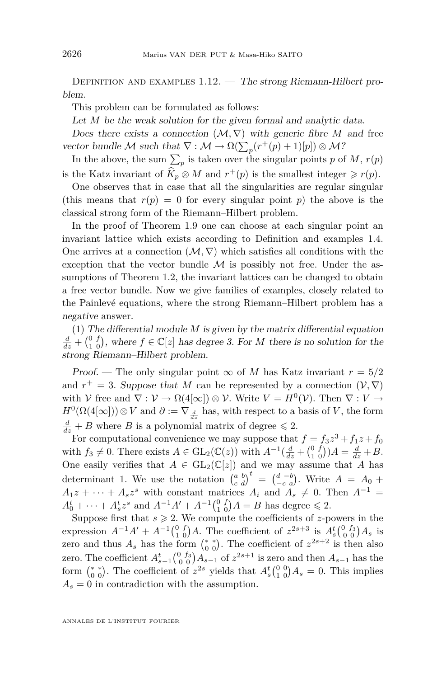DEFINITION AND EXAMPLES 1.12. — The strong Riemann-Hilbert problem.

This problem can be formulated as follows:

Let *M* be the weak solution for the given formal and analytic data.

Does there exists a connection  $(\mathcal{M}, \nabla)$  with generic fibre M and free vector bundle *M* such that  $\nabla : \mathcal{M} \to \Omega(\sum_p (r^+(p) + 1)[p]) \otimes \mathcal{M}$ ?

In the above, the sum  $\sum_{p}$  is taken over the singular points *p* of *M*, *r*(*p*) is the Katz invariant of  $\widehat{K}_p \otimes M$  and  $r^+(p)$  is the smallest integer  $\geq r(p)$ .

One observes that in case that all the singularities are regular singular (this means that  $r(p) = 0$  for every singular point *p*) the above is the classical strong form of the Riemann–Hilbert problem.

In the proof of Theorem [1.9](#page-13-0) one can choose at each singular point an invariant lattice which exists according to Definition and examples [1.4.](#page-8-0) One arrives at a connection  $(\mathcal{M}, \nabla)$  which satisfies all conditions with the exception that the vector bundle  $M$  is possibly not free. Under the assumptions of Theorem [1.2,](#page-4-0) the invariant lattices can be changed to obtain a free vector bundle. Now we give families of examples, closely related to the Painlevé equations, where the strong Riemann–Hilbert problem has a negative answer.

(1) The differential module *M* is given by the matrix differential equation  $\frac{d}{dz} + \begin{pmatrix} 0 & f \\ 1 & 0 \end{pmatrix}$ , where  $f \in \mathbb{C}[z]$  has degree 3. For *M* there is no solution for the strong Riemann–Hilbert problem.

Proof. — The only singular point  $\infty$  of *M* has Katz invariant  $r = 5/2$ and  $r^+ = 3$ . Suppose that *M* can be represented by a connection  $(\mathcal{V}, \nabla)$ with *V* free and  $\nabla : V \to \Omega(4[\infty]) \otimes V$ . Write  $V = H^0(V)$ . Then  $\nabla : V \to$  $H^0(\Omega(4[\infty]))\otimes V$  and  $\partial := \nabla_{\frac{d}{dx}}$  has, with respect to a basis of *V*, the form  $\frac{d}{dz} + B$  where *B* is a polynomial matrix of degree  $\leq 2$ .

For computational convenience we may suppose that  $f = f_3 z^3 + f_1 z + f_0$ with  $f_3 \neq 0$ . There exists  $A \in GL_2(\mathbb{C}(z))$  with  $A^{-1}(\frac{d}{dz} + \binom{0}{1}A) = \frac{d}{dz} + B$ . One easily verifies that  $A \in GL_2(\mathbb{C}[z])$  and we may assume that *A* has determinant 1. We use the notation  $\begin{pmatrix} a & b \\ c & d \end{pmatrix}^t = \begin{pmatrix} d & -b \\ -c & a \end{pmatrix}$ . Write  $A = A_0 +$  $A_1z + \cdots + A_sz^s$  with constant matrices  $A_i$  and  $A_s \neq 0$ . Then  $A^{-1} =$  $A_0^t + \cdots + A_s^t z^s$  and  $A^{-1}A' + A^{-1} {0 \choose 1} A = B$  has degree  $\leq 2$ .

Suppose first that  $s \ge 2$ . We compute the coefficients of *z*-powers in the expression  $A^{-1}A' + A^{-1} \begin{pmatrix} 0 & f \\ 1 & 0 \end{pmatrix} A$ . The coefficient of  $z^{2s+3}$  is  $A_s^t \begin{pmatrix} 0 & f_3 \\ 0 & 0 \end{pmatrix} A_s$  is zero and thus  $A_s$  has the form  $\binom{*}{0}$ . The coefficient of  $z^{2s+2}$  is then also zero. The coefficient  $A_{s-1}^t \begin{pmatrix} 0 & f_3 \\ 0 & 0 \end{pmatrix} A_{s-1}$  of  $z^{2s+1}$  is zero and then  $A_{s-1}$  has the form  $\binom{*}{0}$ . The coefficient of  $z^{2s}$  yields that  $A_s^t \binom{0}{1} 0$ ,  $A_s = 0$ . This implies  $A_s = 0$  in contradiction with the assumption.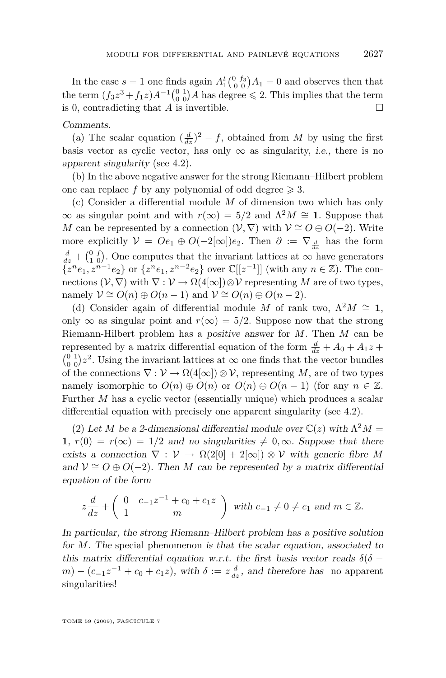In the case  $s = 1$  one finds again  $A_1^t \begin{pmatrix} 0 & f_3 \\ 0 & 0 \end{pmatrix} A_1 = 0$  and observes then that the term  $(f_3 z^3 + f_1 z) A^{-1} {0 \atop 0} {1 \atop 0} A$  has degree  $\leq 2$ . This implies that the term is 0, contradicting that *A* is invertible.  $\Box$ 

#### Comments.

(a) The scalar equation  $\left(\frac{d}{dz}\right)^2 - f$ , obtained from *M* by using the first basis vector as cyclic vector, has only  $\infty$  as singularity, *i.e.*, there is no apparent singularity (see [4.2\)](#page-42-0).

(b) In the above negative answer for the strong Riemann–Hilbert problem one can replace f by any polynomial of odd degree  $\geq 3$ .

(c) Consider a differential module *M* of dimension two which has only  $\infty$  as singular point and with *r*( $\infty$ ) = 5/2 and  $Λ<sup>2</sup>M ≅$  **1**. Suppose that *M* can be represented by a connection  $(V, \nabla)$  with  $V \cong O \oplus O(-2)$ . Write more explicitly  $V = Oe_1 \oplus O(-2[\infty])e_2$ . Then  $\partial := \nabla_{\frac{d}{d}}$  has the form  $\frac{d}{dz} + \begin{pmatrix} 0 & f \\ 1 & 0 \end{pmatrix}$ . One computes that the invariant lattices at *∞* have generators  $\{z^n e_1, z^{n-1} e_2\}$  or  $\{z^n e_1, z^{n-2} e_2\}$  over  $\mathbb{C}[[z^{-1}]]$  (with any  $n \in \mathbb{Z}$ ). The connections  $(V, \nabla)$  with  $\nabla : V \to \Omega(4[\infty]) \otimes V$  representing M are of two types,  $n \text{ and } \mathcal{V} \cong O(n) \oplus O(n-1) \text{ and } \mathcal{V} \cong O(n) \oplus O(n-2).$ 

(d) Consider again of differential module *M* of rank two,  $\Lambda^2 M \cong 1$ , only  $\infty$  as singular point and  $r(\infty) = 5/2$ . Suppose now that the strong Riemann-Hilbert problem has a positive answer for *M*. Then *M* can be represented by a matrix differential equation of the form  $\frac{d}{dz} + A_0 + A_1 z +$  $\binom{0}{0}$  <sup>1</sup>/<sub>0</sub> <sup>2</sup>. Using the invariant lattices at  $\infty$  one finds that the vector bundles of the connections  $\nabla : \mathcal{V} \to \Omega(4[\infty]) \otimes \mathcal{V}$ , representing M, are of two types namely isomorphic to  $O(n) \oplus O(n)$  or  $O(n) \oplus O(n-1)$  (for any  $n \in \mathbb{Z}$ . Further *M* has a cyclic vector (essentially unique) which produces a scalar differential equation with precisely one apparent singularity (see [4.2\)](#page-42-0).

(2) Let *M* be a 2-dimensional differential module over  $\mathbb{C}(z)$  with  $\Lambda^2 M =$ **1**,  $r(0) = r(\infty) = 1/2$  and no singularities  $\neq 0, \infty$ . Suppose that there exists a connection  $\nabla : V \to \Omega(2[0] + 2[\infty]) \otimes V$  with generic fibre M and  $V \cong O \oplus O(-2)$ . Then *M* can be represented by a matrix differential equation of the form

$$
z\frac{d}{dz} + \begin{pmatrix} 0 & c_{-1}z^{-1} + c_0 + c_1z \\ 1 & m \end{pmatrix}
$$
 with  $c_{-1} \neq 0 \neq c_1$  and  $m \in \mathbb{Z}$ .

In particular, the strong Riemann–Hilbert problem has a positive solution for *M*. The special phenomenon is that the scalar equation, associated to this matrix differential equation w.r.t. the first basis vector reads  $\delta(\delta$  $m) - (c_{-1}z^{-1} + c_0 + c_1z)$ , with  $\delta := z\frac{d}{dz}$ , and therefore has no apparent singularities!

TOME 59 (2009), FASCICULE 7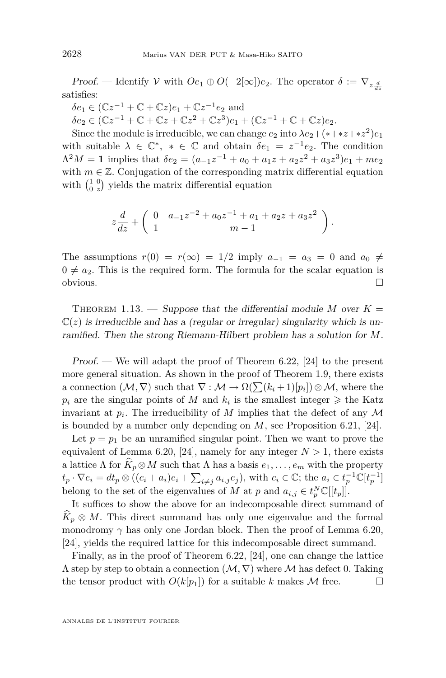Proof. — Identify *V* with  $Oe_1 \oplus O(-2[\infty])e_2$ . The operator  $\delta := \nabla_{z} \frac{d}{dz}$ satisfies:

 $\delta e_1 \in (\mathbb{C}z^{-1} + \mathbb{C} + \mathbb{C}z)e_1 + \mathbb{C}z^{-1}e_2$  and  $\delta e_2 \in (\mathbb{C}z^{-1} + \mathbb{C} + \mathbb{C}z + \mathbb{C}z^2 + \mathbb{C}z^3)e_1 + (\mathbb{C}z^{-1} + \mathbb{C} + \mathbb{C}z)e_2.$ 

Since the module is irreducible, we can change  $e_2$  into  $\lambda e_2 + (*+ *z+ *z^2)e_1$ with suitable  $\lambda \in \mathbb{C}^*$ ,  $* \in \mathbb{C}$  and obtain  $\delta e_1 = z^{-1}e_2$ . The condition  $\Lambda^2 M = 1$  implies that  $\delta e_2 = (a_{-1}z^{-1} + a_0 + a_1z + a_2z^2 + a_3z^3)e_1 + me_2$ with  $m \in \mathbb{Z}$ . Conjugation of the corresponding matrix differential equation with  $\begin{pmatrix} 1 & 0 \\ 0 & z \end{pmatrix}$  yields the matrix differential equation

$$
z\frac{d}{dz} + \left(\begin{array}{cc} 0 & a_{-1}z^{-2} + a_0z^{-1} + a_1 + a_2z + a_3z^2 \\ 1 & m-1 \end{array}\right).
$$

The assumptions  $r(0) = r(\infty) = 1/2$  imply  $a_{-1} = a_3 = 0$  and  $a_0 \neq$  $0 \neq a_2$ . This is the required form. The formula for the scalar equation is obvious.

THEOREM 1.13. — Suppose that the differential module M over  $K =$  $\mathbb{C}(z)$  is irreducible and has a (regular or irregular) singularity which is unramified. Then the strong Riemann-Hilbert problem has a solution for *M*.

*Proof.* — We will adapt the proof of Theorem 6.22, [\[24\]](#page-57-0) to the present more general situation. As shown in the proof of Theorem [1.9,](#page-13-0) there exists a connection  $(\mathcal{M}, \nabla)$  such that  $\nabla : \mathcal{M} \to \Omega(\sum (k_i + 1)[p_i]) \otimes \mathcal{M}$ , where the  $p_i$  are the singular points of *M* and  $k_i$  is the smallest integer  $\geq$  the Katz invariant at  $p_i$ . The irreducibility of  $M$  implies that the defect of any  $\mathcal M$ is bounded by a number only depending on *M*, see Proposition 6.21, [\[24\]](#page-57-0).

Let  $p = p_1$  be an unramified singular point. Then we want to prove the equivalent of Lemma 6.20, [\[24\]](#page-57-0), namely for any integer  $N > 1$ , there exists a lattice  $\Lambda$  for  $\widehat{K}_p \otimes M$  such that  $\Lambda$  has a basis  $e_1, \ldots, e_m$  with the property  $t_p \cdot \nabla e_i = dt_p \otimes ((c_i + a_i)e_i + \sum_{i \neq j} a_{i,j}e_j)$ , with  $c_i \in \mathbb{C}$ ; the  $a_i \in t_p^{-1}\mathbb{C}[t_p^{-1}]$ belong to the set of the eigenvalues of *M* at *p* and  $a_{i,j} \in t_p^N \mathbb{C}[[t_p]]$ .

It suffices to show the above for an indecomposable direct summand of  $K_p \otimes M$ . This direct summand has only one eigenvalue and the formal monodromy  $\gamma$  has only one Jordan block. Then the proof of Lemma 6.20, [\[24\]](#page-57-0), yields the required lattice for this indecomposable direct summand.

Finally, as in the proof of Theorem 6.22, [\[24\]](#page-57-0), one can change the lattice Λ step by step to obtain a connection (*M, ∇*) where *M* has defect 0. Taking the tensor product with  $O(k[p_1])$  for a suitable k makes  $\mathcal M$  free.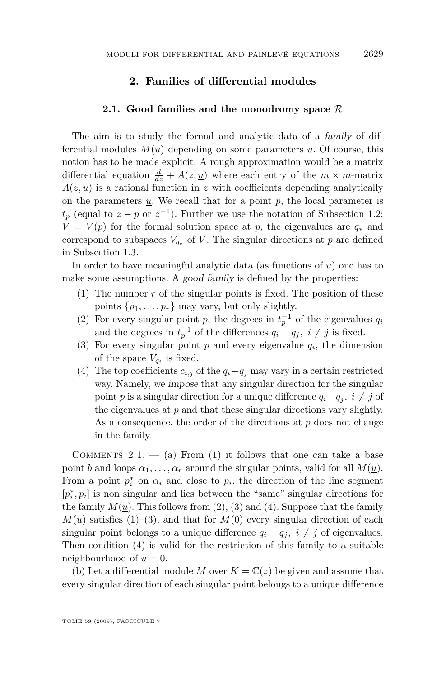#### **2. Families of differential modules**

#### **2.1. Good families and the monodromy space** *R*

<span id="page-19-0"></span>The aim is to study the formal and analytic data of a family of differential modules  $M(u)$  depending on some parameters  $u$ . Of course, this notion has to be made explicit. A rough approximation would be a matrix differential equation  $\frac{d}{dz} + A(z, \underline{u})$  where each entry of the  $m \times m$ -matrix  $A(z, \underline{u})$  is a rational function in *z* with coefficients depending analytically on the parameters *u*. We recall that for a point *p*, the local parameter is  $t_p$  (equal to  $z - p$  or  $z^{-1}$ ). Further we use the notation of Subsection [1.2:](#page-5-0)  $V = V(p)$  for the formal solution space at *p*, the eigenvalues are  $q_*$  and correspond to subspaces  $V_{q_*}$  of *V*. The singular directions at *p* are defined in Subsection [1.3.](#page-9-0)

In order to have meaningful analytic data (as functions of *u*) one has to make some assumptions. A good family is defined by the properties:

- (1) The number *r* of the singular points is fixed. The position of these points  $\{p_1, \ldots, p_r\}$  may vary, but only slightly.
- (2) For every singular point *p*, the degrees in  $t_p^{-1}$  of the eigenvalues  $q_i$ and the degrees in  $t_p^{-1}$  of the differences  $q_i - q_j$ ,  $i \neq j$  is fixed.
- (3) For every singular point  $p$  and every eigenvalue  $q_i$ , the dimension of the space  $V_{q_i}$  is fixed.
- (4) The top coefficients  $c_{i,j}$  of the  $q_i q_j$  may vary in a certain restricted way. Namely, we impose that any singular direction for the singular point *p* is a singular direction for a unique difference  $q_i - q_j$ ,  $i \neq j$  of the eigenvalues at *p* and that these singular directions vary slightly. As a consequence, the order of the directions at *p* does not change in the family.

COMMENTS 2.1.  $-$  (a) From (1) it follows that one can take a base point *b* and loops  $\alpha_1, \ldots, \alpha_r$  around the singular points, valid for all  $M(\underline{u})$ . From a point  $p_i^*$  on  $\alpha_i$  and close to  $p_i$ , the direction of the line segment  $[p_i^*, p_i]$  is non singular and lies between the "same" singular directions for the family  $M(u)$ . This follows from  $(2)$ ,  $(3)$  and  $(4)$ . Suppose that the family  $M(u)$  satisfies (1)–(3), and that for  $M(0)$  every singular direction of each singular point belongs to a unique difference  $q_i - q_j$ ,  $i \neq j$  of eigenvalues. Then condition (4) is valid for the restriction of this family to a suitable neighbourhood of  $u = 0$ .

(b) Let a differential module *M* over  $K = \mathbb{C}(z)$  be given and assume that every singular direction of each singular point belongs to a unique difference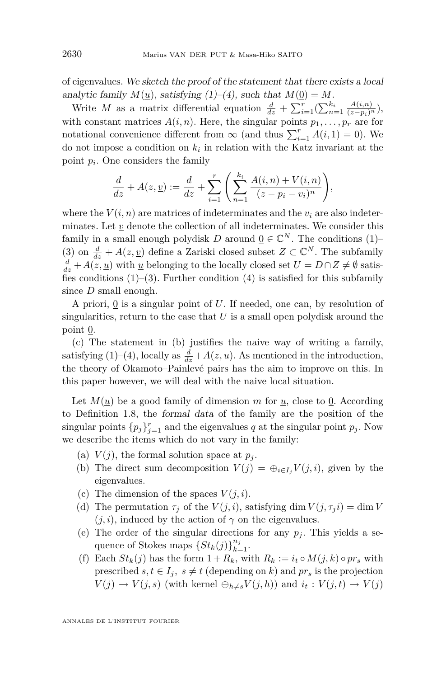of eigenvalues. We sketch the proof of the statement that there exists a local analytic family  $M(u)$ , satisfying  $(1)–(4)$ , such that  $M(0) = M$ .

Write *M* as a matrix differential equation  $\frac{d}{dz} + \sum_{i=1}^{r} (\sum_{n=1}^{k_i} \frac{A(i,n)}{(z-p_i)^n}),$ with constant matrices  $A(i, n)$ . Here, the singular points  $p_1, \ldots, p_r$  are for notational convenience different from  $\infty$  (and thus  $\sum_{i=1}^{r} A(i, 1) = 0$ ). We do not impose a condition on  $k_i$  in relation with the Katz invariant at the point *p<sup>i</sup>* . One considers the family

$$
\frac{d}{dz} + A(z, \underline{v}) := \frac{d}{dz} + \sum_{i=1}^{r} \left( \sum_{n=1}^{k_i} \frac{A(i, n) + V(i, n)}{(z - p_i - v_i)^n} \right),
$$

where the  $V(i, n)$  are matrices of indeterminates and the  $v_i$  are also indeterminates. Let *v* denote the collection of all indeterminates. We consider this family in a small enough polydisk  $D$  around  $\underline{0} \in \mathbb{C}^N$ . The conditions (1)– (3) on  $\frac{d}{dz} + A(z, \underline{v})$  define a Zariski closed subset  $Z \subset \mathbb{C}^N$ . The subfamily  $\frac{d}{dz}$  + *A*(*z*, <u>*u*</u>) with <u>*u*</u> belonging to the locally closed set *U* = *D* ∩ *Z*  $\neq$  *Ø* satisfies conditions  $(1)$ – $(3)$ . Further condition  $(4)$  is satisfied for this subfamily since *D* small enough.

A priori, 0 is a singular point of *U*. If needed, one can, by resolution of singularities, return to the case that *U* is a small open polydisk around the point 0.

(c) The statement in (b) justifies the naive way of writing a family, satisfying (1)–(4), locally as  $\frac{d}{dz} + A(z, \underline{u})$ . As mentioned in the introduction, the theory of Okamoto–Painlevé pairs has the aim to improve on this. In this paper however, we will deal with the naive local situation.

Let  $M(u)$  be a good family of dimension  $m$  for  $u$ , close to 0. According to Definition [1.8,](#page-12-0) the formal data of the family are the position of the singular points  $\{p_j\}_{j=1}^r$  and the eigenvalues *q* at the singular point  $p_j$ . Now we describe the items which do not vary in the family:

- (a)  $V(j)$ , the formal solution space at  $p_j$ .
- (b) The direct sum decomposition  $V(j) = \bigoplus_{i \in I} V(j, i)$ , given by the eigenvalues.
- (c) The dimension of the spaces  $V(j, i)$ .
- (d) The permutation  $\tau_j$  of the  $V(j, i)$ , satisfying dim  $V(j, \tau_i i) = \dim V$  $(j, i)$ , induced by the action of  $\gamma$  on the eigenvalues.
- (e) The order of the singular directions for any  $p_j$ . This yields a sequence of Stokes maps  ${St_k(j)}_{k=1}^{{n_j}}$ .
- (f) Each  $St_k(j)$  has the form  $1 + R_k$ , with  $R_k := i_t \circ M(j, k) \circ pr_s$  with prescribed  $s, t \in I_j$ ,  $s \neq t$  (depending on *k*) and  $pr_s$  is the projection  $V(j) \rightarrow V(j, s)$  (with kernel  $\bigoplus_{h \neq s} V(j, h)$ ) and  $i_t : V(j, t) \rightarrow V(j)$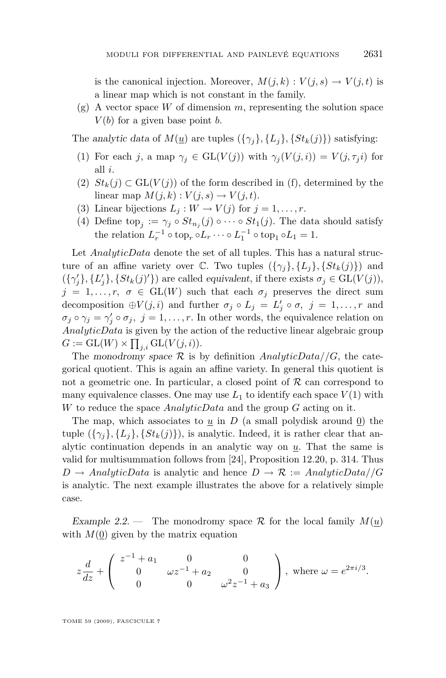<span id="page-21-0"></span>is the canonical injection. Moreover,  $M(j,k): V(j,s) \to V(j,t)$  is a linear map which is not constant in the family.

(g) A vector space *W* of dimension *m*, representing the solution space  $V(b)$  for a given base point *b*.

The analytic data of  $M(u)$  are tuples  $({\gamma_i}, {\{L_i\}, {\{St_k(j)\}}})$  satisfying:

- (1) For each *j*, a map  $\gamma_i \in GL(V(j))$  with  $\gamma_i(V(j,i)) = V(j, \tau_i i)$  for all *i*.
- (2)  $St_k(j) \subset GL(V(j))$  of the form described in (f), determined by the linear map  $M(j,k): V(j,s) \rightarrow V(j,t)$ .
- (3) Linear bijections  $L_j: W \to V(j)$  for  $j = 1, \ldots, r$ .
- (4) Define top<sub>j</sub> :=  $\gamma_j \circ St_{n_j}(j) \circ \cdots \circ St_1(j)$ . The data should satisfy the relation  $L_r^{-1} \circ \text{top}_r \circ L_r \cdots \circ L_1^{-1} \circ \text{top}_1 \circ L_1 = 1.$

Let *AnalyticData* denote the set of all tuples. This has a natural structure of an affine variety over  $\mathbb{C}$ . Two tuples  $({\{\gamma_i\}, {\{L_i\}, \{S_{t_k}(j)\}}})$  and  $(\{\gamma_j'\}, \{L_j'\}, \{St_k(j)'\})$  are called equivalent, if there exists  $\sigma_j \in GL(V(j)),$  $j = 1, \ldots, r, \sigma \in GL(W)$  such that each  $\sigma_j$  preserves the direct sum decomposition  $\oplus V(j, i)$  and further  $\sigma_j \circ L_j = L'_j \circ \sigma, \ j = 1, \ldots, r$  and  $\sigma_j \circ \gamma_j = \gamma'_j \circ \sigma_j$ ,  $j = 1, \ldots, r$ . In other words, the equivalence relation on *AnalyticData* is given by the action of the reductive linear algebraic group  $G := GL(W) \times \prod_{j,i} GL(V(j,i)).$ 

The monodromy space  $\mathcal R$  is by definition *AnalyticData*//*G*, the categorical quotient. This is again an affine variety. In general this quotient is not a geometric one. In particular, a closed point of  $R$  can correspond to many equivalence classes. One may use  $L_1$  to identify each space  $V(1)$  with *W* to reduce the space *AnalyticData* and the group *G* acting on it.

The map, which associates to  $\underline{u}$  in *D* (a small polydisk around  $\underline{0}$ ) the tuple  $({\gamma_i}, {\{L_i\}}, {\{St_k}(j)\})$ , is analytic. Indeed, it is rather clear that analytic continuation depends in an analytic way on *u*. That the same is valid for multisummation follows from [\[24\]](#page-57-0), Proposition 12.20, p. 314. Thus  $D \rightarrow AnalyticData$  is analytic and hence  $D \rightarrow \mathcal{R} := AnalyticData//G$ is analytic. The next example illustrates the above for a relatively simple case.

Example 2.2. — The monodromy space  $\mathcal R$  for the local family  $M(\underline{u})$ with  $M(0)$  given by the matrix equation

$$
z\frac{d}{dz} + \begin{pmatrix} z^{-1} + a_1 & 0 & 0 \\ 0 & \omega z^{-1} + a_2 & 0 \\ 0 & 0 & \omega^2 z^{-1} + a_3 \end{pmatrix}, \text{ where } \omega = e^{2\pi i/3}.
$$

TOME 59 (2009), FASCICULE 7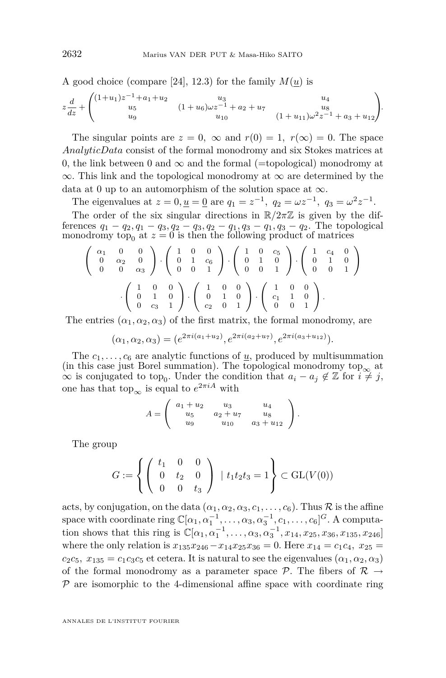A good choice (compare [\[24\]](#page-57-0), 12.3) for the family  $M(\underline{u})$  is

$$
z\frac{d}{dz} + \begin{pmatrix} (1+u_1)z^{-1} + a_1 + u_2 & u_3 & u_4 \ u_5 & (1+u_6)\omega z^{-1} + a_2 + u_7 & u_8 \ u_9 & u_{10} & (1+u_{11})\omega^2 z^{-1} + a_3 + u_{12} \end{pmatrix}.
$$

The singular points are  $z = 0$ ,  $\infty$  and  $r(0) = 1$ ,  $r(\infty) = 0$ . The space *AnalyticData* consist of the formal monodromy and six Stokes matrices at 0, the link between 0 and  $\infty$  and the formal (=topological) monodromy at *∞*. This link and the topological monodromy at *∞* are determined by the data at 0 up to an automorphism of the solution space at  $\infty$ .

The eigenvalues at  $z = 0, \underline{u} = \underline{0}$  are  $q_1 = z^{-1}, q_2 = \omega z^{-1}, q_3 = \omega^2 z^{-1}$ . The order of the six singular directions in  $\mathbb{R}/2\pi\mathbb{Z}$  is given by the differences  $q_1 - q_2, q_1 - q_3, q_2 - q_3, q_2 - q_1, q_3 - q_1, q_3 - q_2$ . The topological monodromy top<sub>0</sub> at  $z = 0$  is then the following product of matrices

$$
\left(\begin{array}{ccc}\n\alpha_1 & 0 & 0 \\
0 & \alpha_2 & 0 \\
0 & 0 & \alpha_3\n\end{array}\right) \cdot \left(\begin{array}{ccc}\n1 & 0 & 0 \\
0 & 1 & c_6 \\
0 & 0 & 1\n\end{array}\right) \cdot \left(\begin{array}{ccc}\n1 & 0 & c_5 \\
0 & 1 & 0 \\
0 & 0 & 1\n\end{array}\right) \cdot \left(\begin{array}{ccc}\n1 & c_4 & 0 \\
0 & 1 & 0 \\
0 & 0 & 1\n\end{array}\right)
$$
  
\n
$$
\cdot \left(\begin{array}{ccc}\n1 & 0 & 0 \\
0 & 1 & 0 \\
0 & c_3 & 1\n\end{array}\right) \cdot \left(\begin{array}{ccc}\n1 & 0 & 0 \\
0 & 1 & 0 \\
c_2 & 0 & 1\n\end{array}\right) \cdot \left(\begin{array}{ccc}\n1 & 0 & 0 \\
c_1 & 1 & 0 \\
0 & 0 & 1\n\end{array}\right).
$$

The entries  $(\alpha_1, \alpha_2, \alpha_3)$  of the first matrix, the formal monodromy, are

$$
(\alpha_1, \alpha_2, \alpha_3) = (e^{2\pi i (a_1 + u_2)}, e^{2\pi i (a_2 + u_7)}, e^{2\pi i (a_3 + u_{12})}).
$$

The  $c_1, \ldots, c_6$  are analytic functions of  $\underline{u}$ , produced by multisummation (in this case just Borel summation). The topological monodromy top<sub>∞</sub> at  $\infty$  is conjugated to top<sub>0</sub>. Under the condition that  $a_i - a_j \notin \mathbb{Z}$  for  $i \neq j$ , one has that to  $p_{\infty}$  is equal to  $e^{2\pi i A}$  with

$$
A = \left( \begin{array}{ccc} a_1 + u_2 & u_3 & u_4 \\ u_5 & a_2 + u_7 & u_8 \\ u_9 & u_{10} & a_3 + u_{12} \end{array} \right).
$$

The group

$$
G := \left\{ \left( \begin{array}{ccc} t_1 & 0 & 0 \\ 0 & t_2 & 0 \\ 0 & 0 & t_3 \end{array} \right) \; | \; t_1 t_2 t_3 = 1 \right\} \subset GL(V(0))
$$

acts, by conjugation, on the data  $(\alpha_1, \alpha_2, \alpha_3, c_1, \ldots, c_6)$ . Thus  $\mathcal R$  is the affine space with coordinate ring  $\mathbb{C}[\alpha_1, \alpha_1^{-1}, \ldots, \alpha_3, \alpha_3^{-1}, c_1, \ldots, c_6]^G$ . A computation shows that this ring is  $\mathbb{C}[\alpha_1, \alpha_1^{-1}, \ldots, \alpha_3, \alpha_3^{-1}, x_{14}, x_{25}, x_{36}, x_{135}, x_{246}]$ where the only relation is  $x_{135}x_{246} - x_{14}x_{25}x_{36} = 0$ . Here  $x_{14} = c_1c_4$ ,  $x_{25} =$  $c_2c_5$ ,  $x_{135} = c_1c_3c_5$  et cetera. It is natural to see the eigenvalues  $(\alpha_1, \alpha_2, \alpha_3)$ of the formal monodromy as a parameter space  $P$ . The fibers of  $R \rightarrow$ *P* are isomorphic to the 4-dimensional affine space with coordinate ring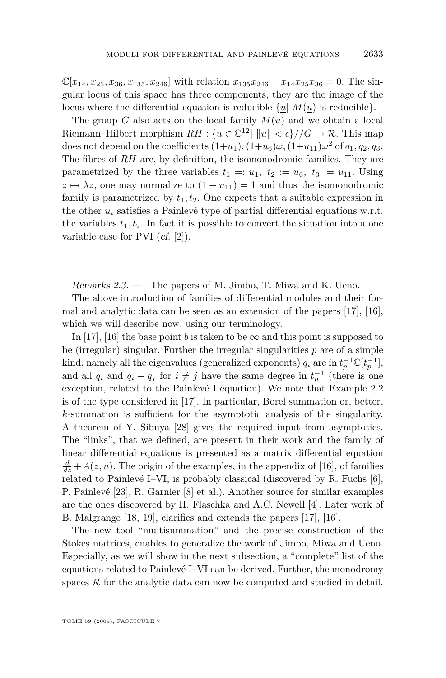<span id="page-23-0"></span> $\mathbb{C}[x_{14}, x_{25}, x_{36}, x_{135}, x_{246}]$  with relation  $x_{135}x_{246} - x_{14}x_{25}x_{36} = 0$ . The singular locus of this space has three components, they are the image of the locus where the differential equation is reducible  $\{u | M(u)$  is reducible.

The group *G* also acts on the local family  $M(u)$  and we obtain a local Riemann–Hilbert morphism  $RH: \{ \underline{u} \in \mathbb{C}^{12} | \|\underline{u}\| < \epsilon \} / /G \to \mathcal{R}$ . This map does not depend on the coefficients  $(1+u_1)$ ,  $(1+u_6)\omega$ ,  $(1+u_{11})\omega^2$  of  $q_1, q_2, q_3$ . The fibres of *RH* are, by definition, the isomonodromic families. They are parametrized by the three variables  $t_1 =: u_1, t_2 := u_6, t_3 := u_{11}$ . Using  $z \mapsto \lambda z$ , one may normalize to  $(1 + u_{11}) = 1$  and thus the isomonodromic family is parametrized by  $t_1, t_2$ . One expects that a suitable expression in the other  $u_i$  satisfies a Painlevé type of partial differential equations w.r.t. the variables  $t_1, t_2$ . In fact it is possible to convert the situation into a one variable case for PVI (cf. [\[2\]](#page-55-0)).

Remarks 2.3. — The papers of M. Jimbo, T. Miwa and K. Ueno.

The above introduction of families of differential modules and their formal and analytic data can be seen as an extension of the papers [\[17\]](#page-56-0), [\[16\]](#page-56-0), which we will describe now, using our terminology.

In [\[17\]](#page-56-0), [\[16\]](#page-56-0) the base point *b* is taken to be  $\infty$  and this point is supposed to be (irregular) singular. Further the irregular singularities *p* are of a simple kind, namely all the eigenvalues (generalized exponents)  $q_i$  are in  $t_p^{-1} \mathbb{C}[t_p^{-1}]$ , and all  $q_i$  and  $q_i - q_j$  for  $i \neq j$  have the same degree in  $t_p^{-1}$  (there is one exception, related to the Painlevé I equation). We note that Example [2.2](#page-21-0) is of the type considered in [\[17\]](#page-56-0). In particular, Borel summation or, better, *k*-summation is sufficient for the asymptotic analysis of the singularity. A theorem of Y. Sibuya [\[28\]](#page-57-0) gives the required input from asymptotics. The "links", that we defined, are present in their work and the family of linear differential equations is presented as a matrix differential equation  $\frac{d}{dz} + A(z, \underline{u})$ . The origin of the examples, in the appendix of [\[16\]](#page-56-0), of families related to Painlevé I–VI, is probably classical (discovered by R. Fuchs [\[6\]](#page-55-0), P. Painlevé [\[23\]](#page-56-0), R. Garnier [\[8\]](#page-56-0) et al.). Another source for similar examples are the ones discovered by H. Flaschka and A.C. Newell [\[4\]](#page-55-0). Later work of B. Malgrange [\[18,](#page-56-0) [19\]](#page-56-0), clarifies and extends the papers [\[17\]](#page-56-0), [\[16\]](#page-56-0).

The new tool "multisummation" and the precise construction of the Stokes matrices, enables to generalize the work of Jimbo, Miwa and Ueno. Especially, as we will show in the next subsection, a "complete" list of the equations related to Painlevé I–VI can be derived. Further, the monodromy spaces  $R$  for the analytic data can now be computed and studied in detail.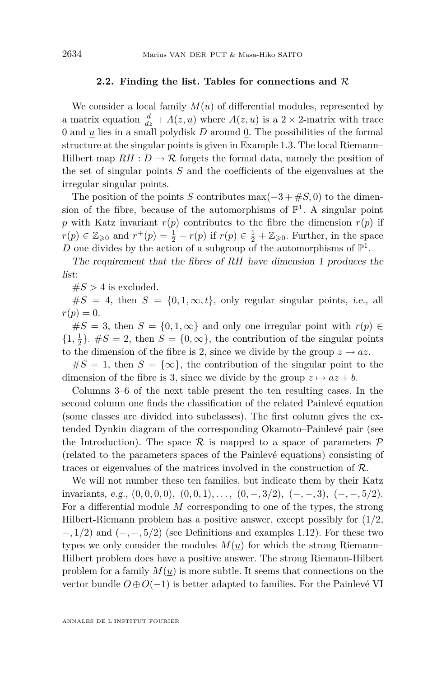#### **2.2. Finding the list. Tables for connections and** *R*

We consider a local family  $M(u)$  of differential modules, represented by a matrix equation  $\frac{d}{dz} + A(z, \underline{u})$  where  $A(z, \underline{u})$  is a 2 × 2-matrix with trace 0 and  $\underline{u}$  lies in a small polydisk  $D$  around  $\underline{0}$ . The possibilities of the formal structure at the singular points is given in Example [1.3.](#page-7-0) The local Riemann– Hilbert map  $RH : D \to \mathcal{R}$  forgets the formal data, namely the position of the set of singular points *S* and the coefficients of the eigenvalues at the irregular singular points.

The position of the points *S* contributes max $(-3 + \#S, 0)$  to the dimension of the fibre, because of the automorphisms of  $\mathbb{P}^1$ . A singular point *p* with Katz invariant  $r(p)$  contributes to the fibre the dimension  $r(p)$  if *r*(*p*)  $∈ \mathbb{Z}_{\geqslant 0}$  and  $r^+(p) = \frac{1}{2} + r(p)$  if  $r(p) ∈ \frac{1}{2} + \mathbb{Z}_{\geqslant 0}$ . Further, in the space D one divides by the action of a subgroup of the automorphisms of  $\mathbb{P}^1$ .

The requirement that the fibres of *RH* have dimension 1 produces the list:

 $#S > 4$  is excluded.

 $\#S = 4$ , then  $S = \{0, 1, \infty, t\}$ , only regular singular points, *i.e.*, all  $r(p) = 0.$ 

 $#S = 3$ , then  $S = \{0, 1, \infty\}$  and only one irregular point with  $r(p) \in$  $\{1, \frac{1}{2}\}$ .  $\#S = 2$ , then  $S = \{0, \infty\}$ , the contribution of the singular points to the dimension of the fibre is 2, since we divide by the group  $z \mapsto az$ .

 $#S = 1$ , then  $S = {\infty}$ , the contribution of the singular point to the dimension of the fibre is 3, since we divide by the group  $z \mapsto az + b$ .

Columns 3–6 of the next table present the ten resulting cases. In the second column one finds the classification of the related Painlevé equation (some classes are divided into subclasses). The first column gives the extended Dynkin diagram of the corresponding Okamoto–Painlevé pair (see the Introduction). The space  $\mathcal R$  is mapped to a space of parameters  $\mathcal P$ (related to the parameters spaces of the Painlevé equations) consisting of traces or eigenvalues of the matrices involved in the construction of *R*.

We will not number these ten families, but indicate them by their Katz invariants, e.g.,  $(0,0,0,0)$ ,  $(0,0,1)$ , ...,  $(0,-,3/2)$ ,  $(-,-,3)$ ,  $(-,-,5/2)$ . For a differential module *M* corresponding to one of the types, the strong Hilbert-Riemann problem has a positive answer, except possibly for (1*/*2*, −,* 1*/*2) and (*−, −,* 5*/*2) (see Definitions and examples [1.12\)](#page-15-0). For these two types we only consider the modules  $M(u)$  for which the strong Riemann– Hilbert problem does have a positive answer. The strong Riemann-Hilbert problem for a family  $M(u)$  is more subtle. It seems that connections on the vector bundle  $O \oplus O(-1)$  is better adapted to families. For the Painlevé VI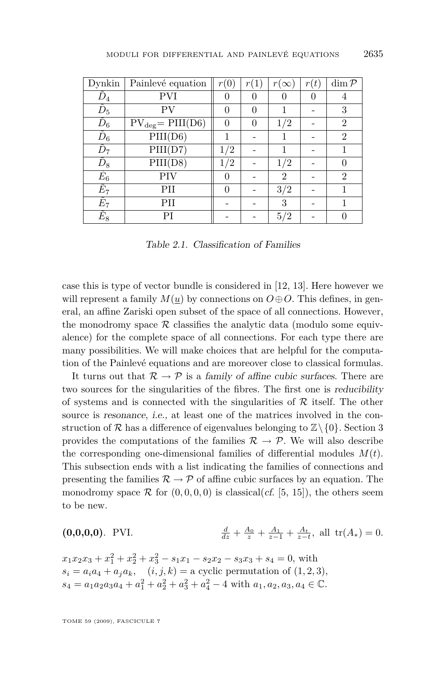<span id="page-25-0"></span>

| Dynkin           | Painlevé equation     | r(0)     | r(1) | $r(\infty)$    | r(t) | $\dim \mathcal{P}$ |
|------------------|-----------------------|----------|------|----------------|------|--------------------|
| $D_4$            | PVI                   |          |      |                |      |                    |
| $D_5$            | PV                    | $\Omega$ | 0    |                |      | 3                  |
| $\tilde D_6$     | $PV_{deg} = PIII(D6)$ | $\cup$   |      | 1/2            |      | $\overline{2}$     |
| $\tilde{D}_6$    | PIII(D6)              |          |      |                |      | $\overline{2}$     |
| $\overline{D}_7$ | PIII(D7)              | 1/2      |      |                |      |                    |
| $\tilde{D}_8$    | PIII(D8)              | 1/2      |      | 1/2            |      |                    |
| $\tilde{E}_6$    | PIV                   | $\cup$   |      | $\overline{2}$ |      | $\overline{2}$     |
| $\tilde{E}_7$    | PН                    | 0        |      | 3/2            |      |                    |
| $E_7$            | PП                    |          |      | 3              |      |                    |
| $E_{8}$          | PI                    |          |      | 5/2            |      |                    |

Table 2.1. Classification of Families

case this is type of vector bundle is considered in [\[12,](#page-56-0) [13\]](#page-56-0). Here however we will represent a family  $M(u)$  by connections on  $O \oplus O$ . This defines, in general, an affine Zariski open subset of the space of all connections. However, the monodromy space  $R$  classifies the analytic data (modulo some equivalence) for the complete space of all connections. For each type there are many possibilities. We will make choices that are helpful for the computation of the Painlevé equations and are moreover close to classical formulas.

It turns out that  $\mathcal{R} \to \mathcal{P}$  is a family of affine cubic surfaces. There are two sources for the singularities of the fibres. The first one is reducibility of systems and is connected with the singularities of *R* itself. The other source is resonance, i.e., at least one of the matrices involved in the construction of  $\mathcal{R}$  has a difference of eigenvalues belonging to  $\mathbb{Z}\setminus\{0\}$ . Section [3](#page-27-0) provides the computations of the families  $\mathcal{R} \to \mathcal{P}$ . We will also describe the corresponding one-dimensional families of differential modules  $M(t)$ . This subsection ends with a list indicating the families of connections and presenting the families  $\mathcal{R} \to \mathcal{P}$  of affine cubic surfaces by an equation. The monodromy space  $\mathcal R$  for  $(0,0,0,0)$  is classical(*cf.* [\[5,](#page-55-0) [15\]](#page-56-0)), the others seem to be new.

$$
\textbf{(0,0,0,0).} \quad \text{PVI.} \qquad \qquad \frac{d}{dz} + \frac{A_0}{z} + \frac{A_1}{z-1} + \frac{A_t}{z-t}, \text{ all } \text{tr}(A_*) = 0.
$$

 $x_1x_2x_3 + x_1^2 + x_2^2 + x_3^2 - s_1x_1 - s_2x_2 - s_3x_3 + s_4 = 0$ , with  $s_i = a_i a_4 + a_j a_k$ ,  $(i, j, k) =$  a cyclic permutation of  $(1, 2, 3)$ *,*  $s_4 = a_1a_2a_3a_4 + a_1^2 + a_2^2 + a_3^2 + a_4^2 - 4$  with  $a_1, a_2, a_3, a_4 \in \mathbb{C}$ .

TOME 59 (2009), FASCICULE 7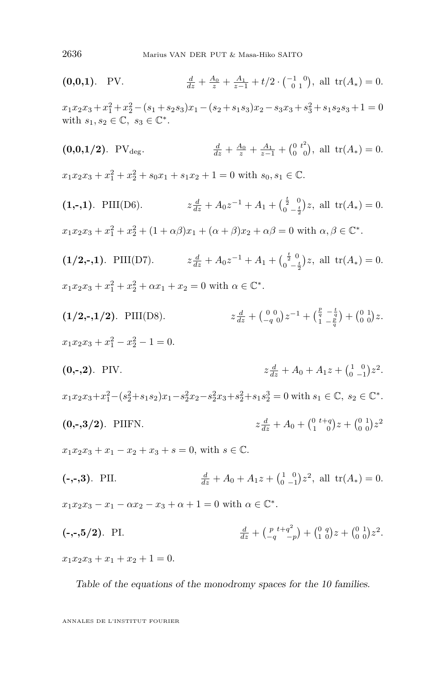$(0,0,1)$ . PV.  $\frac{d}{dz} + \frac{A_0}{z} + \frac{A_1}{z-1} + t/2 \cdot {\binom{-1}{0}}$ , all  $\text{tr}(A_*) = 0$ .  $x_1x_2x_3 + x_1^2 + x_2^2 - (s_1 + s_2s_3)x_1 - (s_2 + s_1s_3)x_2 - s_3x_3 + s_3^2 + s_1s_2s_3 + 1 = 0$ with  $s_1, s_2 \in \mathbb{C}, s_3 \in \mathbb{C}^*$ .  $(0,0,1/2)$ . PV<sub>deg</sub>.  $\frac{d}{dz} + \frac{A_0}{z} + \frac{A_1}{z-1} + \left(\begin{matrix} 0 & t^2 \\ 0 & 0 \end{matrix}\right)$ , all  $tr(A_*) = 0$ .  $x_1x_2x_3 + x_1^2 + x_2^2 + s_0x_1 + s_1x_2 + 1 = 0$  with  $s_0, s_1 \in \mathbb{C}$ .  $(1,-,1)$ . PIII(D6).  $\frac{d}{dz} + A_0 z^{-1} + A_1 + \left(\frac{\frac{t}{2}}{0} - \frac{t}{2}\right)$  $\int_{0}^{\frac{1}{2}} e^{-\frac{t}{2}} dz$ , all tr( $A_*$ ) = 0. 2  $x_1x_2x_3 + x_1^2 + x_2^2 + (1 + \alpha\beta)x_1 + (\alpha + \beta)x_2 + \alpha\beta = 0$  with  $\alpha, \beta \in \mathbb{C}^*$ . **(1/2,-,1)**. PIII(D7). *z*  $\frac{d}{dz} + A_0 z^{-1} + A_1 + \left(\frac{\frac{t}{2}}{0 - \frac{t}{2}}\right)$  $\int_{0}^{\frac{1}{2}-\frac{t}{2}}$  all tr( $A_*$ ) = 0. 2  $x_1x_2x_3 + x_1^2 + x_2^2 + \alpha x_1 + x_2 = 0$  with  $\alpha \in \mathbb{C}^*$ .  $(1/2,-,1/2)$ . PIII(D8).  $\frac{d}{dz} + \left(\begin{matrix} 0 & 0 \\ -q & 0 \end{matrix}\right) z^{-1} + \left(\begin{matrix} \frac{p}{q} & -\frac{t}{q} \\ 1 & -\frac{p}{q} \end{matrix}\right) + \left(\begin{matrix} 0 & 1 \\ 0 & 0 \end{matrix}\right) z.$  $x_1x_2x_3 + x_1^2 - x_2^2 - 1 = 0.$  $(0,-,2)$ . PIV.  $\frac{d}{dz} + A_0 + A_1 z + \left(\begin{smallmatrix} 1 & 0 \\ 0 & -1 \end{smallmatrix}\right) z^2.$  $x_1x_2x_3+x_1^2-(s_2^2+s_1s_2)x_1-s_2^2x_2-s_2^2x_3+s_2^2+s_1s_2^3=0$  with  $s_1 \in \mathbb{C}$ ,  $s_2 \in \mathbb{C}^*$ . **(0,-,3/2)**. PIIFN. *z*  $\frac{d}{dz} + A_0 + \binom{0}{1} \binom{t+q}{0} z + \binom{0}{0} \binom{1}{0} z^2$  $x_1x_2x_3 + x_1 - x_2 + x_3 + s = 0$ , with  $s \in \mathbb{C}$ . **(-,-,3)**. PII. *<sup>d</sup>*  $\frac{d}{dz} + A_0 + A_1 z + \left(\begin{smallmatrix} 1 & 0 \\ 0 & -1 \end{smallmatrix}\right) z^2$ , all  $\text{tr}(A_*) = 0$ .  $x_1x_2x_3 - x_1 - \alpha x_2 - x_3 + \alpha + 1 = 0$  with  $\alpha \in \mathbb{C}^*$ .  $(-,-,5/2)$ . PI.  $\frac{d}{dz} + \left(\frac{p}{-q}t + q^2\right)$  $\binom{p}{q} + \binom{q}{q} + \binom{0}{q} + \binom{0}{q} + \binom{0}{r} + \binom{1}{r}$  $x_1x_2x_3 + x_1 + x_2 + 1 = 0.$ 

Table of the equations of the monodromy spaces for the 10 families.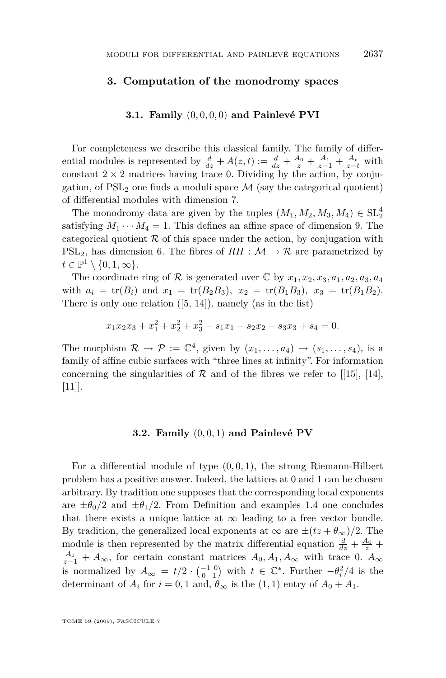#### <span id="page-27-0"></span>**3. Computation of the monodromy spaces**

#### **3.1. Family** (0*,* 0*,* 0*,* 0) **and Painlevé PVI**

For completeness we describe this classical family. The family of differential modules is represented by  $\frac{d}{dz} + A(z,t) := \frac{d}{dz} + \frac{A_0}{z} + \frac{A_1}{z-1} + \frac{A_t}{z-t}$  with constant  $2 \times 2$  matrices having trace 0. Dividing by the action, by conjugation, of  $PSL<sub>2</sub>$  one finds a moduli space  $M$  (say the categorical quotient) of differential modules with dimension 7.

The monodromy data are given by the tuples  $(M_1, M_2, M_3, M_4) \in SL_2^4$ satisfying  $M_1 \cdots M_4 = 1$ . This defines an affine space of dimension 9. The categorical quotient  $R$  of this space under the action, by conjugation with PSL<sub>2</sub>, has dimension 6. The fibres of  $RH : \mathcal{M} \to \mathcal{R}$  are parametrized by  $t \in \mathbb{P}^1 \setminus \{0, 1, \infty\}.$ 

The coordinate ring of  $\mathcal{R}$  is generated over  $\mathbb{C}$  by  $x_1, x_2, x_3, a_1, a_2, a_3, a_4$ with  $a_i = \text{tr}(B_i)$  and  $x_1 = \text{tr}(B_2B_3)$ ,  $x_2 = \text{tr}(B_1B_3)$ ,  $x_3 = \text{tr}(B_1B_2)$ . There is only one relation ([\[5,](#page-55-0) [14\]](#page-56-0)), namely (as in the list)

$$
x_1x_2x_3 + x_1^2 + x_2^2 + x_3^2 - s_1x_1 - s_2x_2 - s_3x_3 + s_4 = 0.
$$

The morphism  $\mathcal{R} \to \mathcal{P} := \mathbb{C}^4$ , given by  $(x_1, \ldots, a_4) \mapsto (s_1, \ldots, s_4)$ , is a family of affine cubic surfaces with "three lines at infinity". For information concerning the singularities of  $R$  and of the fibres we refer to [[\[15\]](#page-56-0), [\[14\]](#page-56-0), [\[11\]](#page-56-0)].

#### **3.2. Family** (0*,* 0*,* 1) **and Painlevé PV**

For a differential module of type (0*,* 0*,* 1), the strong Riemann-Hilbert problem has a positive answer. Indeed, the lattices at 0 and 1 can be chosen arbitrary. By tradition one supposes that the corresponding local exponents are  $\pm \theta_0/2$  and  $\pm \theta_1/2$ . From Definition and examples [1.4](#page-8-0) one concludes that there exists a unique lattice at  $\infty$  leading to a free vector bundle. By tradition, the generalized local exponents at  $\infty$  are  $\pm (tz + \theta_{\infty})/2$ . The module is then represented by the matrix differential equation  $\frac{d}{dz} + \frac{A_0}{z} + \frac{A_1}{z}$  $\frac{A_1}{z-1}$  +  $A_\infty$ , for certain constant matrices  $A_0, A_1, A_\infty$  with trace 0.  $A_\infty$ is normalized by  $A_{\infty} = t/2 \cdot {\binom{-1}{0}}$  with  $t \in \mathbb{C}^*$ . Further  $-\theta_i^2/4$  is the determinant of  $A_i$  for  $i = 0, 1$  and,  $\theta_{\infty}$  is the  $(1, 1)$  entry of  $A_0 + A_1$ .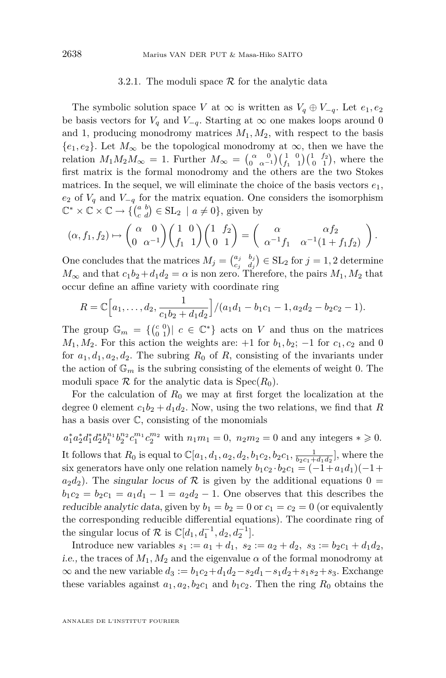#### 3.2.1. The moduli space *R* for the analytic data

The symbolic solution space *V* at  $\infty$  is written as  $V_q \oplus V_{-q}$ . Let  $e_1, e_2$ be basis vectors for  $V_q$  and  $V_{-q}$ . Starting at  $\infty$  one makes loops around 0 and 1, producing monodromy matrices  $M_1, M_2$ , with respect to the basis  ${e_1, e_2}$ . Let  $M_\infty$  be the topological monodromy at  $\infty$ , then we have the relation  $M_1M_2M_\infty = 1$ . Further  $M_\infty = \begin{pmatrix} \alpha & 0 \\ 0 & \alpha^{-1} \end{pmatrix} \begin{pmatrix} 1 & 0 \\ f_1 & 1 \end{pmatrix} \begin{pmatrix} 1 & f_2 \\ 0 & 1 \end{pmatrix}$ , where the first matrix is the formal monodromy and the others are the two Stokes matrices. In the sequel, we will eliminate the choice of the basis vectors  $e_1$ ,  $e_2$  of  $V_q$  and  $V_{-q}$  for the matrix equation. One considers the isomorphism  $\mathbb{C}^* \times \mathbb{C} \times \mathbb{C} \to \{ \begin{pmatrix} a & b \\ c & d \end{pmatrix} \in SL_2 \mid a \neq 0 \}$ , given by

$$
(\alpha, f_1, f_2) \mapsto \begin{pmatrix} \alpha & 0 \\ 0 & \alpha^{-1} \end{pmatrix} \begin{pmatrix} 1 & 0 \\ f_1 & 1 \end{pmatrix} \begin{pmatrix} 1 & f_2 \\ 0 & 1 \end{pmatrix} = \begin{pmatrix} \alpha & \alpha f_2 \\ \alpha^{-1} f_1 & \alpha^{-1} (1 + f_1 f_2) \end{pmatrix}.
$$

One concludes that the matrices  $M_j = \begin{pmatrix} a_j & b_j \ c_i & d_j \end{pmatrix}$  $\begin{pmatrix} a_j & b_j \\ c_j & d_j \end{pmatrix} \in SL_2$  for  $j = 1, 2$  determine  $M_{\infty}$  and that  $c_1b_2 + d_1d_2 = \alpha$  is non zero. Therefore, the pairs  $M_1, M_2$  that occur define an affine variety with coordinate ring

$$
R = \mathbb{C}\Big[a_1,\ldots,d_2,\frac{1}{c_1b_2+d_1d_2}\Big]/(a_1d_1-b_1c_1-1,a_2d_2-b_2c_2-1).
$$

The group  $\mathbb{G}_m = \{ \begin{pmatrix} c & 0 \\ 0 & 1 \end{pmatrix} | c \in \mathbb{C}^* \}$  acts on *V* and thus on the matrices  $M_1, M_2$ . For this action the weights are: +1 for  $b_1, b_2$ ; −1 for  $c_1, c_2$  and 0 for  $a_1, d_1, a_2, d_2$ . The subring  $R_0$  of  $R$ , consisting of the invariants under the action of  $\mathbb{G}_m$  is the subring consisting of the elements of weight 0. The moduli space  $\mathcal R$  for the analytic data is  $\text{Spec}(R_0)$ .

For the calculation of  $R_0$  we may at first forget the localization at the degree 0 element  $c_1b_2 + d_1d_2$ . Now, using the two relations, we find that *R* has a basis over C, consisting of the monomials

 $a_1^* a_2^* d_1^* d_2^* b_1^{n_1} b_2^{n_2} c_1^{m_1} c_2^{m_2}$  with  $n_1 m_1 = 0$ ,  $n_2 m_2 = 0$  and any integers  $* \geq 0$ . It follows that  $R_0$  is equal to  $\mathbb{C}[a_1, d_1, a_2, d_2, b_1c_2, b_2c_1, \frac{1}{b_2c_1+d_1d_2}]$ , where the six generators have only one relation namely  $b_1c_2 \cdot b_2c_1 = (-1 + a_1d_1)(-1 +$  $a_2d_2$ ). The singular locus of  $\mathcal R$  is given by the additional equations 0 =  $b_1c_2 = b_2c_1 = a_1d_1 - 1 = a_2d_2 - 1$ . One observes that this describes the reducible analytic data, given by  $b_1 = b_2 = 0$  or  $c_1 = c_2 = 0$  (or equivalently the corresponding reducible differential equations). The coordinate ring of the singular locus of  $\mathcal{R}$  is  $\mathbb{C}[d_1, d_1^{-1}, d_2, d_2^{-1}]$ .

Introduce new variables  $s_1 := a_1 + d_1$ ,  $s_2 := a_2 + d_2$ ,  $s_3 := b_2c_1 + d_1d_2$ , i.e., the traces of  $M_1, M_2$  and the eigenvalue  $\alpha$  of the formal monodromy at  $\infty$  and the new variable  $d_3 := b_1c_2 + d_1d_2 - s_2d_1 - s_1d_2 + s_1s_2 + s_3$ . Exchange these variables against  $a_1, a_2, b_2c_1$  and  $b_1c_2$ . Then the ring  $R_0$  obtains the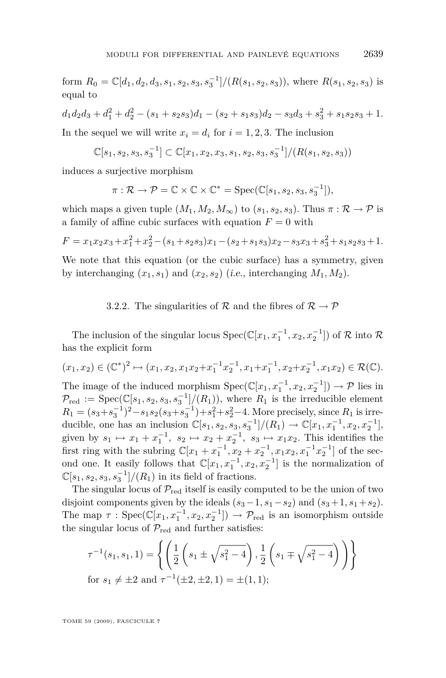form  $R_0 = \mathbb{C}[d_1, d_2, d_3, s_1, s_2, s_3, s_3^{-1}]/(R(s_1, s_2, s_3))$ , where  $R(s_1, s_2, s_3)$  is equal to

 $d_1d_2d_3 + d_1^2 + d_2^2 - (s_1 + s_2s_3)d_1 - (s_2 + s_1s_3)d_2 - s_3d_3 + s_3^2 + s_1s_2s_3 + 1.$ 

In the sequel we will write  $x_i = d_i$  for  $i = 1, 2, 3$ . The inclusion

$$
\mathbb{C}[s_1, s_2, s_3, s_3^{-1}] \subset \mathbb{C}[x_1, x_2, x_3, s_1, s_2, s_3, s_3^{-1}]/(R(s_1, s_2, s_3))
$$

induces a surjective morphism

$$
\pi: \mathcal{R} \to \mathcal{P} = \mathbb{C} \times \mathbb{C} \times \mathbb{C}^* = \mathrm{Spec}(\mathbb{C}[s_1, s_2, s_3, s_3^{-1}]),
$$

which maps a given tuple  $(M_1, M_2, M_\infty)$  to  $(s_1, s_2, s_3)$ . Thus  $\pi : \mathcal{R} \to \mathcal{P}$  is a family of affine cubic surfaces with equation  $F = 0$  with

$$
F = x_1x_2x_3 + x_1^2 + x_2^2 - (s_1 + s_2s_3)x_1 - (s_2 + s_1s_3)x_2 - s_3x_3 + s_3^2 + s_1s_2s_3 + 1.
$$

We note that this equation (or the cubic surface) has a symmetry, given by interchanging  $(x_1, s_1)$  and  $(x_2, s_2)$  (i.e., interchanging  $M_1, M_2$ ).

#### 3.2.2. The singularities of  $R$  and the fibres of  $R \rightarrow \mathcal{P}$

The inclusion of the singular locus  $Spec(\mathbb{C}[x_1, x_1^{-1}, x_2, x_2^{-1}])$  of  $\mathcal R$  into  $\mathcal R$ has the explicit form

 $(x_1, x_2) \in (\mathbb{C}^*)^2 \mapsto (x_1, x_2, x_1x_2 + x_1^{-1}x_2^{-1}, x_1 + x_1^{-1}, x_2 + x_2^{-1}, x_1x_2) \in \mathcal{R}(\mathbb{C}).$ The image of the induced morphism  $Spec(\mathbb{C}[x_1, x_1^{-1}, x_2, x_2^{-1}]) \to \mathcal{P}$  lies in  $\mathcal{P}_{\text{red}} := \text{Spec}(\mathbb{C}[s_1, s_2, s_3, s_3^{-1}]/(R_1)),$  where  $R_1$  is the irreducible element  $R_1 = (s_3 + s_3^{-1})^2 - s_1 s_2 (s_3 + s_3^{-1}) + s_1^2 + s_2^2 - 4$ . More precisely, since  $R_1$  is irreducible, one has an inclusion  $\mathbb{C}[s_1, s_2, s_3, s_3^{-1}]/(R_1) \to \mathbb{C}[x_1, x_1^{-1}, x_2, x_2^{-1}],$ 

given by  $s_1 \mapsto x_1 + x_1^{-1}$ ,  $s_2 \mapsto x_2 + x_2^{-1}$ ,  $s_3 \mapsto x_1 x_2$ . This identifies the first ring with the subring  $\mathbb{C}[x_1 + x_1^{-1}, x_2 + x_2^{-1}, x_1x_2, x_1^{-1}x_2^{-1}]$  of the second one. It easily follows that  $\mathbb{C}[x_1, x_1^{-1}, x_2, x_2^{-1}]$  is the normalization of  $\mathbb{C}[s_1, s_2, s_3, s_3^{-1}]/(R_1)$  in its field of fractions.

The singular locus of  $P_{\text{red}}$  itself is easily computed to be the union of two disjoint components given by the ideals  $(s_3-1, s_1-s_2)$  and  $(s_3+1, s_1+s_2)$ . The map  $\tau$  : Spec( $\mathbb{C}[x_1, x_1^{-1}, x_2, x_2^{-1}]$ )  $\to \mathcal{P}_{\text{red}}$  is an isomorphism outside the singular locus of  $P_{\text{red}}$  and further satisfies:

$$
\tau^{-1}(s_1, s_1, 1) = \left\{ \left( \frac{1}{2} \left( s_1 \pm \sqrt{s_1^2 - 4} \right), \frac{1}{2} \left( s_1 \mp \sqrt{s_1^2 - 4} \right) \right) \right\}
$$
  
for  $s_1 \neq \pm 2$  and  $\tau^{-1}(\pm 2, \pm 2, 1) = \pm (1, 1);$ 

TOME 59 (2009), FASCICULE 7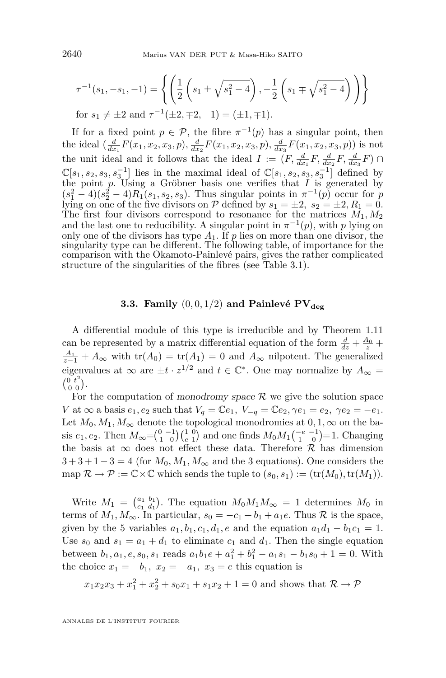$$
\tau^{-1}(s_1, -s_1, -1) = \left\{ \left( \frac{1}{2} \left( s_1 \pm \sqrt{s_1^2 - 4} \right), -\frac{1}{2} \left( s_1 \mp \sqrt{s_1^2 - 4} \right) \right) \right\}
$$
  
for  $s_1 \neq \pm 2$  and  $\tau^{-1}(\pm 2, \mp 2, -1) = (\pm 1, \mp 1).$ 

If for a fixed point  $p \in \mathcal{P}$ , the fibre  $\pi^{-1}(p)$  has a singular point, then the ideal  $(\frac{d}{dx_1}F(x_1, x_2, x_3, p), \frac{d}{dx_2}F(x_1, x_2, x_3, p), \frac{d}{dx_3}F(x_1, x_2, x_3, p))$  is not the unit ideal and it follows that the ideal  $I := (F, \frac{d}{dx_1}F, \frac{d}{dx_2}F, \frac{d}{dx_3}F) \cap$  $\mathbb{C}[s_1, s_2, s_3, s_3^{-1}]$  lies in the maximal ideal of  $\mathbb{C}[s_1, s_2, s_3, s_3^{-1}]$  defined by the point *p*. Using a Gröbner basis one verifies that *I* is generated by  $(s_1^2 - 4)(s_2^2 - 4)R_1(s_1, s_2, s_3)$ . Thus singular points in  $\pi^{-1}(p)$  occur for *p* lying on one of the five divisors on  $P$  defined by  $s_1 = \pm 2$ ,  $s_2 = \pm 2$ ,  $R_1 = 0$ . The first four divisors correspond to resonance for the matrices  $M_1, M_2$ and the last one to reducibility. A singular point in  $\pi^{-1}(p)$ , with *p* lying on only one of the divisors has type  $A_1$ . If  $p$  lies on more than one divisor, the singularity type can be different. The following table, of importance for the comparison with the Okamoto-Painlevé pairs, gives the rather complicated structure of the singularities of the fibres (see Table [3.1\)](#page-31-0).

#### **3.3. Family**  $(0,0,1/2)$  and Painlevé  $PV_{\text{deg}}$

A differential module of this type is irreducible and by Theorem 1.11 can be represented by a matrix differential equation of the form  $\frac{d}{dz} + \frac{A_0}{z} + \frac{A_1}{z}$  $A_1$ <sub>z</sub><sup>*−*</sup>1 + *A*<sup>∞</sup> with tr(*A*<sub>0</sub>) = tr(*A*<sub>1</sub>) = 0 and *A*<sup>∞</sup> nilpotent. The generalized eigenvalues at  $\infty$  are  $\pm t \cdot z^{1/2}$  and  $t \in \mathbb{C}^*$ . One may normalize by  $A_{\infty} =$  $\binom{0 \ t^2}{0 \ 0}$ .

For the computation of monodromy space  $R$  we give the solution space *V* at  $\infty$  a basis  $e_1, e_2$  such that  $V_q = \mathbb{C}e_1$ ,  $V_{-q} = \mathbb{C}e_2$ ,  $\gamma e_1 = e_2$ ,  $\gamma e_2 = -e_1$ . Let  $M_0, M_1, M_\infty$  denote the topological monodromies at  $0, 1, \infty$  on the basis  $e_1, e_2$ . Then  $M_{\infty} = \begin{pmatrix} 0 & -1 \\ 1 & 0 \end{pmatrix} \begin{pmatrix} 1 & 0 \\ e & 1 \end{pmatrix}$  and one finds  $M_0 M_1 \begin{pmatrix} -e & -1 \\ 1 & 0 \end{pmatrix} = 1$ . Changing the basis at  $\infty$  does not effect these data. Therefore  $\mathcal R$  has dimension  $3+3+1-3=4$  (for  $M_0, M_1, M_\infty$  and the 3 equations). One considers the map  $\mathcal{R} \to \mathcal{P} := \mathbb{C} \times \mathbb{C}$  which sends the tuple to  $(s_0, s_1) := (\text{tr}(M_0), \text{tr}(M_1)).$ 

Write  $M_1 = \begin{pmatrix} a_1 & b_1 \\ c_1 & d_1 \end{pmatrix}$ . The equation  $M_0 M_1 M_\infty = 1$  determines  $M_0$  in terms of  $M_1, M_\infty$ . In particular,  $s_0 = -c_1 + b_1 + a_1e$ . Thus  $\mathcal R$  is the space, given by the 5 variables  $a_1, b_1, c_1, d_1, e$  and the equation  $a_1d_1 - b_1c_1 = 1$ . Use  $s_0$  and  $s_1 = a_1 + d_1$  to eliminate  $c_1$  and  $d_1$ . Then the single equation between  $b_1, a_1, e, s_0, s_1$  reads  $a_1b_1e + a_1^2 + b_1^2 - a_1s_1 - b_1s_0 + 1 = 0$ . With the choice  $x_1 = -b_1$ ,  $x_2 = -a_1$ ,  $x_3 = e$  this equation is

$$
x_1x_2x_3 + x_1^2 + x_2^2 + s_0x_1 + s_1x_2 + 1 = 0
$$
 and shows that  $\mathcal{R} \to \mathcal{P}$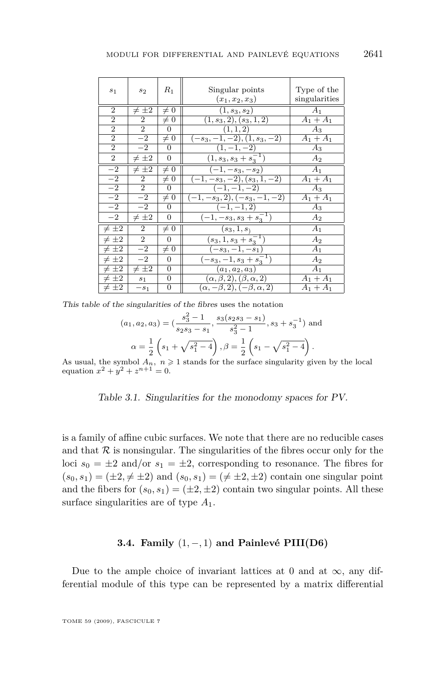<span id="page-31-0"></span>

| $s_1$           | $s_2$          | $R_1$            | Singular points<br>$(x_1, x_2, x_3)$       | Type of the<br>singularities |
|-----------------|----------------|------------------|--------------------------------------------|------------------------------|
| $\overline{2}$  | $\neq \pm 2$   | $\neq 0$         | $(1, s_3, s_2)$                            | A <sub>1</sub>               |
| $\overline{2}$  | $\overline{2}$ | $\neq 0$         | $(1, s_3, 2), (s_3, 1, 2)$                 | $A_1 + A_1$                  |
| $\overline{2}$  | $\overline{2}$ | 0                | (1, 1, 2)                                  | $A_3$                        |
| $\overline{2}$  | $-2$           | $\neq 0$         | $(-s_3,-1,-2), (1,s_3,-2)$                 | $A_1 + A_1$                  |
| $\overline{2}$  | $-2$           | 0                | $(1, -1, -2)$                              | $A_3$                        |
| 2               | $\neq \pm 2$   | $\overline{0}$   | $(1, s_3, s_3 + s_3^{-1})$                 | $A_2$                        |
| $-2$            | $\neq \pm 2$   | $\neq 0$         | $(-1,-s_3,-s_2)$                           | A <sub>1</sub>               |
| $-2$            | 2              | $\neq 0$         | $(-1,-s_3,-2), (s_3,1,-2)$                 | $A_1 + A_1$                  |
| $\frac{-2}{-2}$ | $\overline{2}$ | $\Omega$         | $(-1,-1,-2)$                               | $A_3$                        |
|                 | $-2$           | $\neq 0$         | $(-1, -s_3, 2), (-s_3, -1, -2)$            | $A_1 + A_1$                  |
| $\overline{-2}$ | $-2$           | 0                | $(-1,-1,2)$                                | Aз                           |
| $-2$            | $\neq \pm 2$   | 0                | $\overline{(-1,-s_3,s_3+s_3^{-1})}$        | $A_2$                        |
| $\neq \pm 2$    | $\overline{2}$ | $\neq 0$         | $(s_3, 1, s_1)$                            | A <sub>1</sub>               |
| $\neq \pm 2$    | $\overline{2}$ | $\overline{0}$   | $(s_3, 1, s_3 + s_3^{-1})$                 | A <sub>2</sub>               |
| $\neq \pm 2$    | $-2$           | $\neq 0$         | $\overline{(-s_3,-1,-s_1)}$                | $A_1$                        |
| $\neq \pm 2$    | $-2$           | 0                | $(-s_3,-1,s_3+s_3^{-1})$                   | $A_2$                        |
| $\neq \pm 2$    | $\neq \pm 2$   | $\Omega$         | $(a_1, a_2, a_3)$                          | A <sub>1</sub>               |
| $\neq \pm 2$    | s <sub>1</sub> | $\overline{0}$   | $(\alpha, \beta, 2), (\beta, \alpha, 2)$   | $A_1 + A_1$                  |
| $\neq \pm 2$    | $-s_1$         | $\boldsymbol{0}$ | $(\alpha, -\beta, 2), (-\beta, \alpha, 2)$ | $A_1 + A_1$                  |

This table of the singularities of the fibres uses the notation

$$
(a_1, a_2, a_3) = \left(\frac{s_3^2 - 1}{s_2 s_3 - s_1}, \frac{s_3(s_2 s_3 - s_1)}{s_3^2 - 1}, s_3 + s_3^{-1}\right)
$$
 and  

$$
\alpha = \frac{1}{2} \left(s_1 + \sqrt{s_1^2 - 4}\right), \beta = \frac{1}{2} \left(s_1 - \sqrt{s_1^2 - 4}\right).
$$

As usual, the symbol  $A_n$ ,  $n \ge 1$  stands for the surface singularity given by the local equation  $x^2 + y^2 + z^{n+1} = 0$ .

Table 3.1. Singularities for the monodomy spaces for PV.

is a family of affine cubic surfaces. We note that there are no reducible cases and that  $R$  is nonsingular. The singularities of the fibres occur only for the loci  $s_0 = \pm 2$  and/or  $s_1 = \pm 2$ , corresponding to resonance. The fibres for  $(s_0, s_1) = (\pm 2, \pm \pm 2)$  and  $(s_0, s_1) = (\pm \pm 2, \pm 2)$  contain one singular point and the fibers for  $(s_0, s_1) = (\pm 2, \pm 2)$  contain two singular points. All these surface singularities are of type *A*1.

#### **3.4. Family** (1*, −,* 1) **and Painlevé PIII(D6)**

Due to the ample choice of invariant lattices at 0 and at  $\infty$ , any differential module of this type can be represented by a matrix differential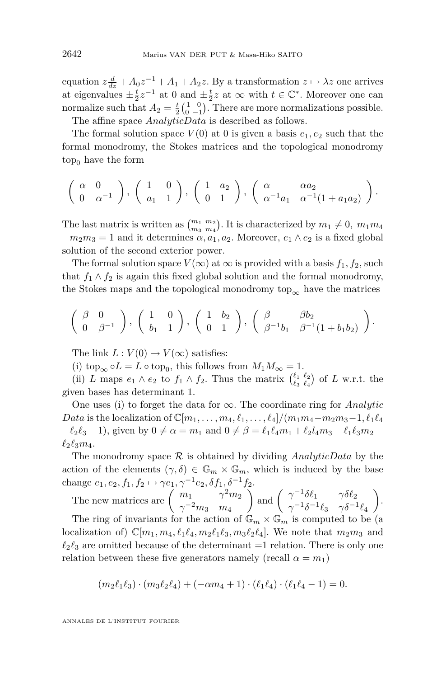equation  $z \frac{d}{dz} + A_0 z^{-1} + A_1 + A_2 z$ . By a transformation  $z \mapsto \lambda z$  one arrives at eigenvalues  $\pm \frac{t}{2}z^{-1}$  at 0 and  $\pm \frac{t}{2}z$  at  $\infty$  with  $t \in \mathbb{C}^*$ . Moreover one can normalize such that  $A_2 = \frac{t}{2} \begin{pmatrix} 1 & 0 \\ 0 & -1 \end{pmatrix}$ . There are more normalizations possible. The affine space *AnalyticData* is described as follows.

The formal solution space  $V(0)$  at 0 is given a basis  $e_1, e_2$  such that the

formal monodromy, the Stokes matrices and the topological monodromy  $top_0$  have the form

$$
\left(\begin{array}{cc}\alpha & 0\\0 & \alpha^{-1}\end{array}\right), \left(\begin{array}{cc}1 & 0\\a_1 & 1\end{array}\right), \left(\begin{array}{cc}1 & a_2\\0 & 1\end{array}\right), \left(\begin{array}{cc}\alpha & \alpha a_2\\ \alpha^{-1}a_1 & \alpha^{-1}(1+a_1a_2)\end{array}\right).
$$

The last matrix is written as  $\binom{m_1 & m_2}{m_3 & m_4}$ . It is characterized by  $m_1 \neq 0$ ,  $m_1 m_4$  $-m_2m_3 = 1$  and it determines  $\alpha$ ,  $a_1$ ,  $a_2$ . Moreover,  $e_1 \wedge e_2$  is a fixed global solution of the second exterior power.

The formal solution space  $V(\infty)$  at  $\infty$  is provided with a basis  $f_1, f_2$ , such that  $f_1 \wedge f_2$  is again this fixed global solution and the formal monodromy, the Stokes maps and the topological monodromy top<sub>∞</sub> have the matrices

$$
\left(\begin{array}{cc} \beta & 0 \\ 0 & \beta^{-1} \end{array}\right), \left(\begin{array}{cc} 1 & 0 \\ b_1 & 1 \end{array}\right), \left(\begin{array}{cc} 1 & b_2 \\ 0 & 1 \end{array}\right), \left(\begin{array}{cc} \beta & \beta b_2 \\ \beta^{-1}b_1 & \beta^{-1}(1+b_1b_2) \end{array}\right).
$$

The link  $L: V(0) \to V(\infty)$  satisfies:

(i) top<sub>∞</sub>  $\circ L = L \circ \text{top}_0$ , this follows from  $M_1 M_\infty = 1$ .

(ii) *L* maps  $e_1 \wedge e_2$  to  $f_1 \wedge f_2$ . Thus the matrix  $\begin{pmatrix} \ell_1 & \ell_2 \\ \ell_3 & \ell_4 \end{pmatrix}$  of *L* w.r.t. the given bases has determinant 1.

One uses (i) to forget the data for *∞*. The coordinate ring for *Analytic Data* is the localization of  $\mathbb{C}[m_1, \ldots, m_4, \ell_1, \ldots, \ell_4]/(m_1 m_4 - m_2 m_3 - 1, \ell_1 \ell_4)$  $-\ell_2 \ell_3 - 1$ , given by  $0 \neq \alpha = m_1$  and  $0 \neq \beta = \ell_1 \ell_4 m_1 + \ell_2 l_4 m_3 - \ell_1 \ell_3 m_2 - \ell_2 \ell_4 m_3$  $\ell_2 \ell_3 m_4$ .

The monodromy space  $R$  is obtained by dividing *AnalyticData* by the action of the elements  $(\gamma, \delta) \in \mathbb{G}_m \times \mathbb{G}_m$ , which is induced by the base change  $e_1, e_2, f_1, f_2 \mapsto \gamma e_1, \gamma^{-1} e_2, \delta f_1, \delta^{-1} f_2.$ 

The new matrices are  $\begin{pmatrix} m_1 & \gamma^2 m_2 \ -2 & m_1 \end{pmatrix}$ *γ <sup>−</sup>*<sup>2</sup>*m*<sup>3</sup> *m*<sup>4</sup> and  $\begin{pmatrix} \gamma^{-1} \delta \ell_1 & \gamma \delta \ell_2 \\ -1 \delta^{-1} \ell & \delta^{-1} \end{pmatrix}$ *γ*<sup>-1</sup> $\delta$ **<sup>-1</sup>** $\ell_3$  *γ*δ<sup>-1</sup><sup> $\ell_4$ </sup> . The ring of invariants for the action of  $\mathbb{G}_m \times \mathbb{G}_m$  is computed to be (a localization of)  $\mathbb{C}[m_1, m_4, \ell_1 \ell_4, m_2 \ell_1 \ell_3, m_3 \ell_2 \ell_4]$ . We note that  $m_2 m_3$  and  $\ell_2 \ell_3$  are omitted because of the determinant  $=1$  relation. There is only one relation between these five generators namely (recall  $\alpha = m_1$ )

$$
(m_2\ell_1\ell_3)\cdot(m_3\ell_2\ell_4)+(-\alpha m_4+1)\cdot(\ell_1\ell_4)\cdot(\ell_1\ell_4-1)=0.
$$

ANNALES DE L'INSTITUT FOURIER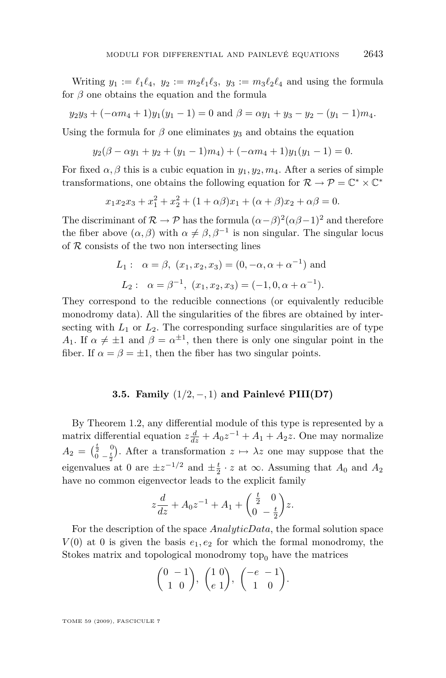Writing  $y_1 := \ell_1 \ell_4$ ,  $y_2 := m_2 \ell_1 \ell_3$ ,  $y_3 := m_3 \ell_2 \ell_4$  and using the formula for  $\beta$  one obtains the equation and the formula

 $y_2y_3 + (-\alpha m_4 + 1)y_1(y_1 - 1) = 0$  and  $\beta = \alpha y_1 + y_3 - y_2 - (y_1 - 1)m_4$ .

Using the formula for  $\beta$  one eliminates  $y_3$  and obtains the equation

 $y_2(\beta - \alpha y_1 + y_2 + (y_1 - 1)m_4) + (-\alpha m_4 + 1)y_1(y_1 - 1) = 0.$ 

For fixed  $\alpha$ ,  $\beta$  this is a cubic equation in  $y_1, y_2, m_4$ . After a series of simple transformations, one obtains the following equation for  $\mathcal{R} \to \mathcal{P} = \mathbb{C}^* \times \mathbb{C}^*$ 

$$
x_1x_2x_3 + x_1^2 + x_2^2 + (1 + \alpha\beta)x_1 + (\alpha + \beta)x_2 + \alpha\beta = 0.
$$

The discriminant of  $\mathcal{R} \to \mathcal{P}$  has the formula  $(\alpha - \beta)^2 (\alpha \beta - 1)^2$  and therefore the fiber above  $(\alpha, \beta)$  with  $\alpha \neq \beta, \beta^{-1}$  is non singular. The singular locus of *R* consists of the two non intersecting lines

$$
L_1: \alpha = \beta, (x_1, x_2, x_3) = (0, -\alpha, \alpha + \alpha^{-1}) \text{ and}
$$
  

$$
L_2: \alpha = \beta^{-1}, (x_1, x_2, x_3) = (-1, 0, \alpha + \alpha^{-1}).
$$

They correspond to the reducible connections (or equivalently reducible monodromy data). All the singularities of the fibres are obtained by intersecting with  $L_1$  or  $L_2$ . The corresponding surface singularities are of type *A*<sub>1</sub>. If  $\alpha \neq \pm 1$  and  $\beta = \alpha^{\pm 1}$ , then there is only one singular point in the fiber. If  $\alpha = \beta = \pm 1$ , then the fiber has two singular points.

#### **3.5. Family** (1*/*2*, −,* 1) **and Painlevé PIII(D7)**

By Theorem [1.2,](#page-4-0) any differential module of this type is represented by a matrix differential equation  $z \frac{d}{dz} + A_0 z^{-1} + A_1 + A_2 z$ . One may normalize  $A_2 = \begin{pmatrix} \frac{t}{2} & 0 \\ 0 & -\frac{t}{2} \end{pmatrix}$  $\sum_{0}^{\frac{1}{2}}$  *o*  $\left(\frac{1}{2}\right)$ . After a transformation  $z \mapsto \lambda z$  one may suppose that the eigenvalues at 0 are  $\pm z^{-1/2}$  and  $\pm \frac{t}{2} \cdot z$  at  $\infty$ . Assuming that  $A_0$  and  $A_2$ have no common eigenvector leads to the explicit family

$$
z\frac{d}{dz} + A_0 z^{-1} + A_1 + \begin{pmatrix} \frac{t}{2} & 0\\ 0 & -\frac{t}{2} \end{pmatrix} z.
$$

For the description of the space *AnalyticData*, the formal solution space  $V(0)$  at 0 is given the basis  $e_1, e_2$  for which the formal monodromy, the Stokes matrix and topological monodromy top<sub>0</sub> have the matrices

$$
\begin{pmatrix} 0 & -1 \\ 1 & 0 \end{pmatrix}, \begin{pmatrix} 1 & 0 \\ e & 1 \end{pmatrix}, \begin{pmatrix} -e & -1 \\ 1 & 0 \end{pmatrix}.
$$

TOME 59 (2009), FASCICULE 7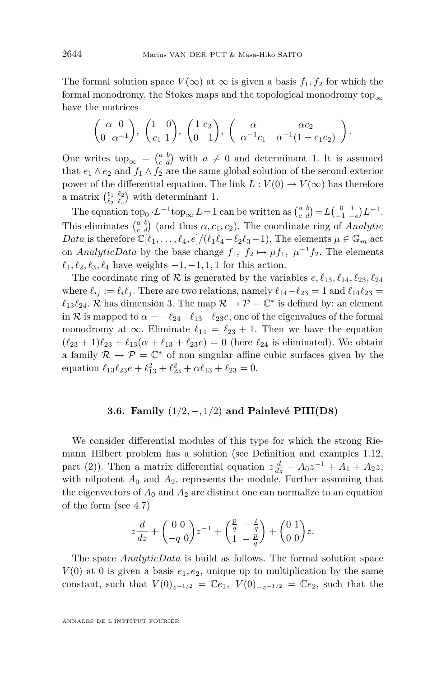The formal solution space  $V(\infty)$  at  $\infty$  is given a basis  $f_1, f_2$  for which the formal monodromy, the Stokes maps and the topological monodromy top<sub>∞</sub> have the matrices

$$
\begin{pmatrix}\n\alpha & 0 \\
0 & \alpha^{-1}\n\end{pmatrix}, \begin{pmatrix}\n1 & 0 \\
c_1 & 1\n\end{pmatrix}, \begin{pmatrix}\n1 & c_2 \\
0 & 1\n\end{pmatrix}, \begin{pmatrix}\n\alpha & \alpha c_2 \\
\alpha^{-1}c_1 & \alpha^{-1}(1 + c_1 c_2)\n\end{pmatrix}.
$$

One writes top<sub>∞</sub> =  $\begin{pmatrix} a & b \\ c & d \end{pmatrix}$  with  $a \neq 0$  and determinant 1. It is assumed that  $e_1 \wedge e_2$  and  $f_1 \wedge f_2$  are the same global solution of the second exterior power of the differential equation. The link  $L: V(0) \to V(\infty)$  has therefore a matrix  $\binom{\ell_1}{\ell_3} \binom{\ell_2}{\ell_4}$  with determinant 1.

The equation  $\text{top}_0 \cdot L^{-1} \text{top}_{\infty} L = 1$  can be written as  $\begin{pmatrix} a & b \\ c & d \end{pmatrix} = L \begin{pmatrix} 0 & 1 \\ -1 & -e \end{pmatrix} L^{-1}$ . This eliminates  $\begin{pmatrix} a & b \\ c & d \end{pmatrix}$  (and thus  $\alpha, c_1, c_2$ ). The coordinate ring of *Analytic Data* is therefore  $\mathbb{C}[\ell_1, \ldots, \ell_4, e]/(\ell_1 \ell_4 - \ell_2 \ell_3 - 1)$ . The elements  $\mu \in \mathbb{G}_m$  act on *AnalyticData* by the base change  $f_1$ ,  $f_2 \mapsto \mu f_1$ ,  $\mu^{-1} f_2$ . The elements  $\ell_1, \ell_2, \ell_3, \ell_4$  have weights  $-1, -1, 1, 1$  for this action.

The coordinate ring of  $R$  is generated by the variables  $e, \ell_{13}, \ell_{14}, \ell_{23}, \ell_{24}$ where  $\ell_{ij} := \ell_i \ell_j$ . There are two relations, namely  $\ell_{14} - \ell_{23} = 1$  and  $\ell_{14} \ell_{23} =$  $\ell_{13}\ell_{24}$ . *R* has dimension 3. The map  $\mathcal{R} \to \mathcal{P} = \mathbb{C}^*$  is defined by: an element in *R* is mapped to  $\alpha = -\ell_{24} - \ell_{13} - \ell_{23}e$ , one of the eigenvalues of the formal monodromy at  $\infty$ . Eliminate  $\ell_{14} = \ell_{23} + 1$ . Then we have the equation  $(\ell_{23} + 1)\ell_{23} + \ell_{13}(\alpha + \ell_{13} + \ell_{23}e) = 0$  (here  $\ell_{24}$  is eliminated). We obtain a family  $\mathcal{R} \to \mathcal{P} = \mathbb{C}^*$  of non singular affine cubic surfaces given by the equation  $\ell_{13}\ell_{23}e + \ell_{13}^2 + \ell_{23}^2 + \alpha \ell_{13} + \ell_{23} = 0.$ 

#### **3.6. Family** (1*/*2*, −,* 1*/*2) **and Painlevé PIII(D8)**

We consider differential modules of this type for which the strong Riemann–Hilbert problem has a solution (see Definition and examples [1.12,](#page-15-0) part (2)). Then a matrix differential equation  $z \frac{d}{dz} + A_0 z^{-1} + A_1 + A_2 z$ , with nilpotent  $A_0$  and  $A_2$ , represents the module. Further assuming that the eigenvectors of  $A_0$  and  $A_2$  are distinct one can normalize to an equation of the form (see [4.7\)](#page-50-0)

$$
z\frac{d}{dz} + \begin{pmatrix} 0 & 0 \\ -q & 0 \end{pmatrix} z^{-1} + \begin{pmatrix} \frac{p}{q} & -\frac{t}{q} \\ 1 & -\frac{p}{q} \end{pmatrix} + \begin{pmatrix} 0 & 1 \\ 0 & 0 \end{pmatrix} z.
$$

The space *AnalyticData* is build as follows. The formal solution space  $V(0)$  at 0 is given a basis  $e_1, e_2$ , unique up to multiplication by the same constant, such that  $V(0)_{z^{-1/2}} = \mathbb{C}e_1$ ,  $V(0)_{-z^{-1/2}} = \mathbb{C}e_2$ , such that the

ANNALES DE L'INSTITUT FOURIER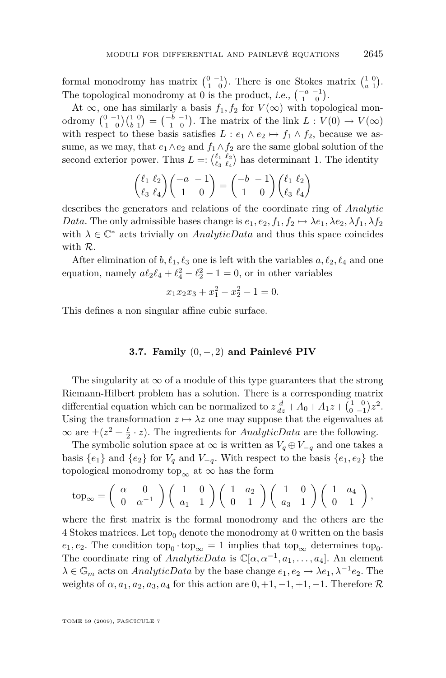formal monodromy has matrix  $\begin{pmatrix} 0 & -1 \\ 1 & 0 \end{pmatrix}$ . There is one Stokes matrix  $\begin{pmatrix} 1 & 0 \\ a & 1 \end{pmatrix}$ . The topological monodromy at 0 is the product, i.e.,  $\begin{pmatrix} -a & -1 \\ 1 & 0 \end{pmatrix}$ .

At ∞, one has similarly a basis  $f_1, f_2$  for  $V(\infty)$  with topological monodromy  $\binom{0}{1} - \binom{1}{0} \binom{1}{b-1} = \binom{-b-1}{1}$ . The matrix of the link  $L: V(0) \to V(\infty)$ with respect to these basis satisfies  $L: e_1 \wedge e_2 \mapsto f_1 \wedge f_2$ , because we assume, as we may, that  $e_1 \wedge e_2$  and  $f_1 \wedge f_2$  are the same global solution of the second exterior power. Thus  $L =: \binom{\ell_1 \ \ell_2}{\ell_3 \ \ell_4}$  has determinant 1. The identity

$$
\binom{\ell_1 \ell_2}{\ell_3 \ell_4} \binom{-a - 1}{1 \ 0} = \binom{-b - 1}{1 \ 0} \binom{\ell_1 \ell_2}{\ell_3 \ell_4}
$$

describes the generators and relations of the coordinate ring of *Analytic Data*. The only admissible bases change is  $e_1, e_2, f_1, f_2 \mapsto \lambda e_1, \lambda e_2, \lambda f_1, \lambda f_2$ with  $\lambda \in \mathbb{C}^*$  acts trivially on *AnalyticData* and thus this space coincides with *R*.

After elimination of  $b, \ell_1, \ell_3$  one is left with the variables  $a, \ell_2, \ell_4$  and one equation, namely  $a\ell_2\ell_4 + \ell_4^2 - \ell_2^2 - 1 = 0$ , or in other variables

$$
x_1x_2x_3 + x_1^2 - x_2^2 - 1 = 0.
$$

This defines a non singular affine cubic surface.

#### **3.7. Family** (0*, −,* 2) **and Painlevé PIV**

The singularity at  $\infty$  of a module of this type guarantees that the strong Riemann-Hilbert problem has a solution. There is a corresponding matrix differential equation which can be normalized to  $z \frac{d}{dz} + A_0 + A_1 z + \begin{pmatrix} 1 & 0 \\ 0 & -1 \end{pmatrix} z^2$ . Using the transformation  $z \mapsto \lambda z$  one may suppose that the eigenvalues at  $\infty$  are  $\pm (z^2 + \frac{t}{2} \cdot z)$ . The ingredients for *AnalyticData* are the following.

The symbolic solution space at  $\infty$  is written as  $V_q \oplus V_{-q}$  and one takes a basis  ${e_1}$  and  ${e_2}$  for  $V_q$  and  $V_{-q}$ . With respect to the basis  ${e_1, e_2}$  the topological monodromy top<sub>∞</sub> at  $\infty$  has the form

$$
\text{top}_{\infty} = \begin{pmatrix} \alpha & 0 \\ 0 & \alpha^{-1} \end{pmatrix} \begin{pmatrix} 1 & 0 \\ a_1 & 1 \end{pmatrix} \begin{pmatrix} 1 & a_2 \\ 0 & 1 \end{pmatrix} \begin{pmatrix} 1 & 0 \\ a_3 & 1 \end{pmatrix} \begin{pmatrix} 1 & a_4 \\ 0 & 1 \end{pmatrix},
$$

where the first matrix is the formal monodromy and the others are the 4 Stokes matrices. Let top<sub>0</sub> denote the monodromy at 0 written on the basis  $e_1, e_2$ . The condition  $\text{top}_0 \cdot \text{top}_{\infty} = 1$  implies that  $\text{top}_{\infty}$  determines  $\text{top}_0$ . The coordinate ring of  $AnalyticData$  is  $\mathbb{C}[\alpha, \alpha^{-1}, a_1, \ldots, a_4]$ . An element  $\lambda \in \mathbb{G}_m$  acts on *AnalyticData* by the base change  $e_1, e_2 \mapsto \lambda e_1, \lambda^{-1} e_2$ . The weights of  $\alpha$ ,  $a_1$ ,  $a_2$ ,  $a_3$ ,  $a_4$  for this action are  $0, +1, -1, +1, -1$ . Therefore  $\mathcal{R}$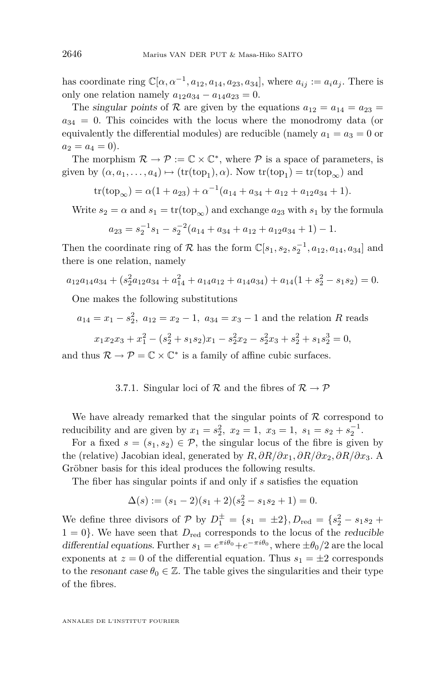has coordinate ring  $\mathbb{C}[\alpha, \alpha^{-1}, a_{12}, a_{14}, a_{23}, a_{34}]$ , where  $a_{ij} := a_i a_j$ . There is only one relation namely  $a_{12}a_{34} - a_{14}a_{23} = 0$ .

The singular points of R are given by the equations  $a_{12} = a_{14} = a_{23}$  $a_{34} = 0$ . This coincides with the locus where the monodromy data (or equivalently the differential modules) are reducible (namely  $a_1 = a_3 = 0$  or  $a_2 = a_4 = 0$ .

The morphism  $\mathcal{R} \to \mathcal{P} := \mathbb{C} \times \mathbb{C}^*$ , where  $\mathcal{P}$  is a space of parameters, is given by  $(\alpha, a_1, \ldots, a_4) \mapsto (\text{tr}(\text{top}_1), \alpha)$ . Now  $\text{tr}(\text{top}_1) = \text{tr}(\text{top}_{\infty})$  and

 $\text{tr}(\text{top}_{\infty}) = \alpha(1 + a_{23}) + \alpha^{-1}(a_{14} + a_{34} + a_{12} + a_{12}a_{34} + 1).$ 

Write  $s_2 = \alpha$  and  $s_1 = \text{tr}(\text{top}_{\infty})$  and exchange  $a_{23}$  with  $s_1$  by the formula

$$
a_{23} = s_2^{-1} s_1 - s_2^{-2} (a_{14} + a_{34} + a_{12} + a_{12} a_{34} + 1) - 1.
$$

Then the coordinate ring of  $\mathcal{R}$  has the form  $\mathbb{C}[s_1, s_2, s_2^{-1}, a_{12}, a_{14}, a_{34}]$  and there is one relation, namely

$$
a_{12}a_{14}a_{34} + (s_2^2 a_{12}a_{34} + a_{14}^2 + a_{14}a_{12} + a_{14}a_{34}) + a_{14}(1 + s_2^2 - s_1s_2) = 0.
$$

One makes the following substitutions

 $a_{14} = x_1 - s_2^2$ ,  $a_{12} = x_2 - 1$ ,  $a_{34} = x_3 - 1$  and the relation *R* reads

$$
x_1x_2x_3 + x_1^2 - (s_2^2 + s_1s_2)x_1 - s_2^2x_2 - s_2^2x_3 + s_2^2 + s_1s_2^3 = 0,
$$

and thus  $\mathcal{R} \to \mathcal{P} = \mathbb{C} \times \mathbb{C}^*$  is a family of affine cubic surfaces.

#### 3.7.1. Singular loci of  $R$  and the fibres of  $R \rightarrow \mathcal{P}$

We have already remarked that the singular points of *R* correspond to reducibility and are given by  $x_1 = s_2^2$ ,  $x_2 = 1$ ,  $x_3 = 1$ ,  $s_1 = s_2 + s_2^{-1}$ .

For a fixed  $s = (s_1, s_2) \in \mathcal{P}$ , the singular locus of the fibre is given by the (relative) Jacobian ideal, generated by *R, ∂R/∂x*1*, ∂R/∂x*2*, ∂R/∂x*3. A Gröbner basis for this ideal produces the following results.

The fiber has singular points if and only if *s* satisfies the equation

$$
\Delta(s) := (s_1 - 2)(s_1 + 2)(s_2^2 - s_1 s_2 + 1) = 0.
$$

We define three divisors of  $P$  by  $D_1^{\pm} = \{s_1 = \pm 2\}$ ,  $D_{\text{red}} = \{s_2^2 - s_1s_2 +$  $1 = 0$ }. We have seen that  $D_{\text{red}}$  corresponds to the locus of the *reducible* differential equations. Further  $s_1 = e^{\pi i \theta_0} + e^{-\pi i \theta_0}$ , where  $\pm \theta_0/2$  are the local exponents at  $z = 0$  of the differential equation. Thus  $s_1 = \pm 2$  corresponds to the resonant case  $\theta_0 \in \mathbb{Z}$ . The table gives the singularities and their type of the fibres.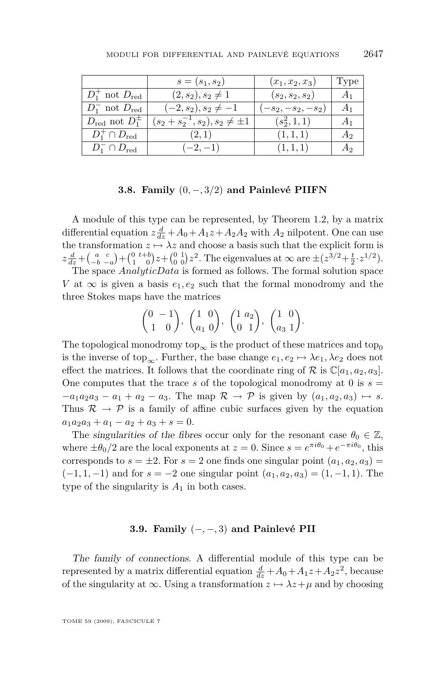|                                  | $s = (s_1, s_2)$                        | $(x_1, x_2, x_3)$   | Type           |
|----------------------------------|-----------------------------------------|---------------------|----------------|
| $D_1^+$ not $D_{\text{red}}$     | $(2, s_2), s_2 \neq 1$                  | $(s_2, s_2, s_2)$   | A <sub>1</sub> |
| $D_1^-$ not $D_{\text{red}}$     | $(-2, s_2), s_2 \neq -1$                | $-s_2, -s_2, -s_2)$ | A <sub>1</sub> |
| $D_{\text{red}}$ not $D_1^{\pm}$ | $(s_2 + s_2^{-1}, s_2), s_2 \neq \pm 1$ | $(s_2^2, 1, 1)$     | A <sub>1</sub> |
| $D_1^+\cap D_{\text{red}}$       | (2,1)                                   | (1,1,1)             | A <sub>2</sub> |
| $D_1^- \cap D_{\text{red}}$      | $(-2,-1)$                               | (1, 1, 1)           | А,             |

#### **3.8. Family** (0*, −,* 3*/*2) **and Painlevé PIIFN**

A module of this type can be represented, by Theorem [1.2,](#page-4-0) by a matrix differential equation  $z \frac{d}{dz} + A_0 + A_1 z + A_2 A_2$  with  $A_2$  nilpotent. One can use the transformation  $z \mapsto \lambda z$  and choose a basis such that the explicit form is  $z\frac{d}{dz} + \binom{a-c}{-b-a} + \binom{0}{1} \binom{t+b}{0} z + \binom{0}{0} \binom{1}{0} z^2$ . The eigenvalues at  $\infty$  are  $\pm (z^{3/2} + \frac{t}{2} \cdot z^{1/2})$ .

The space *AnalyticData* is formed as follows. The formal solution space *V* at  $\infty$  is given a basis  $e_1, e_2$  such that the formal monodromy and the three Stokes maps have the matrices

$$
\begin{pmatrix} 0 & -1 \ 1 & 0 \end{pmatrix}, \begin{pmatrix} 1 & 0 \ a_1 & 0 \end{pmatrix}, \begin{pmatrix} 1 & a_2 \ 0 & 1 \end{pmatrix}, \begin{pmatrix} 1 & 0 \ a_3 & 1 \end{pmatrix}.
$$

The topological monodromy top<sub>∞</sub> is the product of these matrices and top<sub>0</sub> is the inverse of top<sub>∞</sub>. Further, the base change  $e_1, e_2 \mapsto \lambda e_1, \lambda e_2$  does not effect the matrices. It follows that the coordinate ring of  $\mathcal R$  is  $\mathbb C[a_1, a_2, a_3]$ . One computes that the trace *s* of the topological monodromy at 0 is  $s =$  $-a_1a_2a_3 - a_1 + a_2 - a_3$ . The map  $\mathcal{R} \to \mathcal{P}$  is given by  $(a_1, a_2, a_3) \mapsto s$ . Thus  $\mathcal{R} \to \mathcal{P}$  is a family of affine cubic surfaces given by the equation  $a_1a_2a_3 + a_1 - a_2 + a_3 + s = 0.$ 

The singularities of the fibres occur only for the resonant case  $\theta_0 \in \mathbb{Z}$ , where  $\pm\theta_0/2$  are the local exponents at  $z = 0$ . Since  $s = e^{\pi i \theta_0} + e^{-\pi i \theta_0}$ , this corresponds to  $s = \pm 2$ . For  $s = 2$  one finds one singular point  $(a_1, a_2, a_3) =$  $(-1, 1, −1)$  and for  $s = -2$  one singular point  $(a_1, a_2, a_3) = (1, -1, 1)$ . The type of the singularity is  $A_1$  in both cases.

#### **3.9. Family** (*−, −,* 3) **and Painlevé PII**

The family of connections. A differential module of this type can be represented by a matrix differential equation  $\frac{d}{dz} + A_0 + A_1 z + A_2 z^2$ , because of the singularity at  $\infty$ . Using a transformation  $z \mapsto \lambda z + \mu$  and by choosing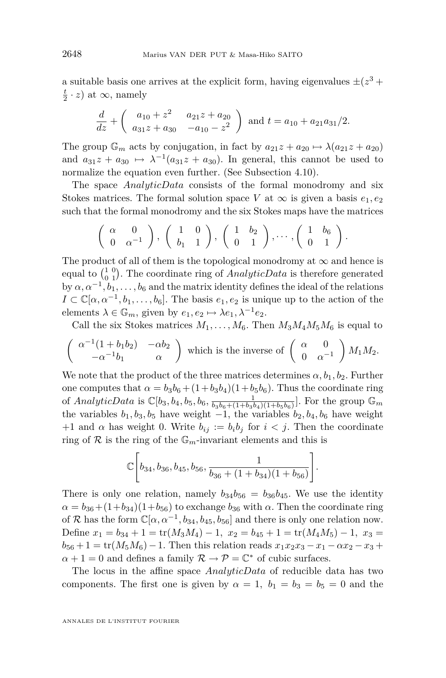a suitable basis one arrives at the explicit form, having eigenvalues  $\pm (z^3 + z^4)$  $\frac{t}{2} \cdot z$  at *∞*, namely

$$
\frac{d}{dz} + \begin{pmatrix} a_{10} + z^2 & a_{21}z + a_{20} \ a_{31}z + a_{30} & -a_{10} - z^2 \end{pmatrix}
$$
 and  $t = a_{10} + a_{21}a_{31}/2$ .

The group  $\mathbb{G}_m$  acts by conjugation, in fact by  $a_{21}z + a_{20} \mapsto \lambda(a_{21}z + a_{20})$ and  $a_{31}z + a_{30} \rightarrow \lambda^{-1}(a_{31}z + a_{30})$ . In general, this cannot be used to normalize the equation even further. (See Subsection [4.10\)](#page-53-0).

The space *AnalyticData* consists of the formal monodromy and six Stokes matrices. The formal solution space *V* at  $\infty$  is given a basis  $e_1, e_2$ such that the formal monodromy and the six Stokes maps have the matrices

$$
\left(\begin{array}{cc} \alpha & 0 \\ 0 & \alpha^{-1} \end{array}\right), \left(\begin{array}{cc} 1 & 0 \\ b_1 & 1 \end{array}\right), \left(\begin{array}{cc} 1 & b_2 \\ 0 & 1 \end{array}\right), \cdots, \left(\begin{array}{cc} 1 & b_6 \\ 0 & 1 \end{array}\right).
$$

The product of all of them is the topological monodromy at  $\infty$  and hence is equal to  $\begin{pmatrix} 1 & 0 \\ 0 & 1 \end{pmatrix}$ . The coordinate ring of *AnalyticData* is therefore generated by  $\alpha, \alpha^{-1}, b_1, \ldots, b_6$  and the matrix identity defines the ideal of the relations  $I \subset \mathbb{C}[\alpha, \alpha^{-1}, b_1, \ldots, b_6]$ . The basis  $e_1, e_2$  is unique up to the action of the elements  $\lambda \in \mathbb{G}_m$ , given by  $e_1, e_2 \mapsto \lambda e_1, \lambda^{-1} e_2$ .

Call the six Stokes matrices  $M_1, \ldots, M_6$ . Then  $M_3M_4M_5M_6$  is equal to

$$
\begin{pmatrix} \alpha^{-1}(1+b_1b_2) & -\alpha b_2 \\ -\alpha^{-1}b_1 & \alpha \end{pmatrix}
$$
 which is the inverse of 
$$
\begin{pmatrix} \alpha & 0 \\ 0 & \alpha^{-1} \end{pmatrix} M_1M_2.
$$

We note that the product of the three matrices determines  $\alpha, b_1, b_2$ . Further one computes that  $\alpha = b_3b_6 + (1+b_3b_4)(1+b_5b_6)$ . Thus the coordinate ring of *AnalyticData* is  $\mathbb{C}[b_3, b_4, b_5, b_6, \frac{1}{b_3b_6+(1+b_3b_4)(1+b_5b_6)}]$ . For the group  $\mathbb{G}_m$ the variables  $b_1, b_3, b_5$  have weight  $-1$ , the variables  $b_2, b_4, b_6$  have weight +1 and  $\alpha$  has weight 0. Write  $b_{ij} := b_i b_j$  for  $i < j$ . Then the coordinate ring of  $R$  is the ring of the  $\mathbb{G}_m$ -invariant elements and this is

$$
\mathbb{C}\Bigg[b_{34},b_{36},b_{45},b_{56},\frac{1}{b_{36}+(1+b_{34})(1+b_{56})}\Bigg].
$$

There is only one relation, namely  $b_{34}b_{56} = b_{36}b_{45}$ . We use the identity  $\alpha = b_{36} + (1+b_{34})(1+b_{56})$  to exchange  $b_{36}$  with  $\alpha$ . Then the coordinate ring of *R* has the form  $\mathbb{C}[\alpha, \alpha^{-1}, b_{34}, b_{45}, b_{56}]$  and there is only one relation now. Define  $x_1 = b_{34} + 1 = \text{tr}(M_3M_4) - 1$ ,  $x_2 = b_{45} + 1 = \text{tr}(M_4M_5) - 1$ ,  $x_3 =$  $b_{56} + 1 = \text{tr}(M_5M_6) - 1$ . Then this relation reads  $x_1x_2x_3 - x_1 - \alpha x_2 - x_3 +$  $\alpha + 1 = 0$  and defines a family  $\mathcal{R} \to \mathcal{P} = \mathbb{C}^*$  of cubic surfaces.

The locus in the affine space *AnalyticData* of reducible data has two components. The first one is given by  $\alpha = 1$ ,  $b_1 = b_3 = b_5 = 0$  and the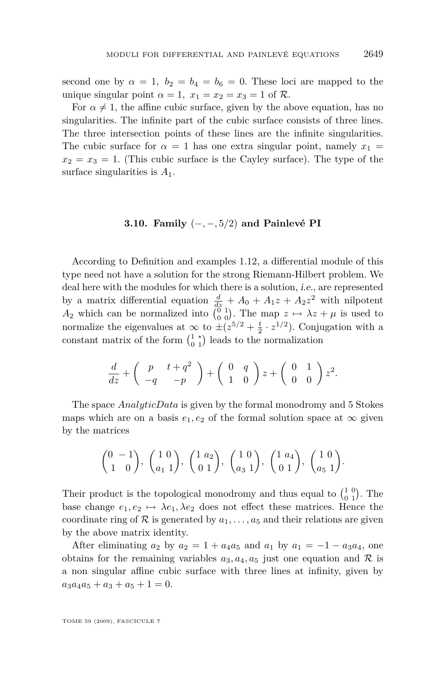second one by  $\alpha = 1$ ,  $b_2 = b_4 = b_6 = 0$ . These loci are mapped to the unique singular point  $\alpha = 1$ ,  $x_1 = x_2 = x_3 = 1$  of  $\mathcal{R}$ .

For  $\alpha \neq 1$ , the affine cubic surface, given by the above equation, has no singularities. The infinite part of the cubic surface consists of three lines. The three intersection points of these lines are the infinite singularities. The cubic surface for  $\alpha = 1$  has one extra singular point, namely  $x_1 =$  $x_2 = x_3 = 1$ . (This cubic surface is the Cayley surface). The type of the surface singularities is *A*1.

#### **3.10. Family** (*−, −,* 5*/*2) **and Painlevé PI**

According to Definition and examples [1.12,](#page-15-0) a differential module of this type need not have a solution for the strong Riemann-Hilbert problem. We deal here with the modules for which there is a solution, i.e., are represented by a matrix differential equation  $\frac{d}{dz} + A_0 + A_1 z + A_2 z^2$  with nilpotent  $A_2$  which can be normalized into  $\begin{pmatrix} 0 & 1 \\ 0 & 0 \end{pmatrix}$ . The map  $z \mapsto \lambda z + \mu$  is used to normalize the eigenvalues at  $\infty$  to  $\pm (z^{5/2} + \frac{t}{2} \cdot z^{1/2})$ . Conjugation with a constant matrix of the form  $\begin{pmatrix} 1 & * \\ 0 & 1 \end{pmatrix}$  leads to the normalization

$$
\frac{d}{dz} + \begin{pmatrix} p & t+q^2 \\ -q & -p \end{pmatrix} + \begin{pmatrix} 0 & q \\ 1 & 0 \end{pmatrix} z + \begin{pmatrix} 0 & 1 \\ 0 & 0 \end{pmatrix} z^2.
$$

The space *AnalyticData* is given by the formal monodromy and 5 Stokes maps which are on a basis  $e_1, e_2$  of the formal solution space at  $\infty$  given by the matrices

$$
\begin{pmatrix} 0 & -1 \ 1 & 0 \end{pmatrix}, \begin{pmatrix} 1 & 0 \ a_1 & 1 \end{pmatrix}, \begin{pmatrix} 1 & a_2 \ 0 & 1 \end{pmatrix}, \begin{pmatrix} 1 & 0 \ a_3 & 1 \end{pmatrix}, \begin{pmatrix} 1 & a_4 \ 0 & 1 \end{pmatrix}, \begin{pmatrix} 1 & 0 \ a_5 & 1 \end{pmatrix}.
$$

Their product is the topological monodromy and thus equal to  $\begin{pmatrix} 1 & 0 \\ 0 & 1 \end{pmatrix}$ . The base change  $e_1, e_2 \mapsto \lambda e_1, \lambda e_2$  does not effect these matrices. Hence the coordinate ring of  $R$  is generated by  $a_1, \ldots, a_5$  and their relations are given by the above matrix identity.

After eliminating  $a_2$  by  $a_2 = 1 + a_4 a_5$  and  $a_1$  by  $a_1 = -1 - a_3 a_4$ , one obtains for the remaining variables  $a_3, a_4, a_5$  just one equation and  $R$  is a non singular affine cubic surface with three lines at infinity, given by  $a_3a_4a_5 + a_3 + a_5 + 1 = 0.$ 

TOME 59 (2009), FASCICULE 7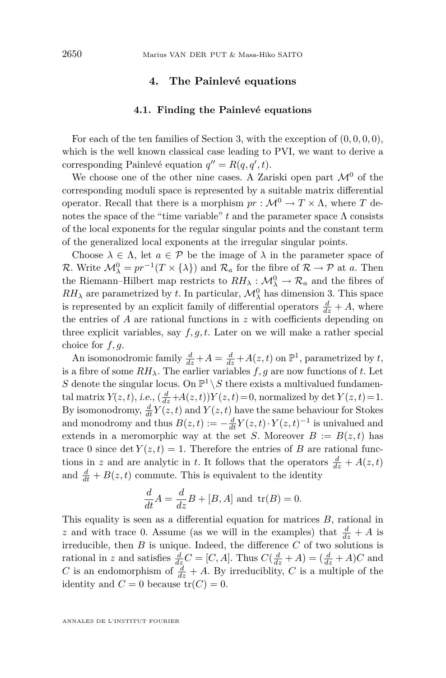#### **4. The Painlevé equations**

#### **4.1. Finding the Painlevé equations**

<span id="page-40-0"></span>For each of the ten families of Section [3,](#page-27-0) with the exception of  $(0, 0, 0, 0)$ , which is the well known classical case leading to PVI, we want to derive a corresponding Painlevé equation  $q'' = R(q, q', t)$ .

We choose one of the other nine cases. A Zariski open part  $\mathcal{M}^0$  of the corresponding moduli space is represented by a suitable matrix differential operator. Recall that there is a morphism  $pr : \mathcal{M}^0 \to T \times \Lambda$ , where *T* denotes the space of the "time variable"  $t$  and the parameter space  $\Lambda$  consists of the local exponents for the regular singular points and the constant term of the generalized local exponents at the irregular singular points.

Choose  $\lambda \in \Lambda$ , let  $a \in \mathcal{P}$  be the image of  $\lambda$  in the parameter space of *R*. Write  $\mathcal{M}_{\lambda}^{0} = pr^{-1}(T \times {\lambda})$  and  $\mathcal{R}_{a}$  for the fibre of  $\mathcal{R} \to \mathcal{P}$  at *a*. Then the Riemann–Hilbert map restricts to  $RH_{\lambda}: \mathcal{M}_{\lambda}^0 \to \mathcal{R}_a$  and the fibres of  $RH_{\lambda}$  are parametrized by *t*. In particular,  $\mathcal{M}_{\lambda}^{0}$  has dimension 3. This space is represented by an explicit family of differential operators  $\frac{d}{dz} + A$ , where the entries of *A* are rational functions in *z* with coefficients depending on three explicit variables, say *f, g, t*. Later on we will make a rather special choice for *f, g*.

An isomonodromic family  $\frac{d}{dz} + A = \frac{d}{dz} + A(z, t)$  on  $\mathbb{P}^1$ , parametrized by *t*, is a fibre of some  $RH_{\lambda}$ . The earlier variables *f*, *g* are now functions of *t*. Let S denote the singular locus. On  $\mathbb{P}^1 \setminus S$  there exists a multivalued fundamental matrix  $Y(z, t)$ , i.e.,  $\left(\frac{d}{dz} + A(z, t)\right)Y(z, t) = 0$ , normalized by det  $Y(z, t) = 1$ . By isomonodromy,  $\frac{d}{dt}Y(z,t)$  and  $Y(z,t)$  have the same behaviour for Stokes and monodromy and thus  $B(z, t) := -\frac{d}{dt}Y(z, t) \cdot Y(z, t)^{-1}$  is univalued and extends in a meromorphic way at the set *S*. Moreover  $B := B(z, t)$  has trace 0 since det  $Y(z,t) = 1$ . Therefore the entries of *B* are rational functions in *z* and are analytic in *t*. It follows that the operators  $\frac{d}{dz} + A(z, t)$ and  $\frac{d}{dt} + B(z, t)$  commute. This is equivalent to the identity

$$
\frac{d}{dt}A = \frac{d}{dz}B + [B, A] \text{ and } \text{tr}(B) = 0.
$$

This equality is seen as a differential equation for matrices *B*, rational in *z* and with trace 0. Assume (as we will in the examples) that  $\frac{d}{dz} + A$  is irreducible, then *B* is unique. Indeed, the difference *C* of two solutions is rational in *z* and satisfies  $\frac{d}{dz}C = [C, A]$ . Thus  $C(\frac{d}{dz} + A) = (\frac{d}{dz} + A)C$  and *C* is an endomorphism of  $\frac{d}{dz} + A$ . By irreduciblity, *C* is a multiple of the identity and  $C = 0$  because  $tr(C) = 0$ .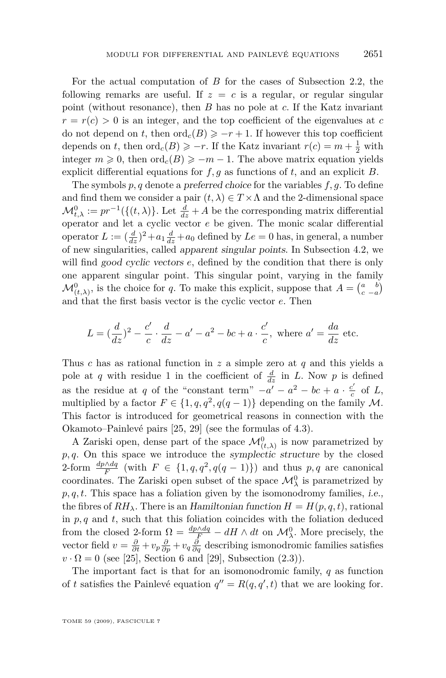For the actual computation of *B* for the cases of Subsection [2.2,](#page-23-0) the following remarks are useful. If  $z = c$  is a regular, or regular singular point (without resonance), then *B* has no pole at *c*. If the Katz invariant  $r = r(c) > 0$  is an integer, and the top coefficient of the eigenvalues at *c* do not depend on *t*, then  $\text{ord}_{c}(B) \geq -r+1$ . If however this top coefficient depends on *t*, then  $\text{ord}_c(B) \geq -r$ . If the Katz invariant  $r(c) = m + \frac{1}{2}$  with integer  $m \ge 0$ , then  $\text{ord}_c(B) \ge -m-1$ . The above matrix equation yields explicit differential equations for *f, g* as functions of *t*, and an explicit *B*.

The symbols *p, q* denote a preferred choice for the variables *f, g*. To define and find them we consider a pair  $(t, \lambda) \in T \times \Lambda$  and the 2-dimensional space  $\mathcal{M}_{t,\lambda}^0 := pr^{-1}(\{(t,\lambda)\})$ . Let  $\frac{d}{dz} + A$  be the corresponding matrix differential operator and let a cyclic vector *e* be given. The monic scalar differential operator  $L := (\frac{d}{dz})^2 + a_1 \frac{d}{dz} + a_0$  defined by  $Le = 0$  has, in general, a number of new singularities, called apparent singular points. In Subsection [4.2,](#page-42-0) we will find good cyclic vectors *e*, defined by the condition that there is only one apparent singular point. This singular point, varying in the family  $\mathcal{M}_{(t,\lambda)}^0$ , is the choice for *q*. To make this explicit, suppose that  $A = \begin{pmatrix} a & b \\ c & -a \end{pmatrix}$ and that the first basis vector is the cyclic vector *e*. Then

$$
L = \left(\frac{d}{dz}\right)^2 - \frac{c'}{c} \cdot \frac{d}{dz} - a' - a^2 - bc + a \cdot \frac{c'}{c}, \text{ where } a' = \frac{da}{dz} \text{ etc.}
$$

Thus *c* has as rational function in *z* a simple zero at *q* and this yields a pole at *q* with residue 1 in the coefficient of  $\frac{d}{dz}$  in *L*. Now *p* is defined as the residue at *q* of the "constant term"  $-a' - a^2 - bc + a \cdot \frac{c'}{c}$  $\frac{c}{c}$  of  $L$ , multiplied by a factor  $F \in \{1, q, q^2, q(q-1)\}\$  depending on the family *M*. This factor is introduced for geometrical reasons in connection with the Okamoto–Painlevé pairs [\[25,](#page-57-0) [29\]](#page-57-0) (see the formulas of 4.3).

A Zariski open, dense part of the space  $\mathcal{M}^0_{(t,\lambda)}$  is now parametrized by *p, q*. On this space we introduce the symplectic structure by the closed 2-form  $\frac{dp \wedge dq}{F}$  (with  $F \in \{1, q, q^2, q(q-1)\}\)$  and thus  $p, q$  are canonical coordinates. The Zariski open subset of the space  $\mathcal{M}^0_\lambda$  is parametrized by *p, q, t*. This space has a foliation given by the isomonodromy families, i.e., the fibres of  $RH_{\lambda}$ . There is an Hamiltonian function  $H = H(p, q, t)$ , rational in  $p, q$  and  $t$ , such that this foliation coincides with the foliation deduced from the closed 2-form  $\Omega = \frac{dp \wedge dq}{F} - dH \wedge dt$  on  $\mathcal{M}_{\lambda}^{0}$ . More precisely, the vector field  $v = \frac{\partial}{\partial t} + v_p \frac{\partial}{\partial p} + v_q \frac{\partial}{\partial q}$  describing ismonodromic families satisfies  $v \cdot \Omega = 0$  (see [\[25\]](#page-57-0), Section 6 and [\[29\]](#page-57-0), Subsection  $(2.3)$ ).

The important fact is that for an isomonodromic family, *q* as function of *t* satisfies the Painlevé equation  $q'' = R(q, q', t)$  that we are looking for.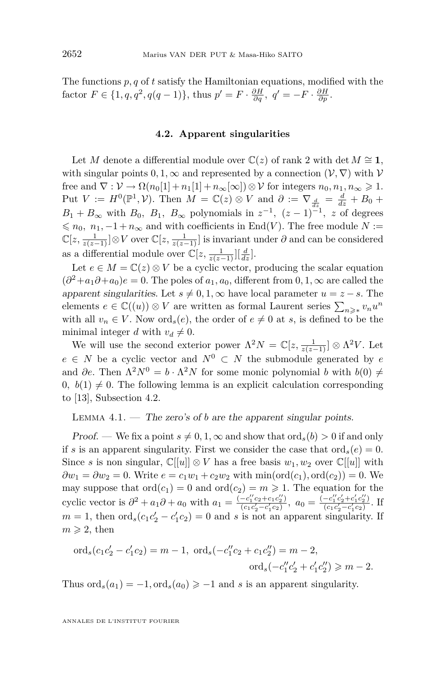<span id="page-42-0"></span>The functions *p, q* of *t* satisfy the Hamiltonian equations, modified with the factor  $F \in \{1, q, q^2, q(q-1)\},\$  thus  $p' = F \cdot \frac{\partial H}{\partial q}, q' = -F \cdot \frac{\partial H}{\partial p}$ .

#### **4.2. Apparent singularities**

Let *M* denote a differential module over  $\mathbb{C}(z)$  of rank 2 with det  $M \cong \mathbf{1}$ , with singular points  $0, 1, \infty$  and represented by a connection  $(\mathcal{V}, \nabla)$  with  $\mathcal{V}$ free and  $\nabla : \mathcal{V} \to \Omega(n_0[1] + n_1[1] + n_\infty[\infty]) \otimes \mathcal{V}$  for integers  $n_0, n_1, n_\infty \geq 1$ . Put  $V := H^0(\mathbb{P}^1, \mathcal{V})$ . Then  $M = \mathbb{C}(z) \otimes V$  and  $\partial := \nabla_{\frac{d}{dz}} = \frac{d}{dz} + B_0 +$  $B_1 + B_{\infty}$  with  $B_0$ ,  $B_1$ ,  $B_{\infty}$  polynomials in  $z^{-1}$ ,  $(z-1)^{-1}$ , z of degrees  $\leq n_0, n_1, -1 + n_\infty$  and with coefficients in End(*V*). The free module *N* :=  $\mathbb{C}[z, \frac{1}{z(z-1)}] \otimes V$  over  $\mathbb{C}[z, \frac{1}{z(z-1)}]$  is invariant under  $\partial$  and can be considered as a differential module over  $\mathbb{C}[z, \frac{1}{z(z-1)}][\frac{d}{dz}].$ 

Let  $e \in M = \mathbb{C}(z) \otimes V$  be a cyclic vector, producing the scalar equation  $(\partial^2 + a_1 \partial + a_0)e = 0$ . The poles of  $a_1, a_0$ , different from  $0, 1, \infty$  are called the apparent singularities. Let  $s \neq 0, 1, \infty$  have local parameter  $u = z - s$ . The elements  $e \in \mathbb{C}((u)) \otimes V$  are written as formal Laurent series  $\sum_{n \geq x} v_n u^n$ with all  $v_n \in V$ . Now  $\text{ord}_s(e)$ , the order of  $e \neq 0$  at *s*, is defined to be the minimal integer *d* with  $v_d \neq 0$ .

We will use the second exterior power  $\Lambda^2 N = \mathbb{C}[z, \frac{1}{z(z-1)}] \otimes \Lambda^2 V$ . Let  $e \in N$  be a cyclic vector and  $N^0 \subset N$  the submodule generated by *e* and  $\partial e$ . Then  $\Lambda^2 N^0 = b \cdot \Lambda^2 N$  for some monic polynomial *b* with  $b(0) \neq 0$  $0, b(1) \neq 0$ . The following lemma is an explicit calculation corresponding to [\[13\]](#page-56-0), Subsection 4.2.

LEMMA  $4.1.$  — The zero's of *b* are the apparent singular points.

Proof. — We fix a point  $s \neq 0, 1, \infty$  and show that ord<sub>s</sub> $(b) > 0$  if and only if *s* is an apparent singularity. First we consider the case that  $\text{ord}_s(e) = 0$ . Since *s* is non singular,  $\mathbb{C}[[u]] \otimes V$  has a free basis  $w_1, w_2$  over  $\mathbb{C}[[u]]$  with  $\partial w_1 = \partial w_2 = 0$ . Write  $e = c_1 w_1 + c_2 w_2$  with  $\min(\text{ord}(c_1), \text{ord}(c_2)) = 0$ . We may suppose that  $\text{ord}(c_1) = 0$  and  $\text{ord}(c_2) = m \geq 1$ . The equation for the cyclic vector is  $\partial^2 + a_1 \partial + a_0$  with  $a_1 = \frac{(-c_1''c_2 + c_1c_2'')}{(c_1c_2' - c_1'c_2)}$  $\frac{(-c_1''c_2+c_1c_2'')}{(c_1c_2'-c_1'c_2)}, a_0 = \frac{(-c_1''c_2'+c_1'c_2'')}{(c_1c_2'-c_1'c_2)}$  $\frac{-c_1c_2+c_1c_2}{(c_1c'_2-c'_1c_2)}$ . If  $m = 1$ , then  $\text{ord}_s(c_1c_2' - c_1'c_2) = 0$  and *s* is not an apparent singularity. If  $m \geqslant 2$ , then

$$
\text{ord}_s(c_1c'_2 - c'_1c_2) = m - 1, \text{ ord}_s(-c''_1c_2 + c_1c''_2) = m - 2,
$$
  

$$
\text{ord}_s(-c''_1c'_2 + c'_1c''_2) \ge m - 2.
$$

Thus  $\text{ord}_s(a_1) = -1, \text{ord}_s(a_0) \geq -1$  and *s* is an apparent singularity.

ANNALES DE L'INSTITUT FOURIER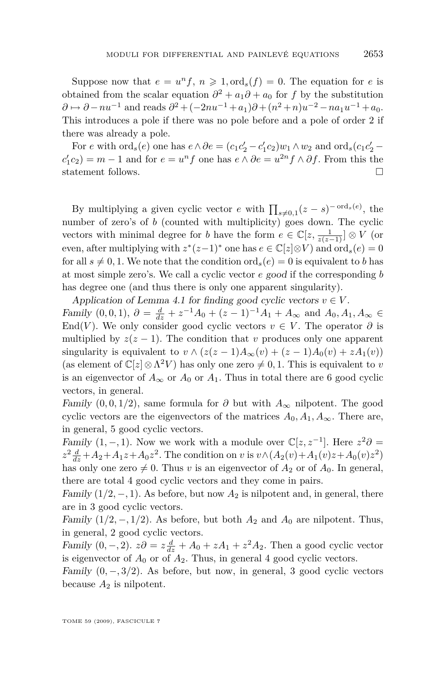Suppose now that  $e = u^n f$ ,  $n \ge 1$ , ord<sub>s</sub> $(f) = 0$ . The equation for *e* is obtained from the scalar equation  $\partial^2 + a_1 \partial + a_0$  for *f* by the substitution *∂* → *∂* − *nu*<sup>−1</sup> and reads  $\partial^2$  + (−2*nu*<sup>−1</sup> + *a*<sub>1</sub>) $\partial$  + (*n*<sup>2</sup> + *n*)*u*<sup>−2</sup> − *na*<sub>1</sub>*u*<sup>−1</sup> + *a*<sub>0</sub>. This introduces a pole if there was no pole before and a pole of order 2 if there was already a pole.

For e with  $\text{ord}_s(e)$  one has  $e \wedge \partial e = (c_1c'_2 - c'_1c_2)w_1 \wedge w_2$  and  $\text{ord}_s(c_1c'_2 - c'_1c'_2)w_1 \wedge w_2$  $c'_1c_2$ ) = *m* − 1 and for *e* =  $u^n f$  one has  $e \wedge \partial e = u^{2n} f \wedge \partial f$ . From this the statement follows.  $\Box$ 

By multiplying a given cyclic vector *e* with  $\prod_{s\neq 0,1} (z-s)^{-\text{ord}_s(e)}$ , the number of zero's of *b* (counted with multiplicity) goes down. The cyclic vectors with minimal degree for *b* have the form  $e \in \mathbb{C}[z, \frac{1}{z(z-1)}] \otimes V$  (or even, after multiplying with  $z^*(z-1)^*$  one has  $e \in \mathbb{C}[z] \otimes V$  and  $\text{ord}_s(e) = 0$ for all  $s \neq 0, 1$ . We note that the condition ord<sub>s</sub> $(e) = 0$  is equivalent to *b* has at most simple zero's. We call a cyclic vector *e* good if the corresponding *b* has degree one (and thus there is only one apparent singularity).

Application of Lemma 4.1 for finding good cyclic vectors  $v \in V$ . *Family* (0, 0, 1),  $\partial = \frac{d}{dz} + z^{-1}A_0 + (z - 1)^{-1}A_1 + A_\infty$  and  $A_0, A_1, A_\infty$  ∈ End(*V*). We only consider good cyclic vectors  $v \in V$ . The operator  $\partial$  is multiplied by  $z(z - 1)$ . The condition that *v* produces only one apparent singularity is equivalent to  $v \wedge (z(z-1)A_{\infty}(v) + (z-1)A_0(v) + zA_1(v))$ (as element of  $\mathbb{C}[z] \otimes \Lambda^2 V$ ) has only one zero  $\neq 0, 1$ . This is equivalent to *v* is an eigenvector of  $A_{\infty}$  or  $A_0$  or  $A_1$ . Thus in total there are 6 good cyclic vectors, in general.

Family  $(0,0,1/2)$ , same formula for  $\partial$  but with  $A_{\infty}$  nilpotent. The good cyclic vectors are the eigenvectors of the matrices  $A_0, A_1, A_\infty$ . There are, in general, 5 good cyclic vectors.

Family  $(1, -1)$ . Now we work with a module over  $\mathbb{C}[z, z^{-1}]$ . Here  $z^2\partial =$  $z^2 \frac{d}{dz} + A_2 + A_1 z + A_0 z^2$ . The condition on *v* is  $v \wedge (A_2(v) + A_1(v)z + A_0(v)z^2)$ has only one zero  $\neq 0$ . Thus *v* is an eigenvector of  $A_2$  or of  $A_0$ . In general, there are total 4 good cyclic vectors and they come in pairs.

Family  $(1/2, -1)$ . As before, but now  $A_2$  is nilpotent and, in general, there are in 3 good cyclic vectors.

Family  $(1/2, -1/2)$ . As before, but both  $A_2$  and  $A_0$  are nilpotent. Thus, in general, 2 good cyclic vectors.

Family  $(0, -, 2)$ .  $z\partial = z\frac{d}{dz} + A_0 + zA_1 + z^2A_2$ . Then a good cyclic vector is eigenvector of  $A_0$  or of  $A_2$ . Thus, in general 4 good cyclic vectors.

Family  $(0, -1, 3/2)$ . As before, but now, in general, 3 good cyclic vectors because  $A_2$  is nilpotent.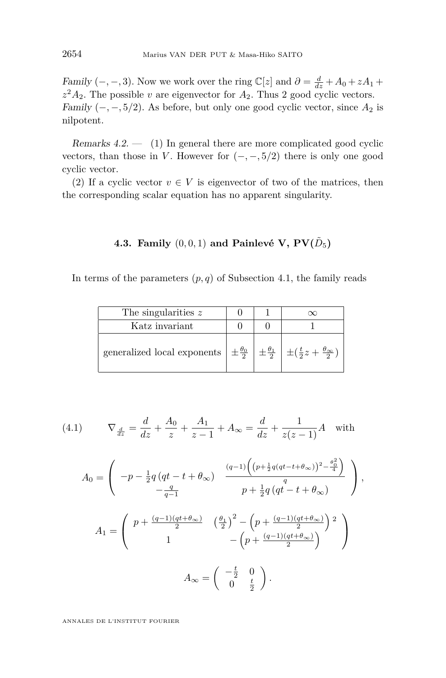<span id="page-44-0"></span>Family  $(-, -, 3)$ . Now we work over the ring  $\mathbb{C}[z]$  and  $\partial = \frac{d}{dz} + A_0 + zA_1 + \frac{d}{dz} + A_0 + zA_1$  $z^2 A_2$ . The possible *v* are eigenvector for  $A_2$ . Thus 2 good cyclic vectors. Family  $(-, -, 5/2)$ . As before, but only one good cyclic vector, since  $A_2$  is nilpotent.

Remarks  $4.2.$  — (1) In general there are more complicated good cyclic vectors, than those in *V*. However for  $(-, -, 5/2)$  there is only one good cyclic vector.

(2) If a cyclic vector  $v \in V$  is eigenvector of two of the matrices, then the corresponding scalar equation has no apparent singularity.

## 4.3. Family  $(0,0,1)$  and Painlevé V,  $PV(\tilde{D}_5)$

In terms of the parameters  $(p, q)$  of Subsection 4.1, the family reads

| The singularities $z$                                                                                                          |  |  |
|--------------------------------------------------------------------------------------------------------------------------------|--|--|
| Katz invariant                                                                                                                 |  |  |
| generalized local exponents $\pm \frac{\theta_0}{2}$ $\pm \frac{\theta_1}{2}$ $\pm (\frac{t}{2}z + \frac{\theta_{\infty}}{2})$ |  |  |

(4.1) 
$$
\nabla_{\frac{d}{dz}} = \frac{d}{dz} + \frac{A_0}{z} + \frac{A_1}{z - 1} + A_{\infty} = \frac{d}{dz} + \frac{1}{z(z - 1)}A \text{ with}
$$

$$
A_0 = \begin{pmatrix} -p - \frac{1}{2}q(qt - t + \theta_{\infty}) & \frac{(q-1)\left((p + \frac{1}{2}q(qt - t + \theta_{\infty}))^2 - \frac{\theta_0^2}{4}\right)}{p + \frac{1}{2}q(qt - t + \theta_{\infty})} \\ -\frac{q}{q - 1} & p + \frac{1}{2}q(qt - t + \theta_{\infty}) \end{pmatrix},
$$
  

$$
A_1 = \begin{pmatrix} p + \frac{(q-1)(qt + \theta_{\infty})}{2} & \left(\frac{\theta_1}{2}\right)^2 - \left(p + \frac{(q-1)(qt + \theta_{\infty})}{2}\right)^2 \\ 1 & -\left(p + \frac{(q-1)(qt + \theta_{\infty})}{2}\right) \end{pmatrix}
$$
  

$$
A_{\infty} = \begin{pmatrix} -\frac{t}{2} & 0 \\ 0 & \frac{t}{2} \end{pmatrix}.
$$

ANNALES DE L'INSTITUT FOURIER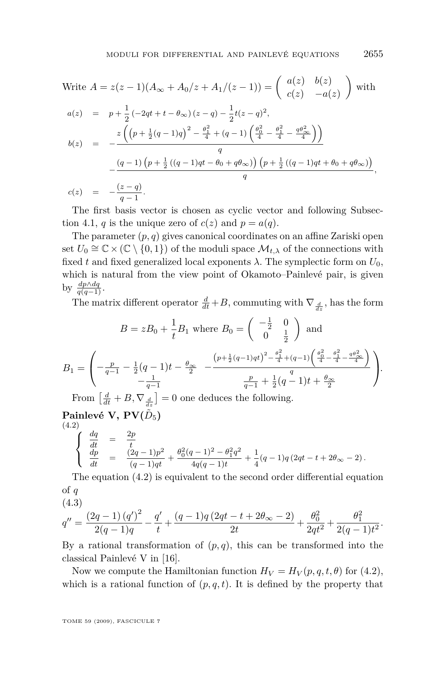<span id="page-45-0"></span>Write 
$$
A = z(z - 1)(A_{\infty} + A_0/z + A_1/(z - 1)) = \begin{pmatrix} a(z) & b(z) \\ c(z) & -a(z) \end{pmatrix}
$$
 with  
\n
$$
a(z) = p + \frac{1}{2}(-2qt + t - \theta_{\infty})(z - q) - \frac{1}{2}t(z - q)^2,
$$
\n
$$
b(z) = -\frac{z\left(\left(p + \frac{1}{2}(q - 1)q\right)^2 - \frac{\theta_1^2}{4} + (q - 1)\left(\frac{\theta_0^2}{4} - \frac{\theta_1^2}{4} - \frac{q\theta_{\infty}^2}{4}\right)\right)}{q} - \frac{(q - 1)\left(p + \frac{1}{2}\left((q - 1)qt - \theta_0 + q\theta_{\infty}\right)\right)\left(p + \frac{1}{2}\left((q - 1)qt + \theta_0 + q\theta_{\infty}\right)\right)}{q},
$$
\n
$$
c(z) = -\frac{(z - q)}{q - 1}.
$$

The first basis vector is chosen as cyclic vector and following Subsec-tion [4.1,](#page-40-0) *q* is the unique zero of  $c(z)$  and  $p = a(q)$ .

The parameter  $(p, q)$  gives canonical coordinates on an affine Zariski open set  $U_0 \cong \mathbb{C} \times (\mathbb{C} \setminus \{0,1\})$  of the moduli space  $\mathcal{M}_{t,\lambda}$  of the connections with fixed *t* and fixed generalized local exponents  $\lambda$ . The symplectic form on  $U_0$ , which is natural from the view point of Okamoto–Painlevé pair, is given by  $\frac{dp \wedge dq}{q(q-1)}$ .

The matrix different operator  $\frac{d}{dt} + B$ , commuting with  $\nabla_{\frac{d}{dz}}$ , has the form

$$
B = zB_0 + \frac{1}{t}B_1 \text{ where } B_0 = \begin{pmatrix} -\frac{1}{2} & 0\\ 0 & \frac{1}{2} \end{pmatrix} \text{ and}
$$

$$
B_1 = \begin{pmatrix} -\frac{p}{q-1} - \frac{1}{2}(q-1)t - \frac{\theta_{\infty}}{2} & -\frac{\left(p+\frac{1}{2}(q-1)qt\right)^2 - \frac{\theta_{1}^{2}}{4} + (q-1)\left(\frac{\theta_{0}^{2}}{4} - \frac{\theta_{1}^{2}}{4} - \frac{q\theta_{\infty}^{2}}{4}\right) \\ -\frac{1}{q-1} & \frac{p}{q-1} + \frac{1}{2}(q-1)t + \frac{\theta_{\infty}}{2} \end{pmatrix}.
$$
From  $\left[\frac{d}{dt} + B, \nabla_{\frac{d}{dz}}\right] = 0$  one deduces the following.

 $\mathbf{Painlev\'e V, PV}(\tilde{D}_5)$ (4.2)

$$
\begin{cases}\n\frac{dq}{dt} = \frac{2p}{t} \\
\frac{dp}{dt} = \frac{(2q-1)p^2}{(q-1)qt} + \frac{\theta_0^2(q-1)^2 - \theta_1^2 q^2}{4q(q-1)t} + \frac{1}{4}(q-1)q(2qt-t+2\theta_\infty - 2).\n\end{cases}
$$

The equation (4.2) is equivalent to the second order differential equation of *q*

(4.3)  
\n
$$
q'' = \frac{(2q-1) (q')^2}{2(q-1)q} - \frac{q'}{t} + \frac{(q-1)q (2qt-t+2\theta_{\infty}-2)}{2t} + \frac{\theta_0^2}{2qt^2} + \frac{\theta_1^2}{2(q-1)t^2}.
$$

By a rational transformation of  $(p, q)$ , this can be transformed into the classical Painlevé V in [\[16\]](#page-56-0).

Now we compute the Hamiltonian function  $H_V = H_V(p, q, t, \theta)$  for (4.2), which is a rational function of  $(p, q, t)$ . It is defined by the property that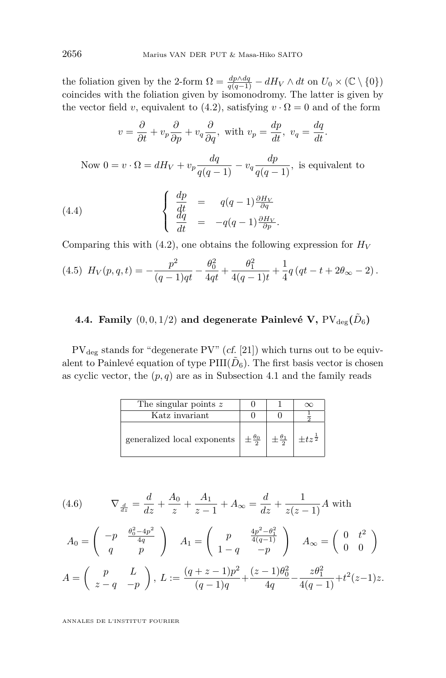the foliation given by the 2-form  $\Omega = \frac{dp \wedge dq}{q(q-1)} - dH_V \wedge dt$  on  $U_0 \times (\mathbb{C} \setminus \{0\})$ coincides with the foliation given by isomonodromy. The latter is given by the vector field *v*, equivalent to [\(4.2\)](#page-45-0), satisfying  $v \cdot \Omega = 0$  and of the form

$$
v = \frac{\partial}{\partial t} + v_p \frac{\partial}{\partial p} + v_q \frac{\partial}{\partial q}, \text{ with } v_p = \frac{dp}{dt}, \ v_q = \frac{dq}{dt}.
$$
  
Now  $0 = v \cdot \Omega = dH_V + v_p \frac{dq}{q(q-1)} - v_q \frac{dp}{q(q-1)}, \text{ is equivalent to}$   
(4.4)  

$$
\begin{cases} \frac{dp}{dt} = q(q-1) \frac{\partial H_V}{\partial q} \\ \frac{dq}{dt} = -q(q-1) \frac{\partial H_V}{\partial p} .\end{cases}
$$

Comparing this with  $(4.2)$ , one obtains the following expression for  $H_V$ 

$$
(4.5) \ H_V(p,q,t) = -\frac{p^2}{(q-1)qt} - \frac{\theta_0^2}{4qt} + \frac{\theta_1^2}{4(q-1)t} + \frac{1}{4}q\left(qt - t + 2\theta_\infty - 2\right).
$$

## 4.4. Family  $(0,0,1/2)$  and degenerate Painlevé V,  $\text{PV}_\text{deg}(\tilde{D}_6)$

 $PV_{\text{deg}}$  stands for "degenerate PV" (cf. [\[21\]](#page-56-0)) which turns out to be equivalent to Painlevé equation of type  $\text{PIII}(\tilde{D}_6)$ . The first basis vector is chosen as cyclic vector, the  $(p, q)$  are as in Subsection [4.1](#page-40-0) and the family reads

| The singular points z                            |                          |                     |
|--------------------------------------------------|--------------------------|---------------------|
| Katz invariant                                   |                          |                     |
| generalized local exponents $\frac{\theta_0}{2}$ | $\pm \frac{\theta_1}{2}$ | $+tz^{\frac{1}{2}}$ |

(4.6) 
$$
\nabla_{\frac{d}{dz}} = \frac{d}{dz} + \frac{A_0}{z} + \frac{A_1}{z-1} + A_{\infty} = \frac{d}{dz} + \frac{1}{z(z-1)}A \text{ with}
$$

$$
A_0 = \begin{pmatrix} -p & \frac{\theta_0^2 - 4p^2}{4q} \\ q & p \end{pmatrix} \quad A_1 = \begin{pmatrix} p & \frac{4p^2 - \theta_1^2}{4(q-1)} \\ 1 - q & -p \end{pmatrix} \quad A_{\infty} = \begin{pmatrix} 0 & t^2 \\ 0 & 0 \end{pmatrix}
$$

$$
A = \begin{pmatrix} p & L \\ z - q & -p \end{pmatrix}, L := \frac{(q+z-1)p^2}{(q-1)q} + \frac{(z-1)\theta_0^2}{4q} - \frac{z\theta_1^2}{4(q-1)} + t^2(z-1)z.
$$

ANNALES DE L'INSTITUT FOURIER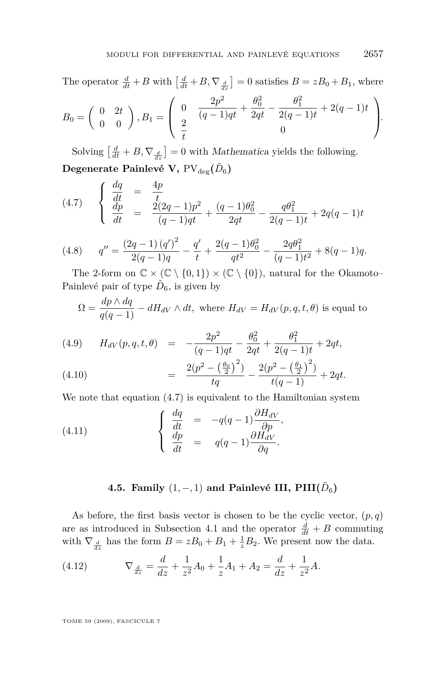The operator  $\frac{d}{dt} + B$  with  $\left[\frac{d}{dt} + B, \nabla_{\frac{d}{dz}}\right] = 0$  satisfies  $B = zB_0 + B_1$ , where

$$
B_0 = \begin{pmatrix} 0 & 2t \\ 0 & 0 \end{pmatrix}, B_1 = \begin{pmatrix} 0 & \frac{2p^2}{(q-1)qt} + \frac{\theta_0^2}{2qt} - \frac{\theta_1^2}{2(q-1)t} + 2(q-1)t \\ \frac{2}{t} & 0 \end{pmatrix}.
$$

Solving  $\left[\frac{d}{dt} + B, \nabla_{\frac{d}{dz}}\right] = 0$  with *Mathematica* yields the following.  $\bf Degenerate$   $\bf Painlev\'e$   $\bf V,$   $\rm PV_{\rm deg}(\tilde D_6)$ 

$$
(4.7) \quad\n\begin{cases}\n\frac{dq}{dt} = \frac{4p}{t} \\
\frac{dp}{dt} = \frac{2(2q-1)p^2}{(q-1)qt} + \frac{(q-1)\theta_0^2}{2qt} - \frac{q\theta_1^2}{2(q-1)t} + 2q(q-1)t\n\end{cases}
$$

(4.8) 
$$
q'' = \frac{(2q-1) (q')^2}{2(q-1)q} - \frac{q'}{t} + \frac{2(q-1)\theta_0^2}{qt^2} - \frac{2q\theta_1^2}{(q-1)t^2} + 8(q-1)q.
$$

The 2-form on  $\mathbb{C} \times (\mathbb{C} \setminus \{0,1\}) \times (\mathbb{C} \setminus \{0\})$ , natural for the Okamoto– Painlevé pair of type  $\tilde{D}_6$ , is given by

$$
\Omega = \frac{dp \wedge dq}{q(q-1)} - dH_{dV} \wedge dt
$$
, where  $H_{dV} = H_{dV}(p, q, t, \theta)$  is equal to

(4.9) 
$$
H_{dV}(p,q,t,\theta) = -\frac{2p^2}{(q-1)qt} - \frac{\theta_0^2}{2qt} + \frac{\theta_1^2}{2(q-1)t} + 2qt,
$$

$$
2(p^2 - \left(\frac{\theta_0}{2}\right)^2) - 2(p^2 - \left(\frac{\theta_1}{2}\right)^2)
$$

(4.10) 
$$
= \frac{2(p^2 - \left(\frac{\theta_0}{2}\right)^2)}{tq} - \frac{2(p^2 - \left(\frac{\theta_1}{2}\right)^2)}{t(q-1)} + 2qt.
$$

We note that equation (4.7) is equivalent to the Hamiltonian system

(4.11) 
$$
\begin{cases} \frac{dq}{dt} = -q(q-1)\frac{\partial H_{dV}}{\partial p}, \\ \frac{dp}{dt} = q(q-1)\frac{\partial H_{dV}}{\partial q}. \end{cases}
$$

## **4.5. Family**  $(1, - , 1)$  and Painlevé III,  $\text{PIII}(\tilde{D}_6)$

As before, the first basis vector is chosen to be the cyclic vector,  $(p, q)$ are as introduced in Subsection 4.1 and the operator  $\frac{d}{dt} + B$  commuting with  $\nabla_{\frac{d}{dz}}$  has the form  $B = zB_0 + B_1 + \frac{1}{z}B_2$ . We present now the data.

(4.12) 
$$
\nabla_{\frac{d}{dz}} = \frac{d}{dz} + \frac{1}{z^2}A_0 + \frac{1}{z}A_1 + A_2 = \frac{d}{dz} + \frac{1}{z^2}A.
$$

TOME 59 (2009), FASCICULE 7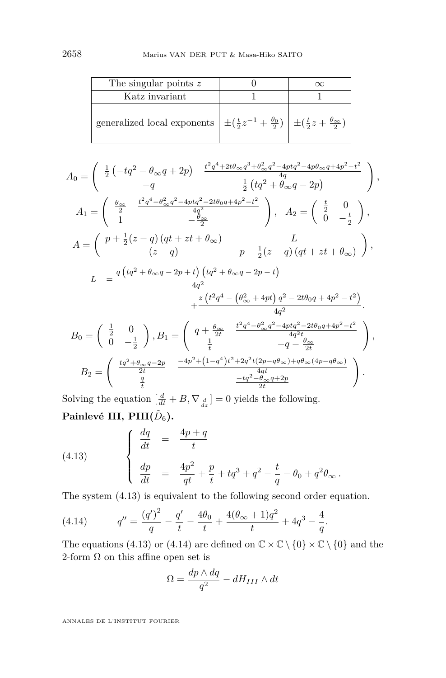<span id="page-48-0"></span>

| The singular points $z$                                                                                           |  |
|-------------------------------------------------------------------------------------------------------------------|--|
| Katz invariant                                                                                                    |  |
| generalized local exponents $\pm(\frac{t}{2}z^{-1}+\frac{\theta_0}{2}) \pm(\frac{t}{2}z+\frac{\theta_\infty}{2})$ |  |

$$
A_0 = \begin{pmatrix} \frac{1}{2} \left( -tq^2 - \theta_{\infty}q + 2p \right) & \frac{t^2q^4 + 2t\theta_{\infty}q^3 + \theta_{\infty}^2q^2 - 4ptq^2 - 4p\theta_{\infty}q + 4p^2 - t^2}{4q} \\ -q & \frac{1}{2} \left( tq^2 + \theta_{\infty}q - 2p \right) \end{pmatrix},
$$
  
\n
$$
A_1 = \begin{pmatrix} \frac{\theta_{\infty}}{2} & \frac{t^2q^4 - \theta_{\infty}^2q^2 - 4ptq^2 - 2t\theta_{0}q + 4p^2 - t^2}{4q^2} \\ 1 & -\frac{\theta_{\infty}^2}{2} \end{pmatrix}, \quad A_2 = \begin{pmatrix} \frac{t}{2} & 0 \\ 0 & -\frac{t}{2} \end{pmatrix},
$$
  
\n
$$
A = \begin{pmatrix} p + \frac{1}{2}(z - q) \left( qt + zt + \theta_{\infty} \right) & -p - \frac{1}{2}(z - q) \left( qt + zt + \theta_{\infty} \right) \\ (z - q) & -p - \frac{1}{2}(z - q) \left( qt + zt + \theta_{\infty} \right) \end{pmatrix},
$$
  
\n
$$
L = \frac{q \left( tq^2 + \theta_{\infty}q - 2p + t \right) \left( tq^2 + \theta_{\infty}q - 2p - t \right)}{4q^2} + \frac{z \left( t^2q^4 - \left( \theta_{\infty}^2 + 4pt \right)q^2 - 2t\theta_{0}q + 4p^2 - t^2 \right)}{4q^2}.
$$
  
\n
$$
B_0 = \begin{pmatrix} \frac{1}{2} & 0 \\ 0 & -\frac{1}{2} \end{pmatrix}, B_1 = \begin{pmatrix} q + \frac{\theta_{\infty}}{2t} & \frac{t^2q^4 - \theta_{\infty}^2q^2 - 4ptq^2 - 2t\theta_{0}q + 4p^2 - t^2}{4q^2 t} \\ \frac{1}{2} & -q - \frac{\theta_{\infty}}{2t} \end{pmatrix},
$$
  
\n
$$
B_2 = \begin{pmatrix} \frac
$$

Solving the equation  $\left[\frac{d}{dt} + B, \nabla_{\frac{d}{dz}}\right] = 0$  yields the following.  $\mathbf{Painlev\'e III}, \, \mathbf{PIII}(\tilde{D}_6).$ 

(4.13) 
$$
\begin{cases} \frac{dq}{dt} = \frac{4p+q}{t} \\ \frac{dp}{dt} = \frac{4p^2}{qt} + \frac{p}{t} + tq^3 + q^2 - \frac{t}{q} - \theta_0 + q^2 \theta_{\infty} . \end{cases}
$$

The system (4.13) is equivalent to the following second order equation.

(4.14) 
$$
q'' = \frac{(q')^2}{q} - \frac{q'}{t} - \frac{4\theta_0}{t} + \frac{4(\theta_\infty + 1)q^2}{t} + 4q^3 - \frac{4}{q}.
$$

The equations (4.13) or (4.14) are defined on  $\mathbb{C} \times \mathbb{C} \setminus \{0\} \times \mathbb{C} \setminus \{0\}$  and the 2-form  $\Omega$  on this affine open set is

$$
\Omega = \frac{dp \wedge dq}{q^2} - dH_{III} \wedge dt
$$

ANNALES DE L'INSTITUT FOURIER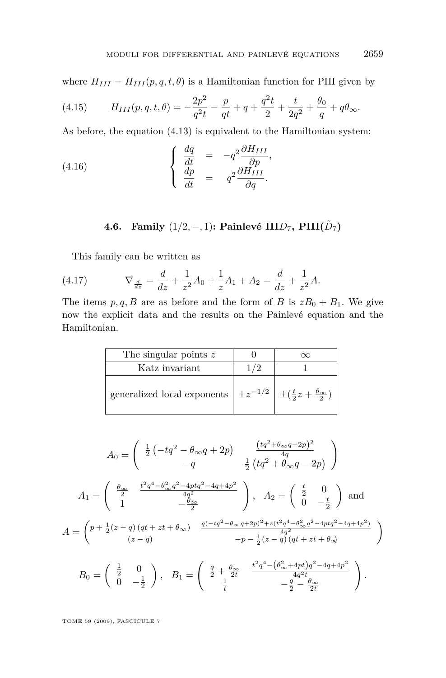where  $H_{III} = H_{III}(p, q, t, \theta)$  is a Hamiltonian function for PIII given by

(4.15) 
$$
H_{III}(p,q,t,\theta) = -\frac{2p^2}{q^2t} - \frac{p}{qt} + q + \frac{q^2t}{2} + \frac{t}{2q^2} + \frac{\theta_0}{q} + q\theta_{\infty}.
$$

As before, the equation [\(4.13\)](#page-48-0) is equivalent to the Hamiltonian system:

(4.16) 
$$
\begin{cases} \frac{dq}{dt} = -q^2 \frac{\partial H_{III}}{\partial p}, \\ \frac{dp}{dt} = q^2 \frac{\partial H_{III}}{\partial q}. \end{cases}
$$

## **4.6.** Family  $(1/2, −, 1)$ : Painlevé III $D_7$ , PIII $(\tilde{D}_7)$

This family can be written as

(4.17) 
$$
\nabla_{\frac{d}{dz}} = \frac{d}{dz} + \frac{1}{z^2}A_0 + \frac{1}{z}A_1 + A_2 = \frac{d}{dz} + \frac{1}{z^2}A.
$$

The items  $p, q, B$  are as before and the form of *B* is  $zB_0 + B_1$ . We give now the explicit data and the results on the Painlevé equation and the Hamiltonian.

| The singular points $z$                                                                     |  |
|---------------------------------------------------------------------------------------------|--|
| Katz invariant                                                                              |  |
| generalized local exponents $\pm z^{-1/2}$ $\pm (\frac{t}{2}z + \frac{\theta_{\infty}}{2})$ |  |

$$
A_0 = \begin{pmatrix} \frac{1}{2} \left( -tq^2 - \theta_\infty q + 2p \right) & \frac{(tq^2 + \theta_\infty q - 2p)^2}{4q} \\ -q & \frac{1}{2} \left( tq^2 + \theta_\infty q - 2p \right) \end{pmatrix}
$$

$$
A_1 = \begin{pmatrix} \frac{\theta_\infty}{2} & \frac{t^2q^4 - \theta_\infty^2q^2 - 4ptq^2 - 4q + 4p^2}{4q^2} \\ 1 & -\frac{\theta_\infty}{2} \end{pmatrix}, \quad A_2 = \begin{pmatrix} \frac{t}{2} & 0 \\ 0 & -\frac{t}{2} \end{pmatrix} \text{ and}
$$

$$
A = \begin{pmatrix} p + \frac{1}{2}(z - q)(qt + zt + \theta_\infty) & \frac{q(-tq^2 - \theta_\infty q + 2p)^2 + z(t^2q^4 - \theta_\infty^2 q^2 - 4ptq^2 - 4q + 4p^2)}{(z - q)} \\ (z - q) & -p - \frac{1}{2}(z - q)(qt + zt + \theta_\infty) \end{pmatrix}
$$

$$
B_0 = \begin{pmatrix} \frac{1}{2} & 0 \\ 0 & -\frac{1}{2} \end{pmatrix}, \quad B_1 = \begin{pmatrix} \frac{q}{2} + \frac{\theta_\infty}{2t} & \frac{t^2q^4 - (\theta_\infty^2 + 4pt)q^2 - 4q + 4p^2}{4q^2t} \\ \frac{1}{t} & -\frac{q}{2} - \frac{\theta_\infty}{2t} \end{pmatrix}.
$$

TOME 59 (2009), FASCICULE 7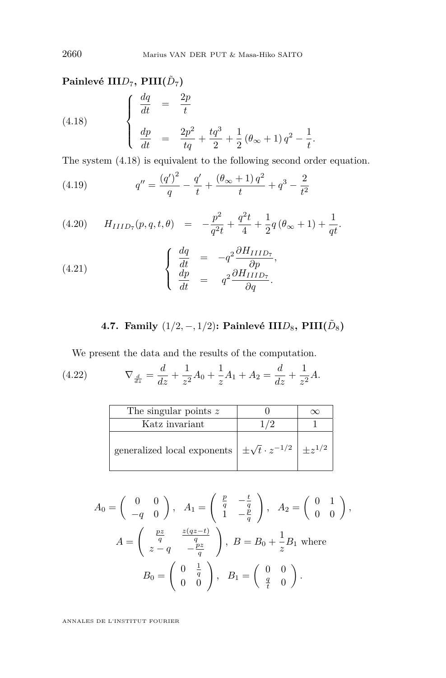## <span id="page-50-0"></span> $\mathbf{Painlev\'e\quad III}D_7, \, \mathbf{PIII}(\tilde{D}_7)$

(4.18) 
$$
\begin{cases} \frac{dq}{dt} = \frac{2p}{t} \\ \frac{dp}{dt} = \frac{2p^2}{tq} + \frac{tq^3}{2} + \frac{1}{2} (\theta_{\infty} + 1) q^2 - \frac{1}{t} \end{cases}
$$

The system (4.18) is equivalent to the following second order equation.

*.*

(4.19) 
$$
q'' = \frac{(q')^2}{q} - \frac{q'}{t} + \frac{(\theta_{\infty} + 1)q^2}{t} + q^3 - \frac{2}{t^2}
$$

(4.20) 
$$
H_{IIID_7}(p,q,t,\theta) = -\frac{p^2}{q^2t} + \frac{q^2t}{4} + \frac{1}{2}q(\theta_\infty + 1) + \frac{1}{qt}.
$$

(4.21) 
$$
\begin{cases} \frac{dq}{dt} = -q^2 \frac{\partial H_{IIID_7}}{\partial p}, \\ \frac{dp}{dt} = q^2 \frac{\partial H_{IIID_7}}{\partial q}. \end{cases}
$$

4.7. Family 
$$
(1/2, -, 1/2)
$$
: Painlevé  $\text{IIID}_8$ ,  $\text{PIII}(\tilde{D}_8)$ 

We present the data and the results of the computation.

 $(4.22)$  $\frac{d}{dz} = \frac{d}{dz} + \frac{1}{z^2}$  $\frac{1}{z^2}A_0 + \frac{1}{z}$  $\frac{1}{z}A_1 + A_2 = \frac{d}{dz} + \frac{1}{z^2}$  $\frac{1}{z^2}A$ .

| The singular points z                                                                   |  |
|-----------------------------------------------------------------------------------------|--|
| Katz invariant                                                                          |  |
| generalized local exponents $\vert \pm \sqrt{t} \cdot z^{-1/2} \vert \pm z^{1/2} \vert$ |  |

$$
A_0 = \begin{pmatrix} 0 & 0 \\ -q & 0 \end{pmatrix}, A_1 = \begin{pmatrix} \frac{p}{q} & -\frac{t}{q} \\ 1 & -\frac{p}{q} \end{pmatrix}, A_2 = \begin{pmatrix} 0 & 1 \\ 0 & 0 \end{pmatrix},
$$
  

$$
A = \begin{pmatrix} \frac{pz}{q} & \frac{z(qz-t)}{q} \\ z-q & -\frac{pz}{q} \end{pmatrix}, B = B_0 + \frac{1}{z}B_1 \text{ where}
$$
  

$$
B_0 = \begin{pmatrix} 0 & \frac{1}{q} \\ 0 & 0 \end{pmatrix}, B_1 = \begin{pmatrix} 0 & 0 \\ \frac{q}{t} & 0 \end{pmatrix}.
$$

ANNALES DE L'INSTITUT FOURIER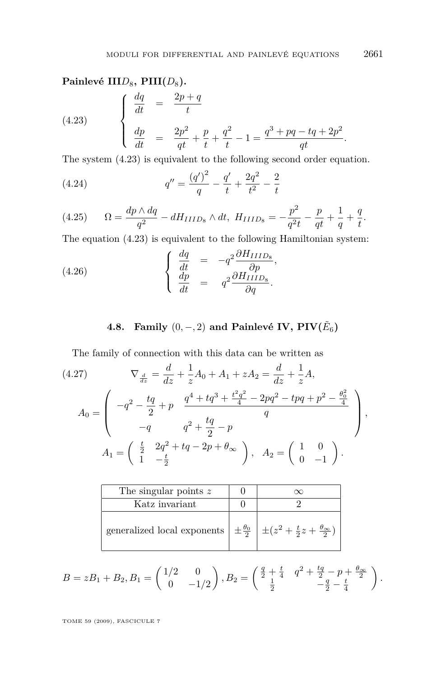### Painlevé III*D*<sub>8</sub>, PIII(*D*<sub>8</sub>).

(4.23) 
$$
\begin{cases} \frac{dq}{dt} = \frac{2p+q}{t} \\ \frac{dp}{dt} = \frac{2p^2}{qt} + \frac{p}{t} + \frac{q^2}{t} - 1 = \frac{q^3 + pq - tq + 2p^2}{qt} \end{cases}
$$

The system (4.23) is equivalent to the following second order equation.

(4.24) 
$$
q'' = \frac{(q')^2}{q} - \frac{q'}{t} + \frac{2q^2}{t^2} - \frac{2}{t}
$$

(4.25) 
$$
\Omega = \frac{dp \wedge dq}{q^2} - dH_{IIID_8} \wedge dt, \ H_{IIID_8} = -\frac{p^2}{q^2t} - \frac{p}{qt} + \frac{1}{q} + \frac{q}{t}.
$$

The equation (4.23) is equivalent to the following Hamiltonian system:

(4.26) 
$$
\begin{cases} \frac{dq}{dt} = -q^2 \frac{\partial H_{IIID_8}}{\partial p}, \\ \frac{dp}{dt} = q^2 \frac{\partial H_{IIID_8}}{\partial q}. \end{cases}
$$

## **4.8.** Family  $(0, -, 2)$  and Painlevé IV,  $\text{PIV}(\tilde{E}_6)$

The family of connection with this data can be written as

(4.27) 
$$
\nabla_{\frac{d}{dz}} = \frac{d}{dz} + \frac{1}{z}A_0 + A_1 + zA_2 = \frac{d}{dz} + \frac{1}{z}A,
$$

$$
A_0 = \begin{pmatrix} -q^2 - \frac{tq}{2} + p & \frac{q^4 + tq^3 + \frac{t^2q^2}{4} - 2pq^2 - tpq + p^2 - \frac{\theta_0^2}{4} \\ -q & q^2 + \frac{tq}{2} - p \\ A_1 = \begin{pmatrix} \frac{t}{2} & 2q^2 + tq - 2p + \theta_\infty \\ 1 & -\frac{t}{2} \end{pmatrix}, A_2 = \begin{pmatrix} 1 & 0 \\ 0 & -1 \end{pmatrix}.
$$

| The singular points $z$                                                                                 |  |
|---------------------------------------------------------------------------------------------------------|--|
| Katz invariant                                                                                          |  |
| generalized local exponents $\frac{\theta_0}{2}$ $\pm (z^2 + \frac{t}{2}z + \frac{\theta_{\infty}}{2})$ |  |

$$
B = zB_1 + B_2, B_1 = \begin{pmatrix} 1/2 & 0 \\ 0 & -1/2 \end{pmatrix}, B_2 = \begin{pmatrix} \frac{q}{2} + \frac{t}{4} & q^2 + \frac{tq}{2} - p + \frac{\theta_{\infty}}{2} \\ \frac{1}{2} & -\frac{q}{2} - \frac{t}{4} \end{pmatrix}.
$$

TOME 59 (2009), FASCICULE 7

*.*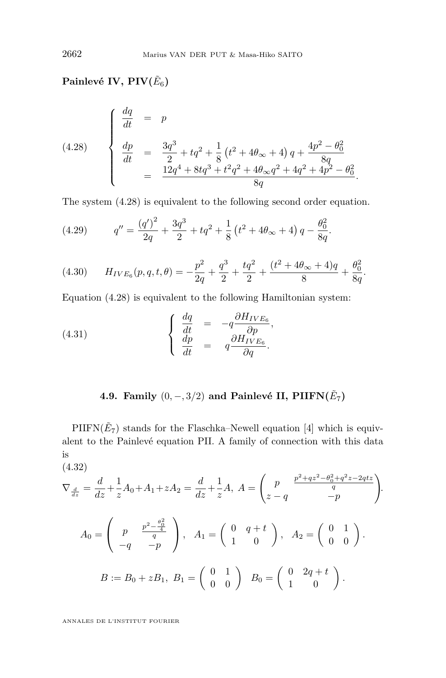## $\mathbf{Painlev\'e IV, PIV}(\tilde{E}_6)$

(4.28) 
$$
\begin{cases}\n\frac{dq}{dt} = p \\
\frac{dp}{dt} = \frac{3q^3}{2} + tq^2 + \frac{1}{8} (t^2 + 4\theta_\infty + 4) q + \frac{4p^2 - \theta_0^2}{8q} \\
= \frac{12q^4 + 8tq^3 + t^2q^2 + 4\theta_\infty q^2 + 4q^2 + 4p^2 - \theta_0^2}{8q}.\n\end{cases}
$$

The system (4.28) is equivalent to the following second order equation.

(4.29) 
$$
q'' = \frac{(q')^2}{2q} + \frac{3q^3}{2} + tq^2 + \frac{1}{8} (t^2 + 4\theta_{\infty} + 4) q - \frac{\theta_0^2}{8q}.
$$

(4.30) 
$$
H_{IVE_6}(p,q,t,\theta) = -\frac{p^2}{2q} + \frac{q^3}{2} + \frac{tq^2}{2} + \frac{(t^2 + 4\theta_\infty + 4)q}{8} + \frac{\theta_0^2}{8q}.
$$

Equation (4.28) is equivalent to the following Hamiltonian system:

(4.31) 
$$
\begin{cases} \frac{dq}{dt} = -q \frac{\partial H_{IVE_6}}{\partial p}, \\ \frac{dp}{dt} = q \frac{\partial H_{IVE_6}}{\partial q}. \end{cases}
$$

## **4.9. Family**  $(0, -, 3/2)$  and Painlevé II, PIIFN $(\tilde{E}_7)$

 $\text{PIIFN}(\tilde{E}_7)$  stands for the Flaschka–Newell equation [\[4\]](#page-55-0) which is equivalent to the Painlevé equation PII. A family of connection with this data is (4.32)

$$
\nabla_{\frac{d}{dz}} = \frac{d}{dz} + \frac{1}{z}A_0 + A_1 + zA_2 = \frac{d}{dz} + \frac{1}{z}A, \ A = \begin{pmatrix} p & \frac{p^2 + qz^2 - \theta_0^2 + q^2z - 2qtz}{q} \\ z - q & -p \end{pmatrix}.
$$

$$
A_0 = \begin{pmatrix} p & \frac{p^2 - \frac{\theta_0^2}{4}}{q} \\ -q & -p \end{pmatrix}, \ A_1 = \begin{pmatrix} 0 & q+t \\ 1 & 0 \end{pmatrix}, \ A_2 = \begin{pmatrix} 0 & 1 \\ 0 & 0 \end{pmatrix}.
$$

$$
B := B_0 + zB_1, \ B_1 = \begin{pmatrix} 0 & 1 \\ 0 & 0 \end{pmatrix} \ B_0 = \begin{pmatrix} 0 & 2q+t \\ 1 & 0 \end{pmatrix}.
$$

ANNALES DE L'INSTITUT FOURIER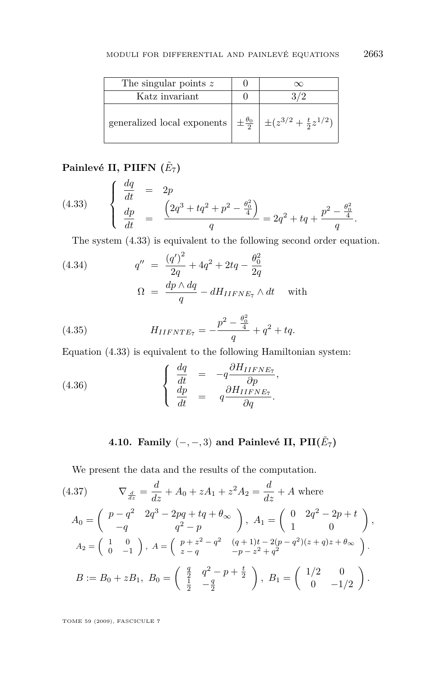<span id="page-53-0"></span>

| The singular points $z$                                                                                | Y |
|--------------------------------------------------------------------------------------------------------|---|
| Katz invariant                                                                                         |   |
| generalized local exponents $\left  \pm \frac{\theta_0}{2} \right  \pm (z^{3/2} + \frac{t}{2}z^{1/2})$ |   |

## **Painlevé II, PIIFN (***E*˜ 7**)**

(4.33) 
$$
\begin{cases} \frac{dq}{dt} = 2p \\ \frac{dp}{dt} = \frac{\left(2q^3 + tq^2 + p^2 - \frac{\theta_0^2}{4}\right)}{q} = 2q^2 + tq + \frac{p^2 - \frac{\theta_0^2}{4}}{q}. \end{cases}
$$

The system (4.33) is equivalent to the following second order equation.

(4.34) 
$$
q'' = \frac{(q')^2}{2q} + 4q^2 + 2tq - \frac{\theta_0^2}{2q} \n\Omega = \frac{dp \wedge dq}{q} - dH_{IIFNE_7} \wedge dt \text{ with}
$$

(4.35) 
$$
H_{IIFNTE_7} = -\frac{p^2 - \frac{\theta_0^2}{4}}{q} + q^2 + tq.
$$

Equation (4.33) is equivalent to the following Hamiltonian system:

(4.36) 
$$
\begin{cases} \frac{dq}{dt} = -q \frac{\partial H_{IIFNE_{7}}}{\partial p},\\ \frac{dp}{dt} = q \frac{\partial H_{IIFNE_{7}}}{\partial q}. \end{cases}
$$

## **4.10. Family**  $(-,-,3)$  and Painlevé II, PII( $\tilde{E}_7$ )

We present the data and the results of the computation.

(4.37) 
$$
\nabla_{\frac{d}{dz}} = \frac{d}{dz} + A_0 + zA_1 + z^2 A_2 = \frac{d}{dz} + A \text{ where}
$$

$$
A_0 = \begin{pmatrix} p - q^2 & 2q^3 - 2pq + tq + \theta_{\infty} \\ -q & q^2 - p \end{pmatrix}, A_1 = \begin{pmatrix} 0 & 2q^2 - 2p + t \\ 1 & 0 \end{pmatrix},
$$

$$
A_2 = \begin{pmatrix} 1 & 0 \\ 0 & -1 \end{pmatrix}, A = \begin{pmatrix} p + z^2 - q^2 & (q + 1)t - 2(p - q^2)(z + q)z + \theta_{\infty} \\ z - q & -p - z^2 + q^2 \end{pmatrix}.
$$

$$
B := B_0 + zB_1, B_0 = \begin{pmatrix} \frac{q}{2} & q^2 - p + \frac{t}{2} \\ \frac{1}{2} & -\frac{q}{2} \end{pmatrix}, B_1 = \begin{pmatrix} 1/2 & 0 \\ 0 & -1/2 \end{pmatrix}.
$$

TOME 59 (2009), FASCICULE 7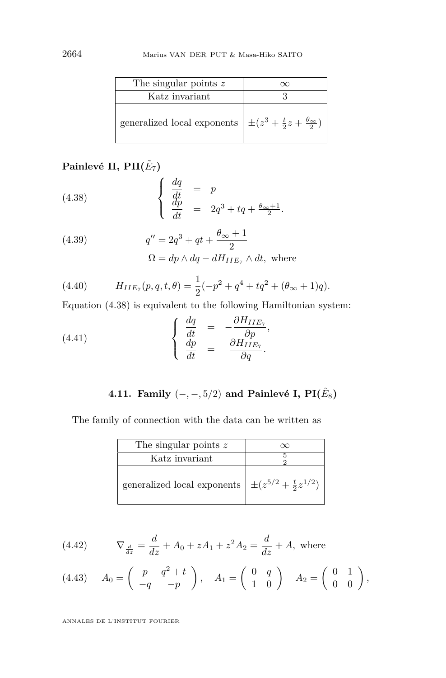<span id="page-54-0"></span>

| The singular points $z$                                                            |  |
|------------------------------------------------------------------------------------|--|
| Katz invariant                                                                     |  |
| generalized local exponents $\pm (z^3 + \frac{t}{2}z + \frac{\theta_{\infty}}{2})$ |  |

## $\mathbf{Painlev\'e II, PII}(\tilde{E}_7)$

(4.38) 
$$
\begin{cases} \frac{dq}{dt} = p \\ \frac{dp}{dt} = 2q^3 + tq + \frac{\theta_{\infty}+1}{2} .\end{cases}
$$

(4.39) 
$$
q'' = 2q^3 + qt + \frac{\theta_{\infty} + 1}{2}
$$

$$
\Omega = dp \wedge dq - dH_{IIE_7} \wedge dt, \text{ where}
$$

(4.40) 
$$
H_{IIE_7}(p,q,t,\theta) = \frac{1}{2}(-p^2 + q^4 + tq^2 + (\theta_{\infty} + 1)q).
$$

Equation (4.38) is equivalent to the following Hamiltonian system:

(4.41) 
$$
\begin{cases}\n\frac{dq}{dt} = -\frac{\partial H_{IIE_7}}{\partial p},\\
\frac{dp}{dt} = \frac{\partial H_{IIE_7}}{\partial q}.\n\end{cases}
$$

4.11. Family 
$$
(-, -5/2)
$$
 and Painlevé I,  $PI(\tilde{E}_8)$ 

The family of connection with the data can be written as

| The singular points z                                            |  |
|------------------------------------------------------------------|--|
| Katz invariant                                                   |  |
| generalized local exponents $\pm (z^{5/2} + \frac{t}{2}z^{1/2})$ |  |

(4.42) 
$$
\nabla_{\frac{d}{dz}} = \frac{d}{dz} + A_0 + zA_1 + z^2 A_2 = \frac{d}{dz} + A, \text{ where}
$$

$$
(4.43) \quad A_0 = \left( \begin{array}{cc} p & q^2 + t \\ -q & -p \end{array} \right), \quad A_1 = \left( \begin{array}{cc} 0 & q \\ 1 & 0 \end{array} \right) \quad A_2 = \left( \begin{array}{cc} 0 & 1 \\ 0 & 0 \end{array} \right),
$$

ANNALES DE L'INSTITUT FOURIER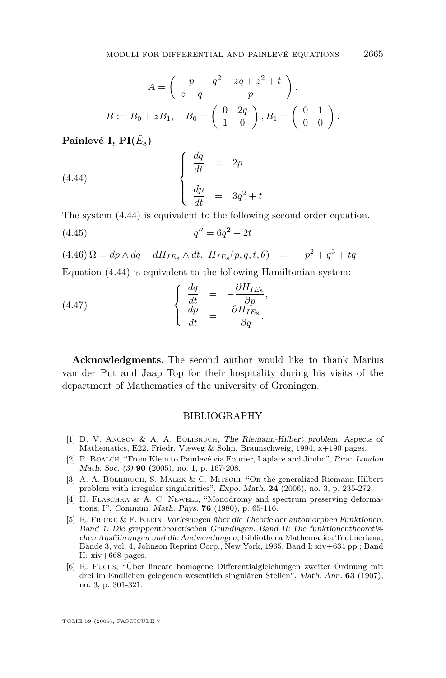<span id="page-55-0"></span>
$$
A = \begin{pmatrix} p & q^2 + zq + z^2 + t \\ z - q & -p \end{pmatrix}.
$$
  

$$
B := B_0 + zB_1, \quad B_0 = \begin{pmatrix} 0 & 2q \\ 1 & 0 \end{pmatrix}, B_1 = \begin{pmatrix} 0 & 1 \\ 0 & 0 \end{pmatrix}.
$$

 $\mathbf{Painlev\'e}\text{ I, } \mathbf{PI}(\tilde{E}_8)$ 

(4.44) 
$$
\begin{cases} \frac{dq}{dt} = 2p \\ \frac{dp}{dt} = 3q^2 + t \end{cases}
$$

The system (4.44) is equivalent to the following second order equation.

$$
(4.45) \t\t q'' = 6q^2 + 2t
$$

 $(4.46)\,\Omega = dp \wedge dq - dH_{IE_8} \wedge dt, H_{IE_8}(p,q,t,\theta) = -p^2 + q^3 + tq$ 

Equation (4.44) is equivalent to the following Hamiltonian system:

(4.47) 
$$
\begin{cases} \frac{dq}{dt} = -\frac{\partial H_{IE_8}}{\partial p}, \\ \frac{dp}{dt} = \frac{\partial H_{IE_8}}{\partial q}. \end{cases}
$$

**Acknowledgments.** The second author would like to thank Marius van der Put and Jaap Top for their hospitality during his visits of the department of Mathematics of the university of Groningen.

#### BIBLIOGRAPHY

- [1] D. V. Anosov & A. A. Bolibruch, The Riemann-Hilbert problem, Aspects of Mathematics, E22, Friedr. Vieweg & Sohn, Braunschweig, 1994, x+190 pages.
- [2] P. BOALCH, "From Klein to Painlevé via Fourier, Laplace and Jimbo", Proc. London Math. Soc. (3) **90** (2005), no. 1, p. 167-208.
- [3] A. A. BOLIBRUCH, S. MALEK & C. MITSCHI, "On the generalized Riemann-Hilbert problem with irregular singularities", Expo. Math. **24** (2006), no. 3, p. 235-272.
- [4] H. Flaschka & A. C. Newell, "Monodromy and spectrum preserving deformations. I", Commun. Math. Phys. **76** (1980), p. 65-116.
- [5] R. Fricke & F. Klein, Vorlesungen über die Theorie der automorphen Funktionen. Band 1: Die gruppentheoretischen Grundlagen. Band II: Die funktionentheoretischen Ausführungen und die Andwendungen, Bibliotheca Mathematica Teubneriana, Bände 3, vol. 4, Johnson Reprint Corp., New York, 1965, Band I: xiv+634 pp.; Band II: xiv+668 pages.
- [6] R. Fuchs, "Über lineare homogene Differentialgleichungen zweiter Ordnung mit drei im Endlichen gelegenen wesentlich singulären Stellen", Math. Ann. **63** (1907), no. 3, p. 301-321.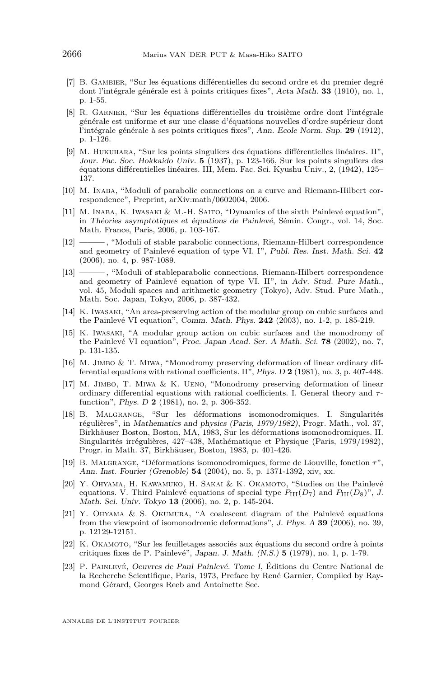- <span id="page-56-0"></span>[7] B. Gambier, "Sur les équations différentielles du second ordre et du premier degré dont l'intégrale générale est à points critiques fixes", Acta Math. **33** (1910), no. 1, p. 1-55.
- [8] R. Garnier, "Sur les équations différentielles du troisième ordre dont l'intégrale générale est uniforme et sur une classe d'équations nouvelles d'ordre supérieur dont l'intégrale générale à ses points critiques fixes", Ann. Ecole Norm. Sup. **29** (1912), p. 1-126.
- [9] M. Hukuhara, "Sur les points singuliers des équations différentielles linéaires. II", Jour. Fac. Soc. Hokkaido Univ. **5** (1937), p. 123-166, Sur les points singuliers des équations différentielles linéaires. III, Mem. Fac. Sci. Kyushu Univ., 2, (1942), 125– 137.
- [10] M. Inaba, "Moduli of parabolic connections on a curve and Riemann-Hilbert correspondence", Preprint, arXiv:math/0602004, 2006.
- [11] M. Inaba, K. Iwasaki & M.-H. Saito, "Dynamics of the sixth Painlevé equation", in Théories asymptotiques et équations de Painlevé, Sémin. Congr., vol. 14, Soc. Math. France, Paris, 2006, p. 103-167.
- [12] ——— , "Moduli of stable parabolic connections, Riemann-Hilbert correspondence and geometry of Painlevé equation of type VI. I", Publ. Res. Inst. Math. Sci. **42** (2006), no. 4, p. 987-1089.
- [13] ——— , "Moduli of stableparabolic connections, Riemann-Hilbert correspondence and geometry of Painlevé equation of type VI. II", in Adv. Stud. Pure Math., vol. 45, Moduli spaces and arithmetic geometry (Tokyo), Adv. Stud. Pure Math., Math. Soc. Japan, Tokyo, 2006, p. 387-432.
- [14] K. Iwasaki, "An area-preserving action of the modular group on cubic surfaces and the Painlevé VI equation", Comm. Math. Phys. **242** (2003), no. 1-2, p. 185-219.
- [15] K. Iwasaki, "A modular group action on cubic surfaces and the monodromy of the Painlevé VI equation", Proc. Japan Acad. Ser. A Math. Sci. **78** (2002), no. 7, p. 131-135.
- [16] M. Jimbo & T. Miwa, "Monodromy preserving deformation of linear ordinary differential equations with rational coefficients. II", Phys. D **2** (1981), no. 3, p. 407-448.
- [17] M. JIMBO, T. MIWA & K. UENO, "Monodromy preserving deformation of linear ordinary differential equations with rational coefficients. I. General theory and *τ*function", Phys. D **2** (1981), no. 2, p. 306-352.
- [18] B. Malgrange, "Sur les déformations isomonodromiques. I. Singularités régulières", in Mathematics and physics (Paris, 1979/1982), Progr. Math., vol. 37, Birkhäuser Boston, Boston, MA, 1983, Sur les déformations isomonodromiques. II. Singularités irrégulières, 427–438, Mathématique et Physique (Paris, 1979/1982), Progr. in Math. 37, Birkhäuser, Boston, 1983, p. 401-426.
- [19] B. Malgrange, "Déformations isomonodromiques, forme de Liouville, fonction *τ*", Ann. Inst. Fourier (Grenoble) **54** (2004), no. 5, p. 1371-1392, xiv, xx.
- [20] Y. Ohyama, H. Kawamuko, H. Sakai & K. Okamoto, "Studies on the Painlevé equations. V. Third Painlevé equations of special type  $P_{III}(D_7)$  and  $P_{III}(D_8)$ ", J. Math. Sci. Univ. Tokyo **13** (2006), no. 2, p. 145-204.
- [21] Y. Ohyama & S. Okumura, "A coalescent diagram of the Painlevé equations from the viewpoint of isomonodromic deformations", J. Phys. A **39** (2006), no. 39, p. 12129-12151.
- [22] K. OKAMOTO, "Sur les feuilletages associés aux équations du second ordre à points critiques fixes de P. Painlevé", Japan. J. Math. (N.S.) **5** (1979), no. 1, p. 1-79.
- [23] P. Painlevé, Oeuvres de Paul Painlevé. Tome I, Éditions du Centre National de la Recherche Scientifique, Paris, 1973, Preface by René Garnier, Compiled by Raymond Gérard, Georges Reeb and Antoinette Sec.